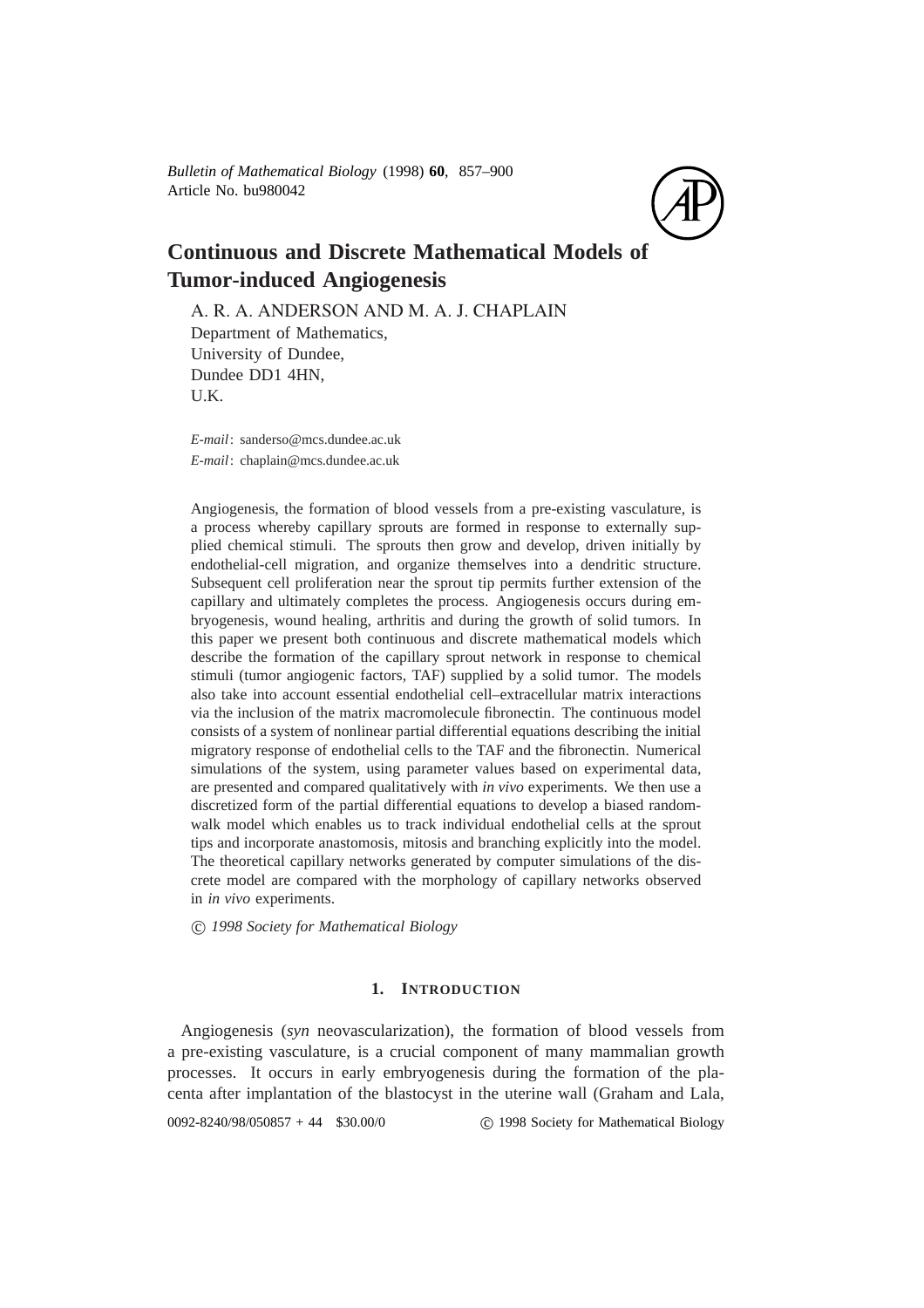Article No. bu980042 *Bulletin of Mathematical Biology* (1998) **60**, 857–900



# **Continuous and Discrete Mathematical Models of Tumor-induced Angiogenesis**

A. R. A. Anderson and M. A. J. Chaplain

Department of Mathematics, University of Dundee, Dundee DD1 4HN, U.K.

*E-mail*: sanderso@mcs.dundee.ac.uk *E-mail*: chaplain@mcs.dundee.ac.uk

Angiogenesis, the formation of blood vessels from a pre-existing vasculature, is a process whereby capillary sprouts are formed in response to externally supplied chemical stimuli. The sprouts then grow and develop, driven initially by endothelial-cell migration, and organize themselves into a dendritic structure. Subsequent cell proliferation near the sprout tip permits further extension of the capillary and ultimately completes the process. Angiogenesis occurs during embryogenesis, wound healing, arthritis and during the growth of solid tumors. In this paper we present both continuous and discrete mathematical models which describe the formation of the capillary sprout network in response to chemical stimuli (tumor angiogenic factors, TAF) supplied by a solid tumor. The models also take into account essential endothelial cell–extracellular matrix interactions via the inclusion of the matrix macromolecule fibronectin. The continuous model consists of a system of nonlinear partial differential equations describing the initial migratory response of endothelial cells to the TAF and the fibronectin. Numerical simulations of the system, using parameter values based on experimental data, are presented and compared qualitatively with *in vivo* experiments. We then use a discretized form of the partial differential equations to develop a biased randomwalk model which enables us to track individual endothelial cells at the sprout tips and incorporate anastomosis, mitosis and branching explicitly into the model. The theoretical capillary networks generated by computer simulations of the discrete model are compared with the morphology of capillary networks observed in *in vivo* experiments.

c *1998 Society for Mathematical Biology*

### **1. INTRODUCTION**

Angiogenesis (*syn* neovascularization), the formation of blood vessels from a pre-existing vasculature, is a crucial component of many mammalian growth processes. It occurs in early embryogenesis during the formation of the placenta after implantation of the blastocyst in the uterine wall [\(Graham and Lala,](#page-38-0)

0092-8240/98/050857 + 44 \$30.00/0 c 1998 Society for Mathematical Biology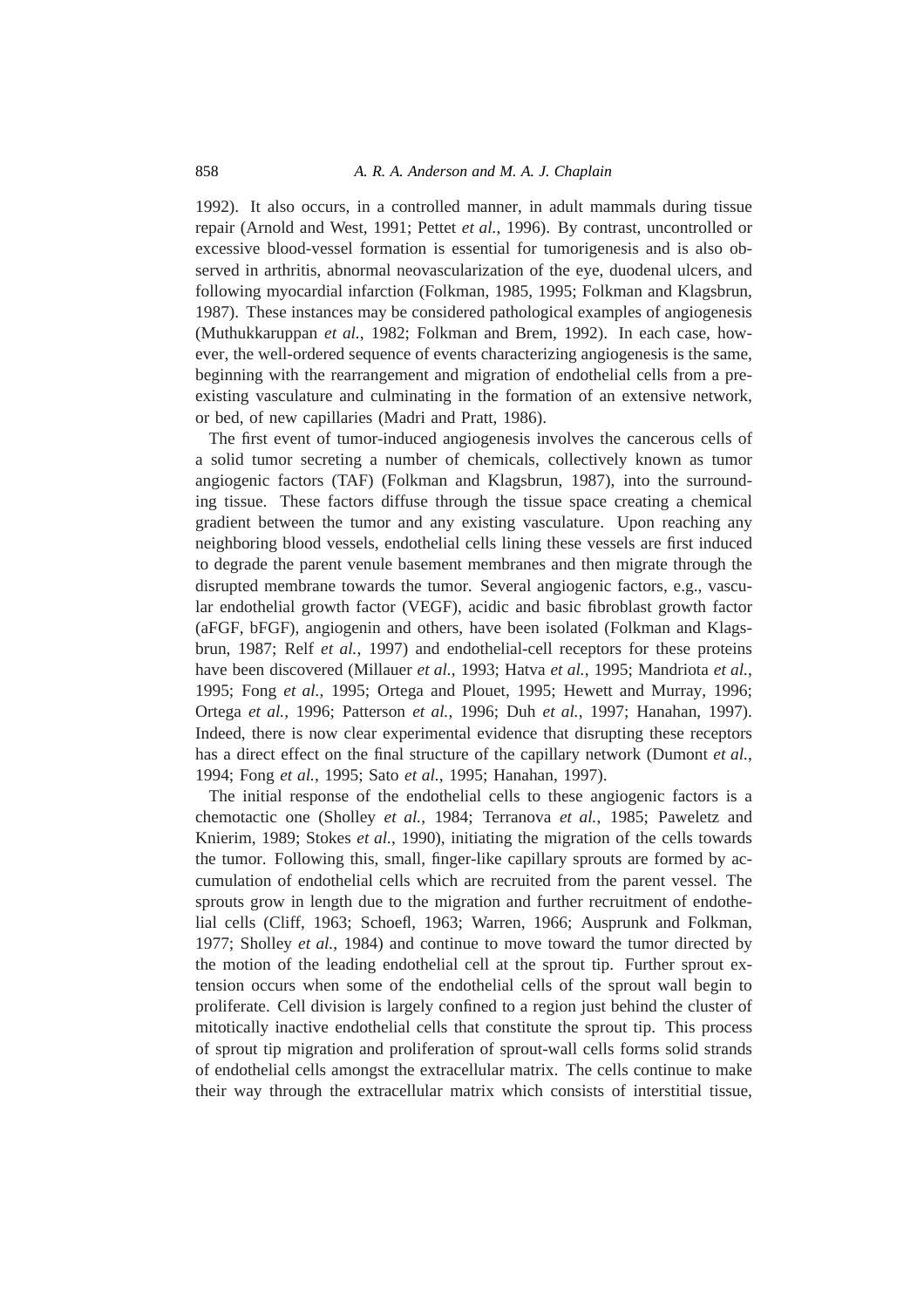[1992\)](#page-38-0). It also occurs, in a controlled manner, in adult mammals during tissue repair [\(Arnold and West, 1991;](#page-36-0) Pettet *et al.*[, 1996\)](#page-41-0). By contrast, uncontrolled or excessive blood-vessel formation is essential for tumorigenesis and is also observed in arthritis, abnormal neovascularization of the eye, duodenal ulcers, and following myocardial infarction [\(Folkman, 1985, 1995;](#page-37-0) [Folkman and Klagsbrun,](#page-38-0) [1987\).](#page-38-0) These instances may be considered pathological examples of angiogenesis ([Muthukkaruppan](#page-40-0) *et al.*, 1982; [Folkman and Brem, 1992\)](#page-38-0). In each case, however, the well-ordered sequence of events characterizing angiogenesis is the same, beginning with the rearrangement and migration of endothelial cells from a preexisting vasculature and culminating in the formation of an extensive network, or bed, of new capillaries [\(Madri and Pratt, 1986\).](#page-40-0)

The first event of tumor-induced angiogenesis involves the cancerous cells of a solid tumor secreting a number of chemicals, collectively known as tumor angiogenic factors (TAF) [\(Folkman and Klagsbrun, 1987\)](#page-38-0), into the surrounding tissue. These factors diffuse through the tissue space creating a chemical gradient between the tumor and any existing vasculature. Upon reaching any neighboring blood vessels, endothelial cells lining these vessels are first induced to degrade the parent venule basement membranes and then migrate through the disrupted membrane towards the tumor. Several angiogenic factors, e.g., vascular endothelial growth factor (VEGF), acidic and basic fibroblast growth factor (aFGF, bFGF), angiogenin and others, have been isolated [\(Folkman and Klags](#page-38-0)[brun, 1987;](#page-38-0) Relf *et al.*[, 1997\)](#page-41-0) and endothelial-cell receptors for these proteins have been discovered [\(Millauer](#page-40-0) *et al.*, 1993; Hatva *et al.*[, 1995;](#page-38-0) [Mandriota](#page-40-0) *et al.*, [1995;](#page-40-0) Fong *et al.*[, 1995;](#page-38-0) [Ortega and Plouet, 1995;](#page-40-0) [Hewett and Murray, 1996;](#page-39-0) Ortega *et al.*[, 1996;](#page-40-0) [Patterson](#page-41-0) *et al.*, 1996; Duh *et al.*[, 1997;](#page-37-0) [Hanahan, 1997\)](#page-38-0). Indeed, there is now clear experimental evidence that disrupting these receptors has a direct effect on the final structure of the capillary network ([Dumont](#page-37-0) *et al.*, [1994;](#page-37-0) Fong *et al.*[, 1995;](#page-38-0) Sato *et al.*[, 1995;](#page-41-0) [Hanahan, 1997\)](#page-38-0).

The initial response of the endothelial cells to these angiogenic factors is a chemotactic one (Sholley *et al.*[, 1984;](#page-41-0) [Terranova](#page-42-0) *et al.*, 1985; [Paweletz and](#page-41-0) [Knierim, 1989;](#page-41-0) [Stokes](#page-42-0) *et al.*, 1990), initiating the migration of the cells towards the tumor. Following this, small, finger-like capillary sprouts are formed by accumulation of endothelial cells which are recruited from the parent vessel. The sprouts grow in length due to the migration and further recruitment of endothelial cells [\(Cliff, 1963;](#page-37-0) [Schoefl, 1963;](#page-41-0) [Warren, 1966;](#page-42-0) [Ausprunk and Folkman,](#page-36-0) [1977;](#page-36-0) [Sholley](#page-41-0) *et al.*, 1984) and continue to move toward the tumor directed by the motion of the leading endothelial cell at the sprout tip. Further sprout extension occurs when some of the endothelial cells of the sprout wall begin to proliferate. Cell division is largely confined to a region just behind the cluster of mitotically inactive endothelial cells that constitute the sprout tip. This process of sprout tip migration and proliferation of sprout-wall cells forms solid strands of endothelial cells amongst the extracellular matrix. The cells continue to make their way through the extracellular matrix which consists of interstitial tissue,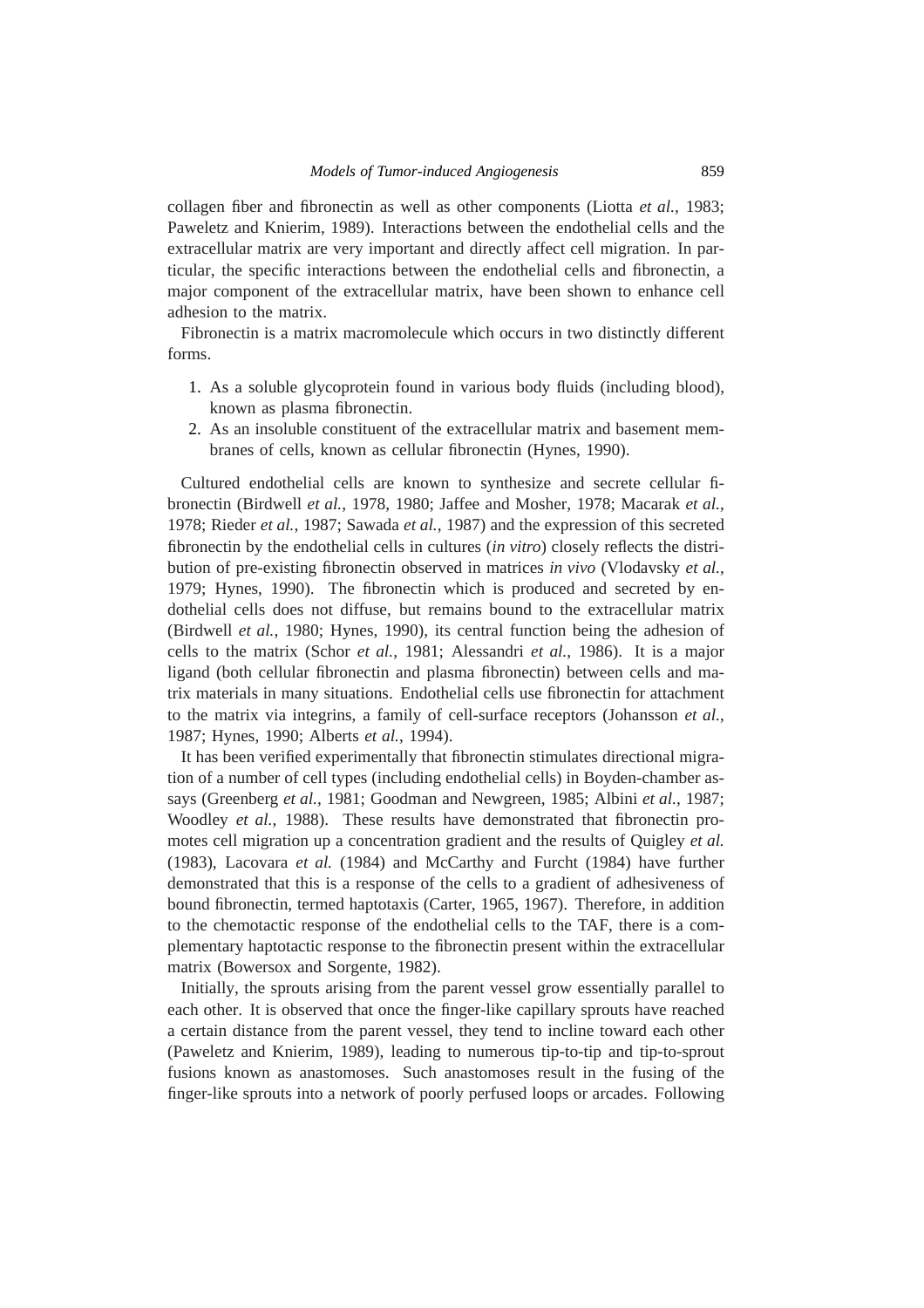collagen fiber and fibronectin as well as other components (Liotta *et al.*[, 1983](#page-39-0); [Paweletz and Knierim, 1989\)](#page-41-0). Interactions between the endothelial cells and the extracellular matrix are very important and directly affect cell migration. In particular, the specific interactions between the endothelial cells and fibronectin, a major component of the extracellular matrix, have been shown to enhance cell adhesion to the matrix.

Fibronectin is a matrix macromolecule which occurs in two distinctly different forms.

- 1. As a soluble glycoprotein found in various body fluids (including blood), known as plasma fibronectin.
- 2. As an insoluble constituent of the extracellular matrix and basement membranes of cells, known as cellular fibronectin [\(Hynes, 1990\)](#page-39-0).

Cultured endothelial cells are known to synthesize and secrete cellular fibronectin (Birdwell *et al.*[, 1978, 1980;](#page-36-0) [Jaffee and Mosher, 1978; Macarak](#page-39-0) *et al.*, [1978;](#page-39-0) [Rieder](#page-41-0) *et al.*, 1987; [Sawada](#page-41-0) *et al.*, 1987) and the expression of this secreted fibronectin by the endothelial cells in cultures (*in vitro*) closely reflects the distribution of pre-existing fibronectin observed in matrices *in vivo* ([Vlodavsky](#page-42-0) *et al.*, [1979;](#page-42-0) [Hynes, 1990\)](#page-39-0). The fibronectin which is produced and secreted by endothelial cells does not diffuse, but remains bound to the extracellular matrix ([Birdwell](#page-36-0) *et al.*, 1980; [Hynes, 1990\)](#page-39-0), its central function being the adhesion of cells to the matrix (Schor *et al.*[, 1981;](#page-41-0) [Alessandri](#page-35-0) *et al.*, 1986). It is a major ligand (both cellular fibronectin and plasma fibronectin) between cells and matrix materials in many situations. Endothelial cells use fibronectin for attachment to the matrix via integrins, a family of cell-surface receptors [\(Johansson](#page-39-0) *et al.*, [1987; Hynes, 1990;](#page-39-0) [Alberts](#page-35-0) *et al.*, 1994).

It has been verified experimentally that fibronectin stimulates directional migration of a number of cell types (including endothelial cells) in Boyden-chamber assays (Greenberg *et al.*[, 1981; Goodman and Newgreen, 1985;](#page-38-0) Albini *et al.*[, 1987;](#page-35-0) [Woodley](#page-42-0) *et al.*, 1988). These results have demonstrated that fibronectin promotes cell migration up a concentration gradient and the results of [Quigley](#page-41-0) *et al.* [\(1983\),](#page-41-0) [Lacovara](#page-39-0) *et al.* (1984) and [McCarthy and Furcht \(1984\)](#page-39-0) have further demonstrated that this is a response of the cells to a gradient of adhesiveness of bound fibronectin, termed haptotaxis [\(Carter, 1965, 1967\).](#page-36-0) Therefore, in addition to the chemotactic response of the endothelial cells to the TAF, there is a complementary haptotactic response to the fibronectin present within the extracellular matrix [\(Bowersox and Sorgente, 1982\).](#page-36-0)

Initially, the sprouts arising from the parent vessel grow essentially parallel to each other. It is observed that once the finger-like capillary sprouts have reached a certain distance from the parent vessel, they tend to incline toward each other [\(Paweletz and Knierim, 1989\),](#page-41-0) leading to numerous tip-to-tip and tip-to-sprout fusions known as anastomoses. Such anastomoses result in the fusing of the finger-like sprouts into a network of poorly perfused loops or arcades. Following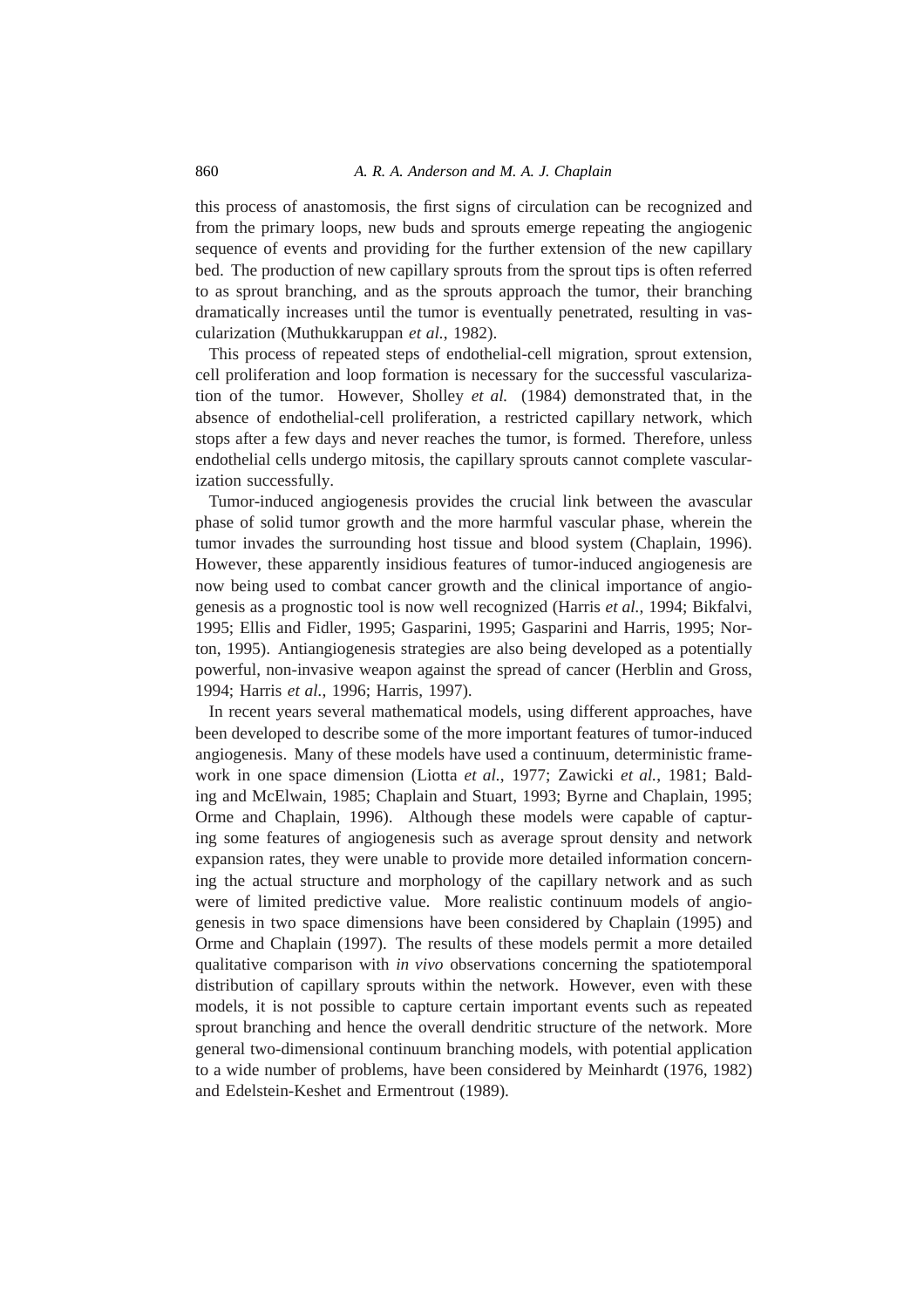this process of anastomosis, the first signs of circulation can be recognized and from the primary loops, new buds and sprouts emerge repeating the angiogenic sequence of events and providing for the further extension of the new capillary bed. The production of new capillary sprouts from the sprout tips is often referred to as sprout branching, and as the sprouts approach the tumor, their branching dramatically increases until the tumor is eventually penetrated, resulting in vascularization [\(Muthukkaruppan](#page-40-0) *et al.*, 1982).

This process of repeated steps of endothelial-cell migration, sprout extension, cell proliferation and loop formation is necessary for the successful vascularization of the tumor. However, [Sholley](#page-41-0) *et al.* (1984) demonstrated that, in the absence of endothelial-cell proliferation, a restricted capillary network, which stops after a few days and never reaches the tumor, is formed. Therefore, unless endothelial cells undergo mitosis, the capillary sprouts cannot complete vascularization successfully.

Tumor-induced angiogenesis provides the crucial link between the avascular phase of solid tumor growth and the more harmful vascular phase, wherein the tumor invades the surrounding host tissue and blood system [\(Chaplain, 1996\).](#page-36-0) However, these apparently insidious features of tumor-induced angiogenesis are now being used to combat cancer growth and the clinical importance of angiogenesis as a prognostic tool is now well recognized (Harris *et al.*[, 1994;](#page-38-0) [Bikfalvi,](#page-36-0) [1995;](#page-36-0) [Ellis and Fidler, 1995;](#page-37-0) [Gasparini, 1995; Gasparini and Harris, 1995;](#page-38-0) [Nor](#page-40-0)[ton, 1995\).](#page-40-0) Antiangiogenesis strategies are also being developed as a potentially powerful, non-invasive weapon against the spread of cancer [\(Herblin and Gross,](#page-38-0) 1994; Harris *et al.*[, 1996; Harris, 1997\)](#page-38-0).

In recent years several mathematical models, using different approaches, have been developed to describe some of the more important features of tumor-induced angiogenesis. Many of these models have used a continuum, deterministic framework in one space dimension (Liotta *et al.*[, 1977](#page-39-0); [Zawicki](#page-42-0) *et al.*, 1981; [Bald](#page-36-0)[ing and McElwain, 1985;](#page-36-0) [Chaplain and Stuart, 1993;](#page-37-0) [Byrne and Chaplain, 1995;](#page-36-0) [Orme and Chaplain, 1996\)](#page-40-0). Although these models were capable of capturing some features of angiogenesis such as average sprout density and network expansion rates, they were unable to provide more detailed information concerning the actual structure and morphology of the capillary network and as such were of limited predictive value. More realistic continuum models of angiogenesis in two space dimensions have been considered by [Chaplain \(1995\)](#page-36-0) and [Orme and Chaplain \(1997\).](#page-40-0) The results of these models permit a more detailed qualitative comparison with *in vivo* observations concerning the spatiotemporal distribution of capillary sprouts within the network. However, even with these models, it is not possible to capture certain important events such as repeated sprout branching and hence the overall dendritic structure of the network. More general two-dimensional continuum branching models, with potential application to a wide number of problems, have been considered by [Meinhardt \(1976, 1982\)](#page-40-0) and [Edelstein-Keshet and Ermentrout \(1989\).](#page-37-0)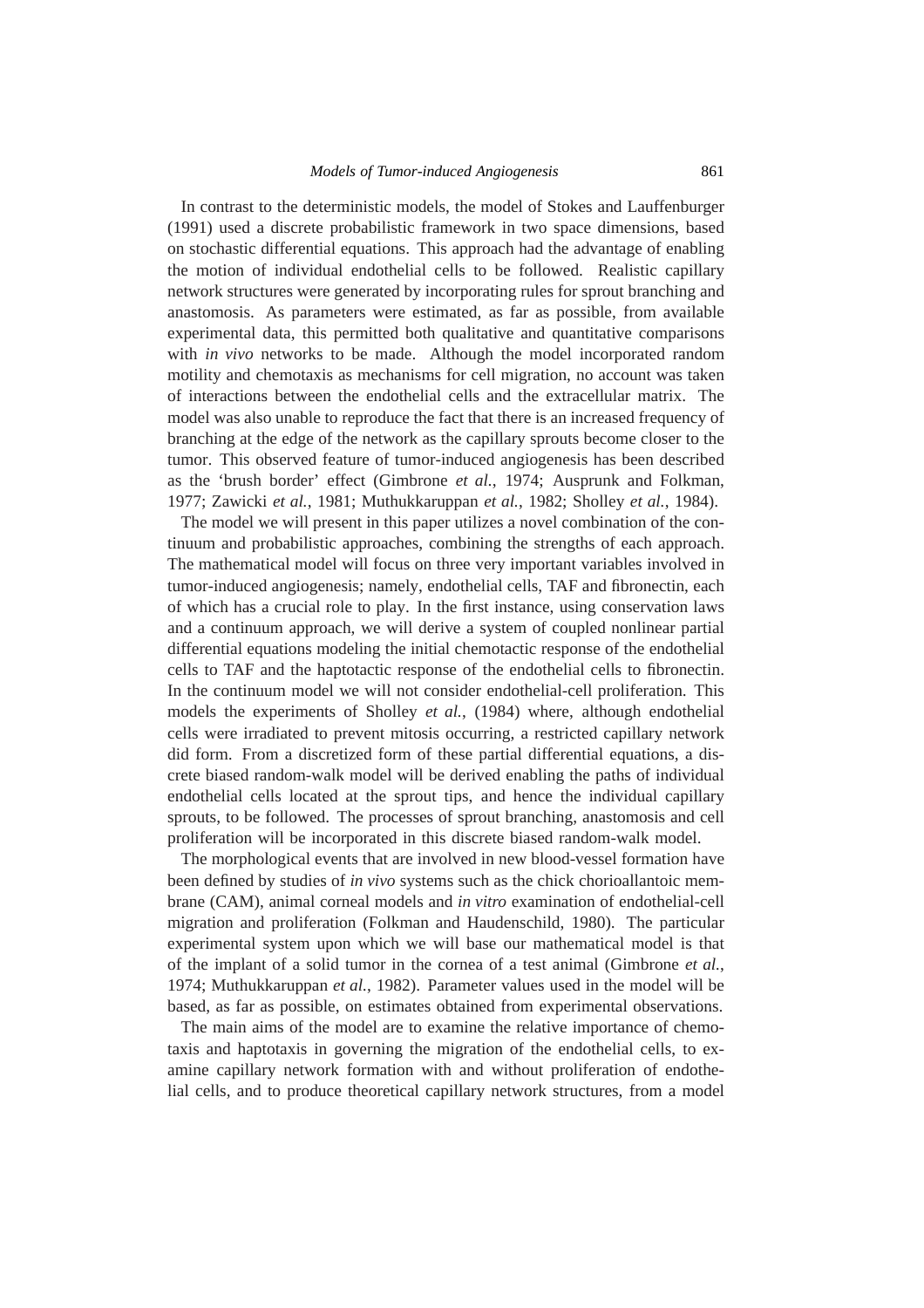In contrast to the deterministic models, the model of [Stokes and Lauffenburger](#page-42-0) [\(1991\)](#page-42-0) used a discrete probabilistic framework in two space dimensions, based on stochastic differential equations. This approach had the advantage of enabling the motion of individual endothelial cells to be followed. Realistic capillary network structures were generated by incorporating rules for sprout branching and anastomosis. As parameters were estimated, as far as possible, from available experimental data, this permitted both qualitative and quantitative comparisons with *in vivo* networks to be made. Although the model incorporated random motility and chemotaxis as mechanisms for cell migration, no account was taken of interactions between the endothelial cells and the extracellular matrix. The model was also unable to reproduce the fact that there is an increased frequency of branching at the edge of the network as the capillary sprouts become closer to the tumor. This observed feature of tumor-induced angiogenesis has been described as the 'brush border' effect [\(Gimbrone](#page-38-0) *et al.*, 1974; [Ausprunk and Folkman,](#page-36-0) [1977;](#page-36-0) [Zawicki](#page-42-0) *et al.*, 1981; [Muthukkaruppan](#page-40-0) *et al.*, 1982; [Sholley](#page-41-0) *et al.*, 1984).

The model we will present in this paper utilizes a novel combination of the continuum and probabilistic approaches, combining the strengths of each approach. The mathematical model will focus on three very important variables involved in tumor-induced angiogenesis; namely, endothelial cells, TAF and fibronectin, each of which has a crucial role to play. In the first instance, using conservation laws and a continuum approach, we will derive a system of coupled nonlinear partial differential equations modeling the initial chemotactic response of the endothelial cells to TAF and the haptotactic response of the endothelial cells to fibronectin. In the continuum model we will not consider endothelial-cell proliferation. This models the experiments of Sholley *et al.*[, \(1984\)](#page-41-0) where, although endothelial cells were irradiated to prevent mitosis occurring, a restricted capillary network did form. From a discretized form of these partial differential equations, a discrete biased random-walk model will be derived enabling the paths of individual endothelial cells located at the sprout tips, and hence the individual capillary sprouts, to be followed. The processes of sprout branching, anastomosis and cell proliferation will be incorporated in this discrete biased random-walk model.

The morphological events that are involved in new blood-vessel formation have been defined by studies of *in vivo* systems such as the chick chorioallantoic membrane (CAM), animal corneal models and *in vitro* examination of endothelial-cell migration and proliferation [\(Folkman and Haudenschild, 1980\).](#page-38-0) The particular experimental system upon which we will base our mathematical model is that of the implant of a solid tumor in the cornea of a test animal [\(Gimbrone](#page-38-0) *et al.*, [1974;](#page-38-0) [Muthukkaruppan](#page-40-0) *et al.*, 1982). Parameter values used in the model will be based, as far as possible, on estimates obtained from experimental observations.

The main aims of the model are to examine the relative importance of chemotaxis and haptotaxis in governing the migration of the endothelial cells, to examine capillary network formation with and without proliferation of endothelial cells, and to produce theoretical capillary network structures, from a model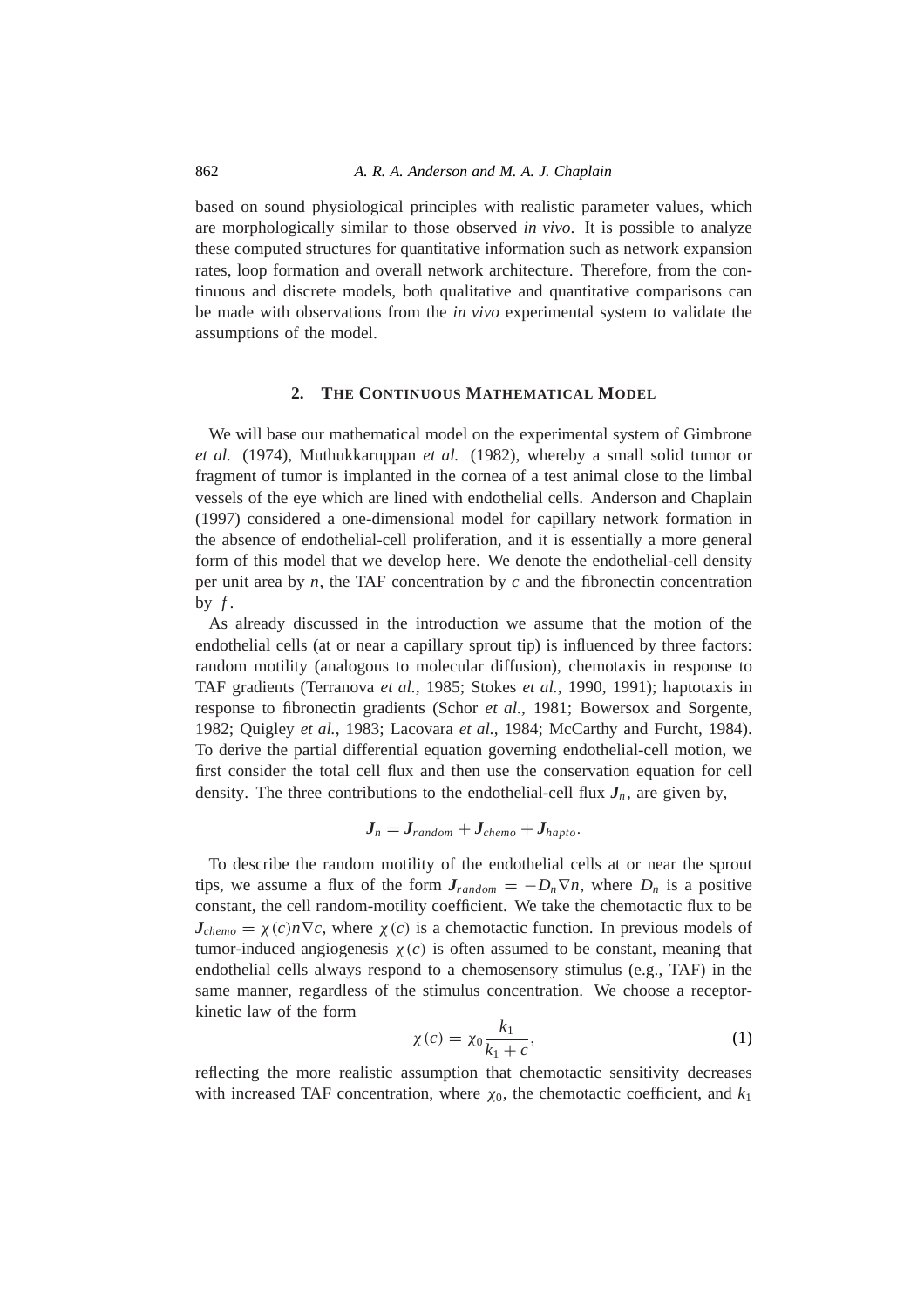based on sound physiological principles with realistic parameter values, which are morphologically similar to those observed *in vivo*. It is possible to analyze these computed structures for quantitative information such as network expansion rates, loop formation and overall network architecture. Therefore, from the continuous and discrete models, both qualitative and quantitative comparisons can be made with observations from the *in vivo* experimental system to validate the assumptions of the model.

### **2. THE CONTINUOUS MATHEMATICAL MODEL**

We will base our mathematical model on the experimental system of [Gimbrone](#page-38-0) *et al.* [\(1974\),](#page-38-0) [Muthukkaruppan](#page-40-0) *et al.* (1982), whereby a small solid tumor or fragment of tumor is implanted in the cornea of a test animal close to the limbal vessels of the eye which are lined with endothelial cells. [Anderson and Chaplain](#page-36-0) [\(1997\)](#page-36-0) considered a one-dimensional model for capillary network formation in the absence of endothelial-cell proliferation, and it is essentially a more general form of this model that we develop here. We denote the endothelial-cell density per unit area by  $n$ , the TAF concentration by  $c$  and the fibronectin concentration by  $f$ .

As already discussed in the introduction we assume that the motion of the endothelial cells (at or near a capillary sprout tip) is influenced by three factors: random motility (analogous to molecular diffusion), chemotaxis in response to TAF gradients [\(Terranova](#page-42-0) *et al.*, 1985; Stokes *et al.*[, 1990, 1991\)](#page-42-0); haptotaxis in response to fibronectin gradients (Schor *et al.*[, 1981](#page-41-0); [Bowersox and Sorgente,](#page-36-0) [1982;](#page-36-0) [Quigley](#page-41-0) *et al.*, 1983; [Lacovara](#page-39-0) *et al.*, 1984; [McCarthy and Furcht, 1984\).](#page-39-0) To derive the partial differential equation governing endothelial-cell motion, we first consider the total cell flux and then use the conservation equation for cell density. The three contributions to the endothelial-cell flux  $J_n$ , are given by,

$$
J_n = J_{random} + J_{chemo} + J_{hapto}.
$$

To describe the random motility of the endothelial cells at or near the sprout tips, we assume a flux of the form  $J_{random} = -D_n \nabla n$ , where  $D_n$  is a positive constant, the cell random-motility coefficient. We take the chemotactic flux to be  $J_{chemo} = \chi(c)n\nabla c$ , where  $\chi(c)$  is a chemotactic function. In previous models of tumor-induced angiogenesis  $\chi(c)$  is often assumed to be constant, meaning that endothelial cells always respond to a chemosensory stimulus (e.g., TAF) in the same manner, regardless of the stimulus concentration. We choose a receptorkinetic law of the form

$$
\chi(c) = \chi_0 \frac{k_1}{k_1 + c},\tag{1}
$$

reflecting the more realistic assumption that chemotactic sensitivity decreases with increased TAF concentration, where  $\chi_0$ , the chemotactic coefficient, and  $k_1$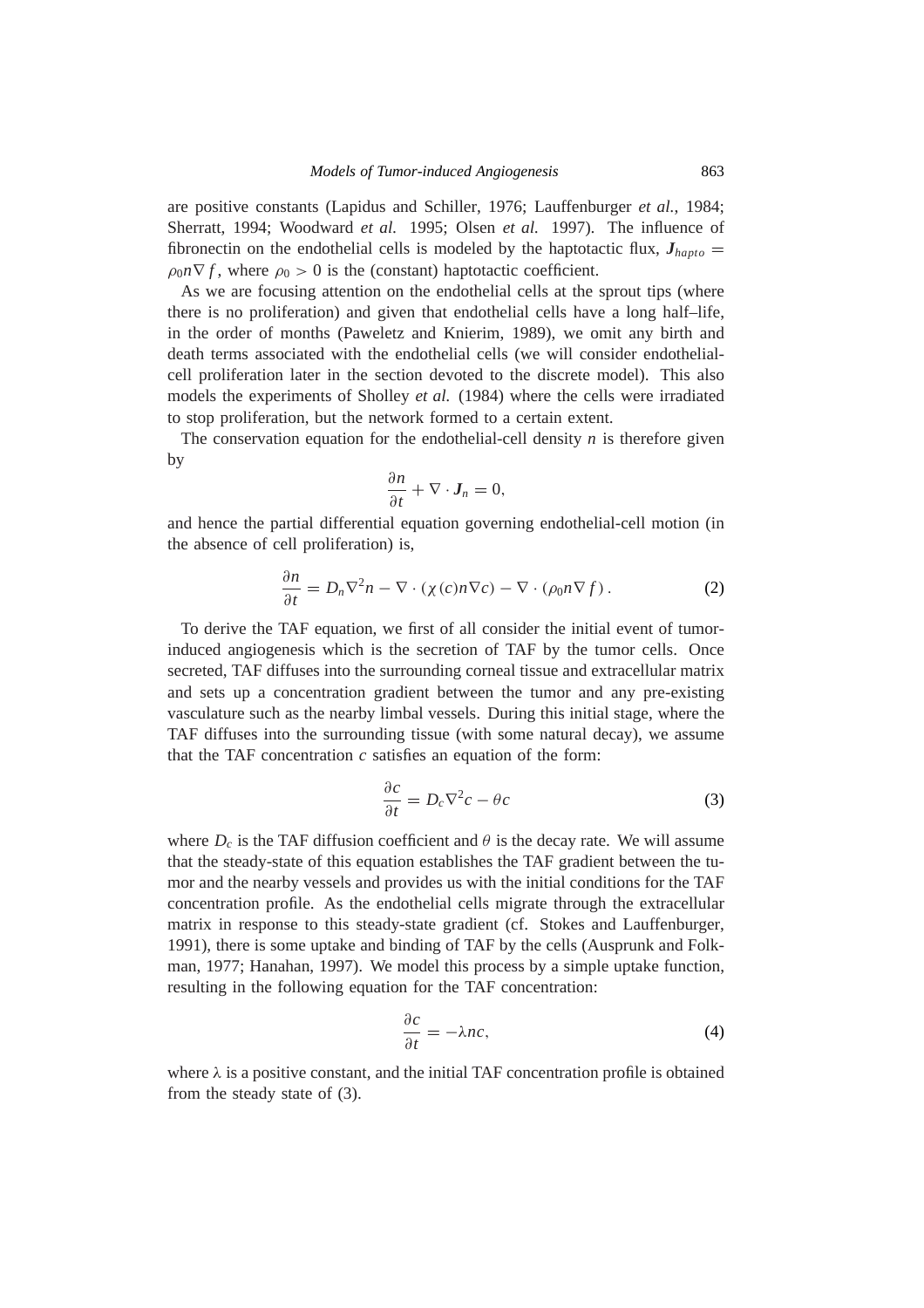are positive constants [\(Lapidus and Schiller, 1976; Lauffenburger](#page-39-0) *et al.*, 1984; [Sherratt, 1994;](#page-41-0) [Woodward](#page-42-0) *et al.* 1995; [Olsen](#page-40-0) *et al.* 1997). The influence of fibronectin on the endothelial cells is modeled by the haptotactic flux,  $J_{\text{harto}} =$  $\rho_0 n \nabla f$ , where  $\rho_0 > 0$  is the (constant) haptotactic coefficient.

As we are focusing attention on the endothelial cells at the sprout tips (where there is no proliferation) and given that endothelial cells have a long half–life, in the order of months [\(Paweletz and Knierim, 1989\)](#page-41-0), we omit any birth and death terms associated with the endothelial cells (we will consider endothelialcell proliferation later in the section devoted to the discrete model). This also models the experiments of [Sholley](#page-41-0) *et al.* (1984) where the cells were irradiated to stop proliferation, but the network formed to a certain extent.

The conservation equation for the endothelial-cell density *n* is therefore given by

$$
\frac{\partial n}{\partial t} + \nabla \cdot \boldsymbol{J}_n = 0,
$$

and hence the partial differential equation governing endothelial-cell motion (in the absence of cell proliferation) is,

$$
\frac{\partial n}{\partial t} = D_n \nabla^2 n - \nabla \cdot (\chi(c) n \nabla c) - \nabla \cdot (\rho_0 n \nabla f). \tag{2}
$$

To derive the TAF equation, we first of all consider the initial event of tumorinduced angiogenesis which is the secretion of TAF by the tumor cells. Once secreted, TAF diffuses into the surrounding corneal tissue and extracellular matrix and sets up a concentration gradient between the tumor and any pre-existing vasculature such as the nearby limbal vessels. During this initial stage, where the TAF diffuses into the surrounding tissue (with some natural decay), we assume that the TAF concentration  $c$  satisfies an equation of the form:

$$
\frac{\partial c}{\partial t} = D_c \nabla^2 c - \theta c \tag{3}
$$

where  $D_c$  is the TAF diffusion coefficient and  $\theta$  is the decay rate. We will assume that the steady-state of this equation establishes the TAF gradient between the tumor and the nearby vessels and provides us with the initial conditions for the TAF concentration profile. As the endothelial cells migrate through the extracellular matrix in response to this steady-state gradient (cf. [Stokes and Lauffenburger,](#page-42-0) [1991\),](#page-42-0) there is some uptake and binding of TAF by the cells [\(Ausprunk and Folk](#page-36-0)[man, 1977;](#page-36-0) [Hanahan, 1997\)](#page-38-0). We model this process by a simple uptake function, resulting in the following equation for the TAF concentration:

$$
\frac{\partial c}{\partial t} = -\lambda nc,\tag{4}
$$

where  $\lambda$  is a positive constant, and the initial TAF concentration profile is obtained from the steady state of (3).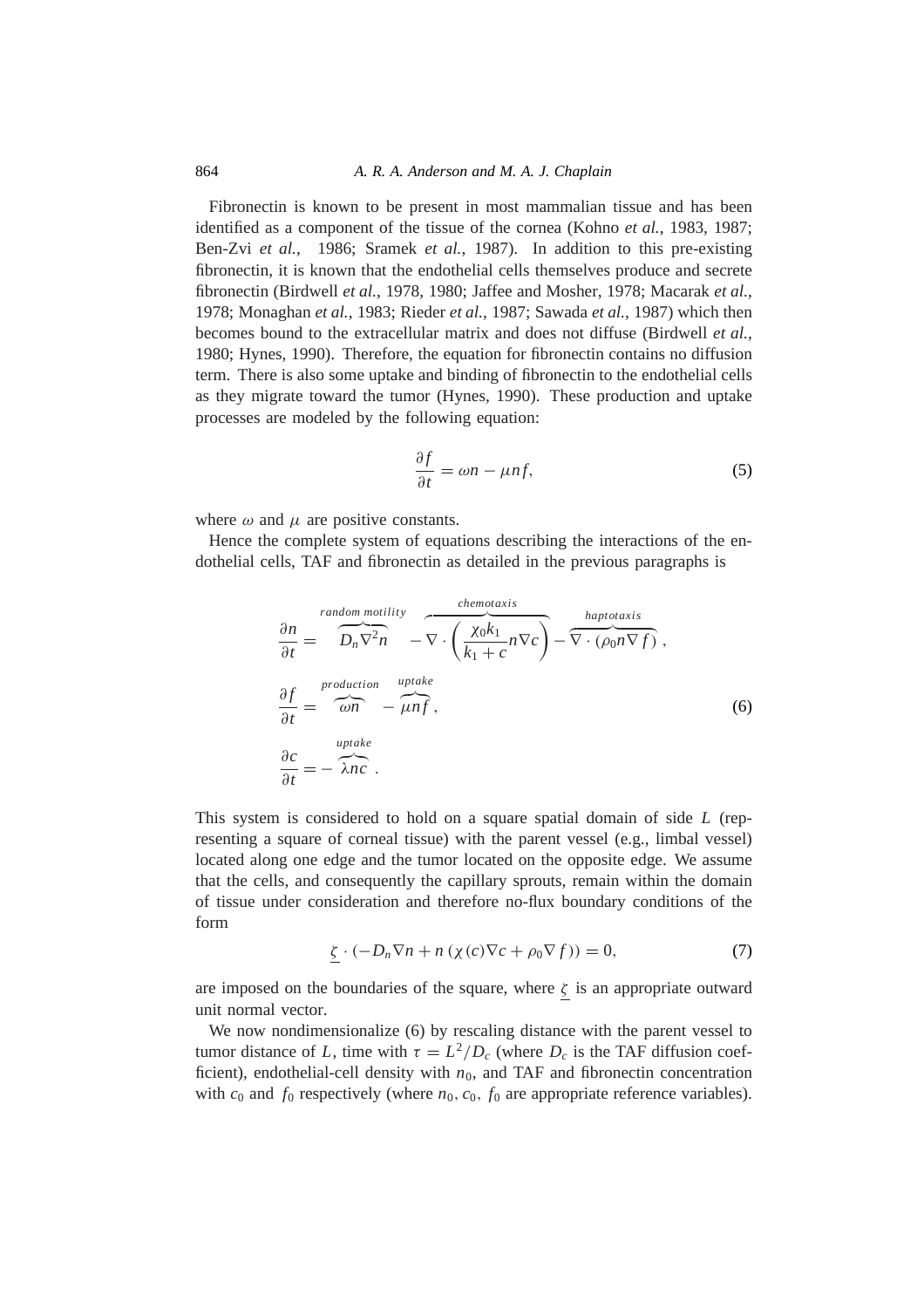#### 864 *A. R. A. Anderson and M. A. J. Chaplain*

Fibronectin is known to be present in most mammalian tissue and has been identified as a component of the tissue of the cornea (Kohno *et al.*[, 1983, 1987;](#page-39-0) Ben-Zvi *et al.*[, 1986;](#page-36-0) [Sramek](#page-42-0) *et al.*, 1987). In addition to this pre-existing fibronectin, it is known that the endothelial cells themselves produce and secrete fibronectin (Birdwell *et al.*[, 1978, 1980;](#page-36-0) [Jaffee and Mosher, 1978; Macarak](#page-39-0) *et al.*, [1978;](#page-39-0) [Monaghan](#page-40-0) *et al.*, 1983; [Rieder](#page-41-0) *et al.*, 1987; [Sawada](#page-41-0) *et al.*, 1987) which then becomes bound to the extracellular matrix and does not diffuse ([Birdwell](#page-36-0) *et al.*, [1980;](#page-36-0) [Hynes, 1990\)](#page-39-0). Therefore, the equation for fibronectin contains no diffusion term. There is also some uptake and binding of fibronectin to the endothelial cells as they migrate toward the tumor [\(Hynes, 1990\)](#page-39-0). These production and uptake processes are modeled by the following equation:

$$
\frac{\partial f}{\partial t} = \omega n - \mu n f,\tag{5}
$$

where  $\omega$  and  $\mu$  are positive constants.

Hence the complete system of equations describing the interactions of the endothelial cells, TAF and fibronectin as detailed in the previous paragraphs is

$$
\frac{\partial n}{\partial t} = \overbrace{\frac{D_n \nabla^2 n}{\partial t}}^{random\,matrix} - \nabla \cdot \left(\frac{\chi_0 k_1}{k_1 + c} n \nabla c\right) - \overbrace{\nabla \cdot (\rho_0 n \nabla f)}^{haptotaxis},
$$
\n
$$
\frac{\partial f}{\partial t} = \overbrace{\text{on}}^{production} - \mu n f, \qquad (6)
$$
\n
$$
\frac{\partial c}{\partial t} = -\overbrace{\lambda n c}^{uptake}.
$$

This system is considered to hold on a square spatial domain of side *L* (representing a square of corneal tissue) with the parent vessel (e.g., limbal vessel) located along one edge and the tumor located on the opposite edge. We assume that the cells, and consequently the capillary sprouts, remain within the domain of tissue under consideration and therefore no-flux boundary conditions of the form

$$
\underline{\zeta} \cdot (-D_n \nabla n + n \left( \chi(c) \nabla c + \rho_0 \nabla f \right)) = 0,\tag{7}
$$

are imposed on the boundaries of the square, where  $\zeta$  is an appropriate outward unit normal vector.

We now nondimensionalize (6) by rescaling distance with the parent vessel to tumor distance of *L*, time with  $\tau = L^2/D_c$  (where  $D_c$  is the TAF diffusion coefficient), endothelial-cell density with  $n_0$ , and TAF and fibronectin concentration with  $c_0$  and  $f_0$  respectively (where  $n_0$ ,  $c_0$ ,  $f_0$  are appropriate reference variables).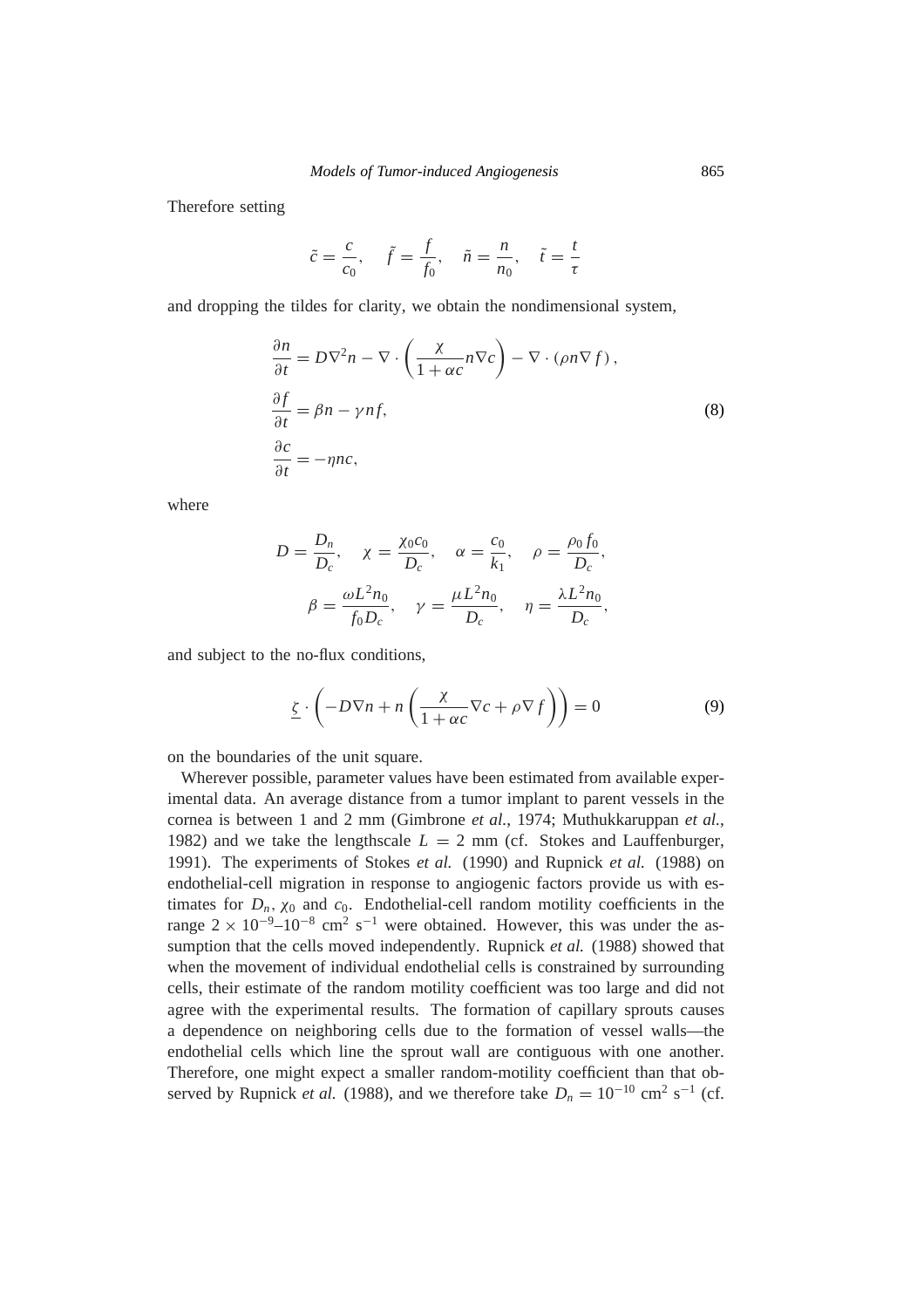Therefore setting

$$
\tilde{c} = \frac{c}{c_0}, \quad \tilde{f} = \frac{f}{f_0}, \quad \tilde{n} = \frac{n}{n_0}, \quad \tilde{t} = \frac{t}{\tau}
$$

and dropping the tildes for clarity, we obtain the nondimensional system,

$$
\frac{\partial n}{\partial t} = D\nabla^2 n - \nabla \cdot \left(\frac{\chi}{1 + \alpha c} n \nabla c\right) - \nabla \cdot (\rho n \nabla f),
$$
  
\n
$$
\frac{\partial f}{\partial t} = \beta n - \gamma n f,
$$
  
\n
$$
\frac{\partial c}{\partial t} = -\eta n c,
$$
\n(8)

where

$$
D = \frac{D_n}{D_c}, \quad \chi = \frac{\chi_0 c_0}{D_c}, \quad \alpha = \frac{c_0}{k_1}, \quad \rho = \frac{\rho_0 f_0}{D_c},
$$

$$
\beta = \frac{\omega L^2 n_0}{f_0 D_c}, \quad \gamma = \frac{\mu L^2 n_0}{D_c}, \quad \eta = \frac{\lambda L^2 n_0}{D_c},
$$

and subject to the no-flux conditions,

$$
\underline{\zeta} \cdot \left( -D\nabla n + n \left( \frac{\chi}{1 + \alpha c} \nabla c + \rho \nabla f \right) \right) = 0 \tag{9}
$$

on the boundaries of the unit square.

Wherever possible, parameter values have been estimated from available experimental data. An average distance from a tumor implant to parent vessels in the cornea is between 1 and 2 mm [\(Gimbrone](#page-38-0) *et al.*, 1974; [Muthukkaruppan](#page-40-0) *et al.*, [1982\)](#page-40-0) and we take the lengthscale  $L = 2$  mm (cf. [Stokes and Lauffenburger,](#page-42-0) [1991\)](#page-42-0). The experiments of [Stokes](#page-42-0) *et al.* (1990) and [Rupnick](#page-41-0) *et al.* (1988) on endothelial-cell migration in response to angiogenic factors provide us with estimates for  $D_n$ ,  $\chi_0$  and  $c_0$ . Endothelial-cell random motility coefficients in the range  $2 \times 10^{-9}$ – $10^{-8}$  cm<sup>2</sup> s<sup>-1</sup> were obtained. However, this was under the assumption that the cells moved independently. [Rupnick](#page-41-0) *et al.* (1988) showed that when the movement of individual endothelial cells is constrained by surrounding cells, their estimate of the random motility coefficient was too large and did not agree with the experimental results. The formation of capillary sprouts causes a dependence on neighboring cells due to the formation of vessel walls—the endothelial cells which line the sprout wall are contiguous with one another. Therefore, one might expect a smaller random-motility coefficient than that ob-served by [Rupnick](#page-41-0) *et al.* (1988), and we therefore take  $D_n = 10^{-10}$  cm<sup>2</sup> s<sup>-1</sup> (cf.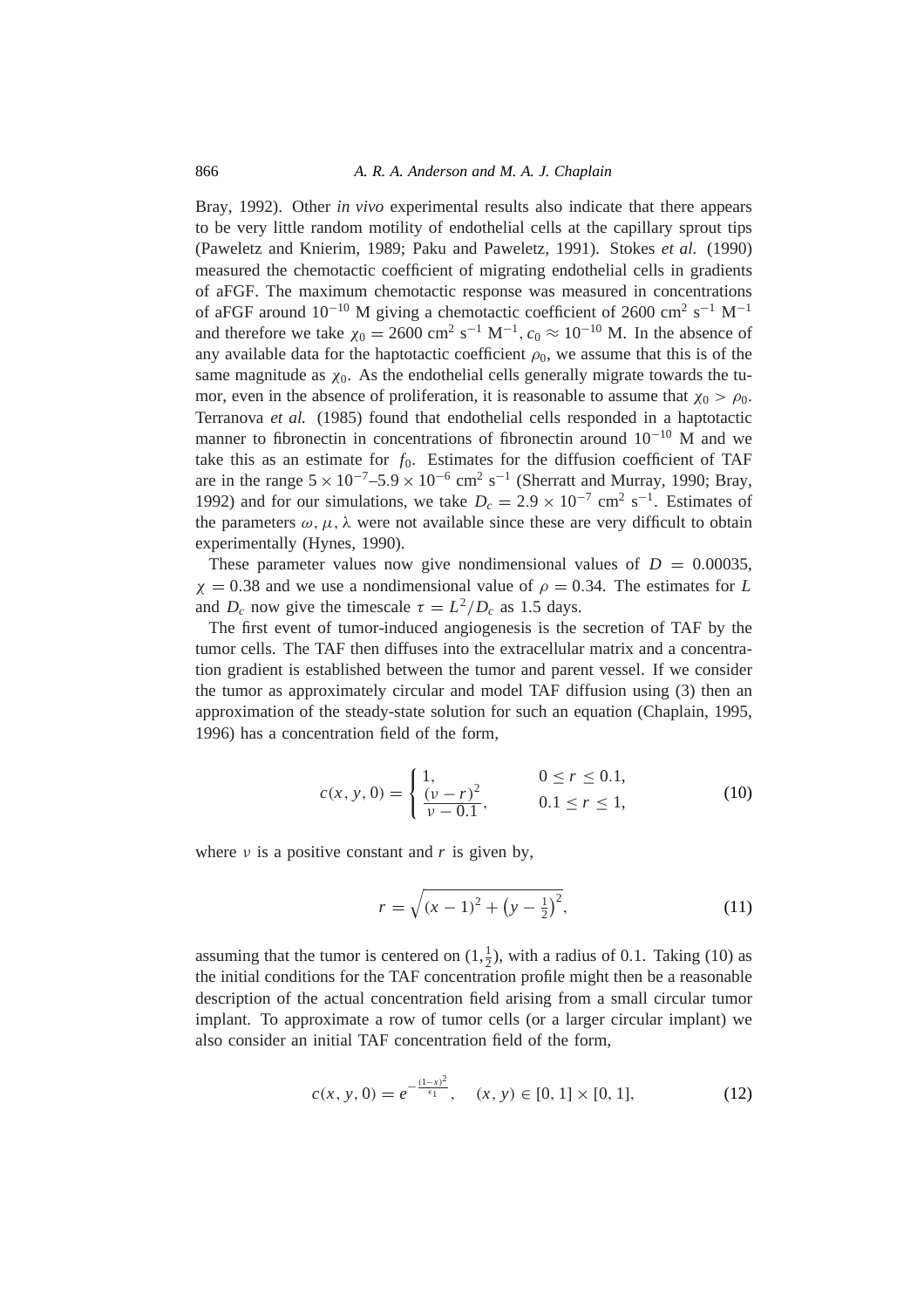[Bray, 1992\)](#page-36-0). Other *in vivo* experimental results also indicate that there appears to be very little random motility of endothelial cells at the capillary sprout tips [\(Paweletz and Knierim, 1989;](#page-41-0) [Paku and Paweletz, 1991](#page-40-0)). [Stokes](#page-42-0) *et al.* (1990) measured the chemotactic coefficient of migrating endothelial cells in gradients of aFGF. The maximum chemotactic response was measured in concentrations of aFGF around  $10^{-10}$  M giving a chemotactic coefficient of 2600 cm<sup>2</sup> s<sup>-1</sup> M<sup>-1</sup> and therefore we take  $\chi_0 = 2600 \text{ cm}^2 \text{ s}^{-1} \text{ M}^{-1}$ ,  $c_0 \approx 10^{-10} \text{ M}$ . In the absence of any available data for the haptotactic coefficient  $\rho_0$ , we assume that this is of the same magnitude as  $\chi_0$ . As the endothelial cells generally migrate towards the tumor, even in the absence of proliferation, it is reasonable to assume that  $\chi_0 > \rho_0$ . [Terranova](#page-42-0) *et al.* (1985) found that endothelial cells responded in a haptotactic manner to fibronectin in concentrations of fibronectin around 10−<sup>10</sup> M and we take this as an estimate for  $f_0$ . Estimates for the diffusion coefficient of TAF are in the range  $5 \times 10^{-7} - 5.9 \times 10^{-6}$  cm<sup>2</sup> s<sup>-1</sup> [\(Sherratt and Murray, 1990;](#page-41-0) [Bray,](#page-36-0) [1992\)](#page-36-0) and for our simulations, we take  $D_c = 2.9 \times 10^{-7}$  cm<sup>2</sup> s<sup>-1</sup>. Estimates of the parameters  $\omega, \mu, \lambda$  were not available since these are very difficult to obtain experimentally [\(Hynes, 1990\).](#page-39-0)

These parameter values now give nondimensional values of  $D = 0.00035$ ,  $\chi = 0.38$  and we use a nondimensional value of  $\rho = 0.34$ . The estimates for *L* and  $D_c$  now give the timescale  $\tau = L^2/D_c$  as 1.5 days.

The first event of tumor-induced angiogenesis is the secretion of TAF by the tumor cells. The TAF then diffuses into the extracellular matrix and a concentration gradient is established between the tumor and parent vessel. If we consider the tumor as approximately circular and model TAF diffusion using (3) then an approximation of the steady-state solution for such an equation [\(Chaplain, 1995,](#page-36-0) [1996\)](#page-36-0) has a concentration field of the form,

$$
c(x, y, 0) = \begin{cases} 1, & 0 \le r \le 0.1, \\ \frac{(\nu - r)^2}{\nu - 0.1}, & 0.1 \le r \le 1, \end{cases}
$$
(10)

where  $\nu$  is a positive constant and  $r$  is given by,

$$
r = \sqrt{(x-1)^2 + (y-\frac{1}{2})^2},\tag{11}
$$

assuming that the tumor is centered on  $(1, \frac{1}{2})$ , with a radius of 0.1. Taking (10) as the initial conditions for the TAF concentration profile might then be a reasonable description of the actual concentration field arising from a small circular tumor implant. To approximate a row of tumor cells (or a larger circular implant) we also consider an initial TAF concentration field of the form,

$$
c(x, y, 0) = e^{-\frac{(1-x)^2}{\epsilon_1}}, \quad (x, y) \in [0, 1] \times [0, 1], \tag{12}
$$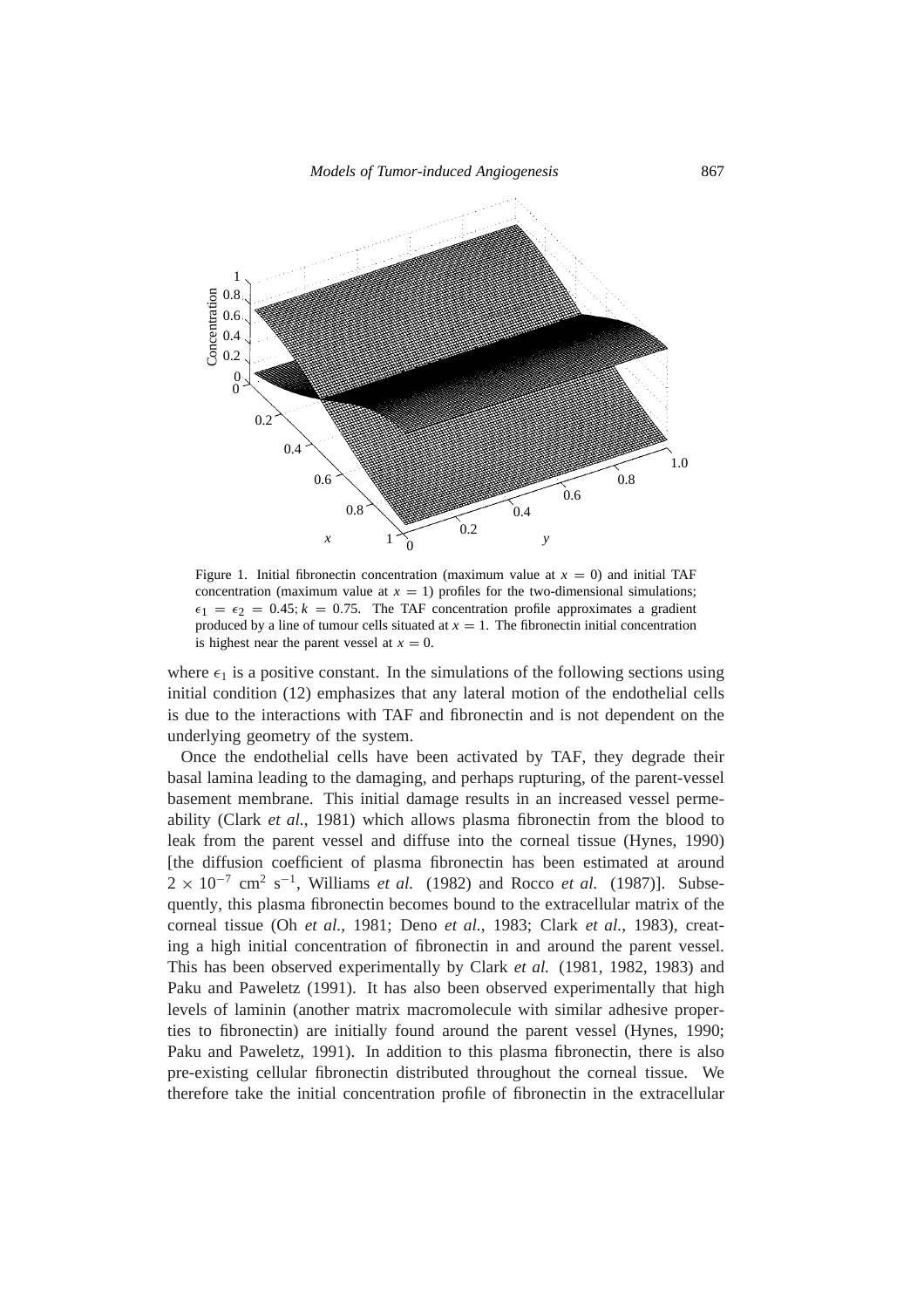

Figure 1. Initial fibronectin concentration (maximum value at  $x = 0$ ) and initial TAF concentration (maximum value at  $x = 1$ ) profiles for the two-dimensional simulations;  $\epsilon_1 = \epsilon_2 = 0.45$ ;  $k = 0.75$ . The TAF concentration profile approximates a gradient produced by a line of tumour cells situated at  $x = 1$ . The fibronectin initial concentration is highest near the parent vessel at  $x = 0$ .

where  $\epsilon_1$  is a positive constant. In the simulations of the following sections using initial condition (12) emphasizes that any lateral motion of the endothelial cells is due to the interactions with TAF and fibronectin and is not dependent on the underlying geometry of the system.

Once the endothelial cells have been activated by TAF, they degrade their basal lamina leading to the damaging, and perhaps rupturing, of the parent-vessel basement membrane. This initial damage results in an increased vessel permeability (Clark *et al.*[, 1981\)](#page-37-0) which allows plasma fibronectin from the blood to leak from the parent vessel and diffuse into the corneal tissue [\(Hynes, 1990\)](#page-39-0) [the diffusion coefficient of plasma fibronectin has been estimated at around  $2 \times 10^{-7}$  cm<sup>2</sup> s<sup>-1</sup>, [Williams](#page-42-0) *et al.* (1982) and Rocco *et al.* [\(1987\)\]](#page-41-0). Subsequently, this plasma fibronectin becomes bound to the extracellular matrix of the corneal tissue (Oh *et al.*[, 1981](#page-40-0); Deno *et al.*[, 1983;](#page-37-0) Clark *et al.*[, 1983\),](#page-37-0) creating a high initial concentration of fibronectin in and around the parent vessel. This has been observed experimentally by Clark *et al.* [\(1981, 1982, 1983\)](#page-37-0) and [Paku and Paweletz \(1991\).](#page-40-0) It has also been observed experimentally that high levels of laminin (another matrix macromolecule with similar adhesive properties to fibronectin) are initially found around the parent vessel [\(Hynes, 1990;](#page-39-0) [Paku and Paweletz, 1991](#page-40-0)). In addition to this plasma fibronectin, there is also pre-existing cellular fibronectin distributed throughout the corneal tissue. We therefore take the initial concentration profile of fibronectin in the extracellular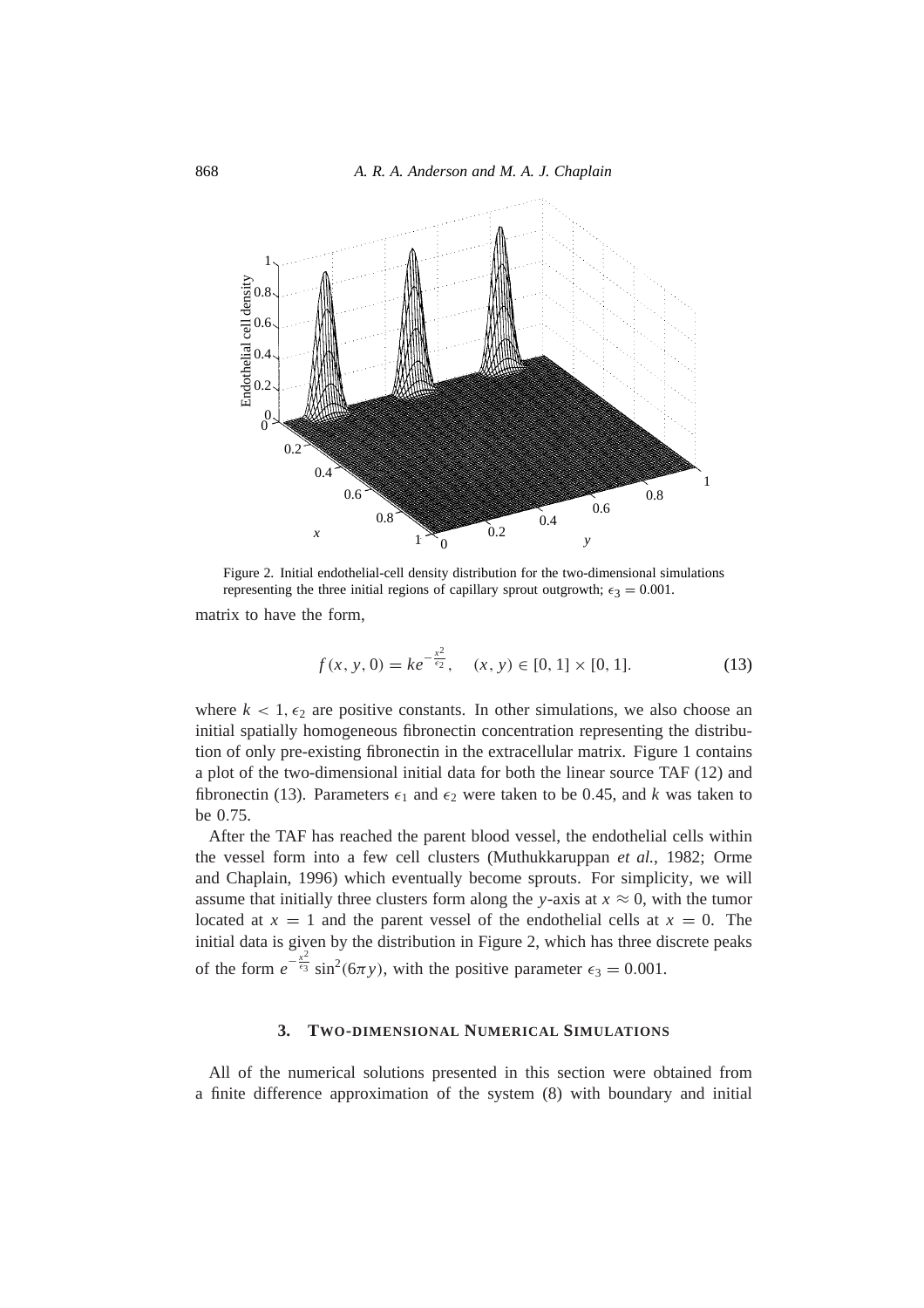868 *A. R. A. Anderson and M. A. J. Chaplain*



Figure 2. Initial endothelial-cell density distribution for the two-dimensional simulations representing the three initial regions of capillary sprout outgrowth;  $\epsilon_3 = 0.001$ . matrix to have the form,

$$
f(x, y, 0) = ke^{-\frac{x^2}{\epsilon_2}}, \quad (x, y) \in [0, 1] \times [0, 1].
$$
 (13)

where  $k < 1$ ,  $\epsilon_2$  are positive constants. In other simulations, we also choose an initial spatially homogeneous fibronectin concentration representing the distribution of only pre-existing fibronectin in the extracellular matrix. Figure 1 contains a plot of the two-dimensional initial data for both the linear source TAF (12) and fibronectin (13). Parameters  $\epsilon_1$  and  $\epsilon_2$  were taken to be 0.45, and *k* was taken to be 0.75.

After the TAF has reached the parent blood vessel, the endothelial cells within the vessel form into a few cell clusters ([Muthukkaruppan](#page-40-0) *et al.*, 1982; Orme [and Chaplain, 1996\)](#page-40-0) which eventually become sprouts. For simplicity, we will assume that initially three clusters form along the *y*-axis at  $x \approx 0$ , with the tumor located at  $x = 1$  and the parent vessel of the endothelial cells at  $x = 0$ . The initial data is given by the distribution in Figure 2, which has three discrete peaks of the form  $e^{-\frac{x^2}{\epsilon_3}} \sin^2(6\pi y)$ , with the positive parameter  $\epsilon_3 = 0.001$ .

# **3. TWO-DIMENSIONAL NUMERICAL SIMULATIONS**

All of the numerical solutions presented in this section were obtained from a finite difference approximation of the system (8) with boundary and initial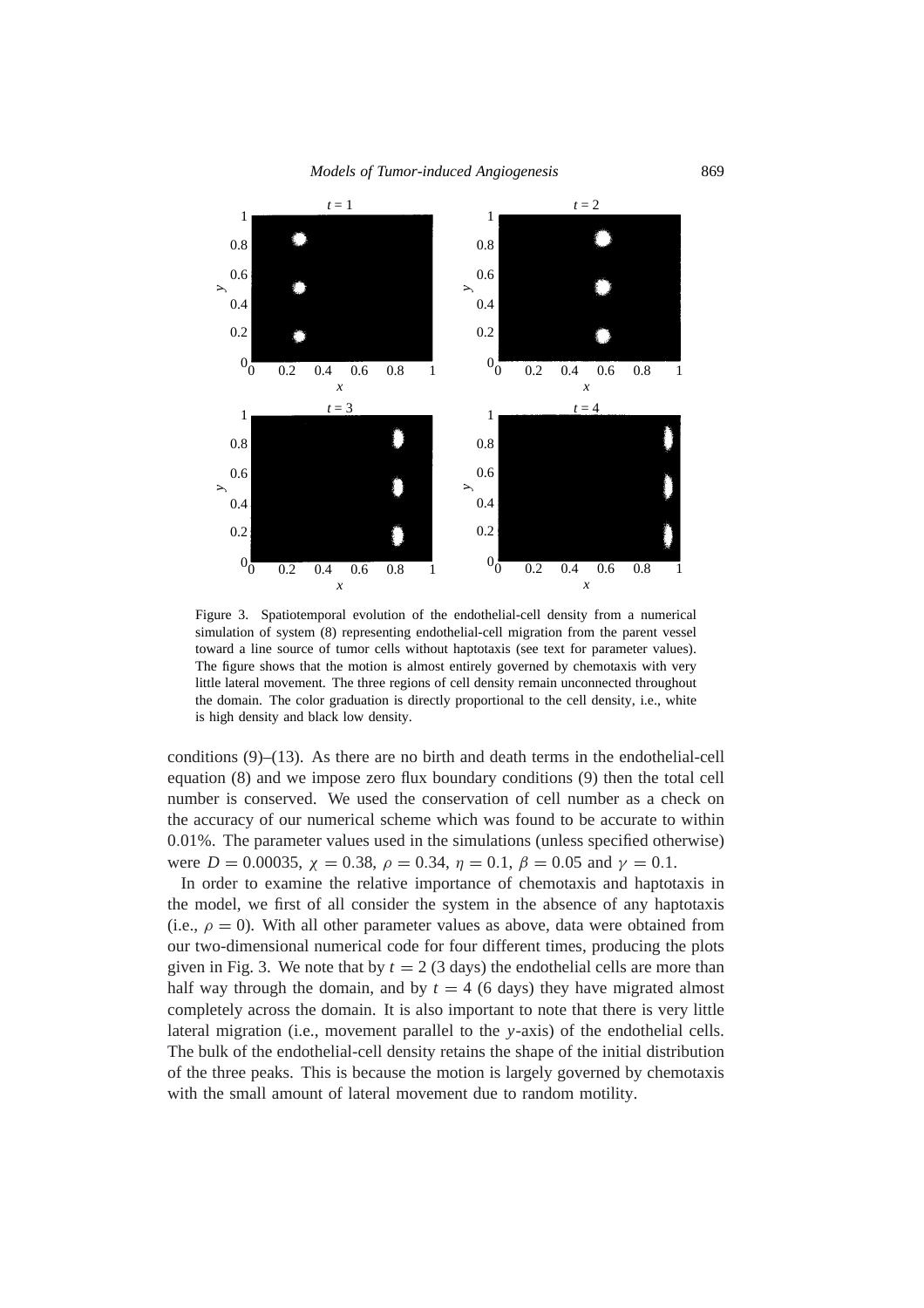

Figure 3. Spatiotemporal evolution of the endothelial-cell density from a numerical simulation of system (8) representing endothelial-cell migration from the parent vessel toward a line source of tumor cells without haptotaxis (see text for parameter values). The figure shows that the motion is almost entirely governed by chemotaxis with very little lateral movement. The three regions of cell density remain unconnected throughout the domain. The color graduation is directly proportional to the cell density, i.e., white is high density and black low density.

conditions  $(9)$ – $(13)$ . As there are no birth and death terms in the endothelial-cell equation (8) and we impose zero flux boundary conditions (9) then the total cell number is conserved. We used the conservation of cell number as a check on the accuracy of our numerical scheme which was found to be accurate to within 0.01%. The parameter values used in the simulations (unless specified otherwise) were  $D = 0.00035$ ,  $\chi = 0.38$ ,  $\rho = 0.34$ ,  $\eta = 0.1$ ,  $\beta = 0.05$  and  $\gamma = 0.1$ .

In order to examine the relative importance of chemotaxis and haptotaxis in the model, we first of all consider the system in the absence of any haptotaxis (i.e.,  $\rho = 0$ ). With all other parameter values as above, data were obtained from our two-dimensional numerical code for four different times, producing the plots given in Fig. 3. We note that by  $t = 2$  (3 days) the endothelial cells are more than half way through the domain, and by  $t = 4$  (6 days) they have migrated almost completely across the domain. It is also important to note that there is very little lateral migration (i.e., movement parallel to the *y*-axis) of the endothelial cells. The bulk of the endothelial-cell density retains the shape of the initial distribution of the three peaks. This is because the motion is largely governed by chemotaxis with the small amount of lateral movement due to random motility.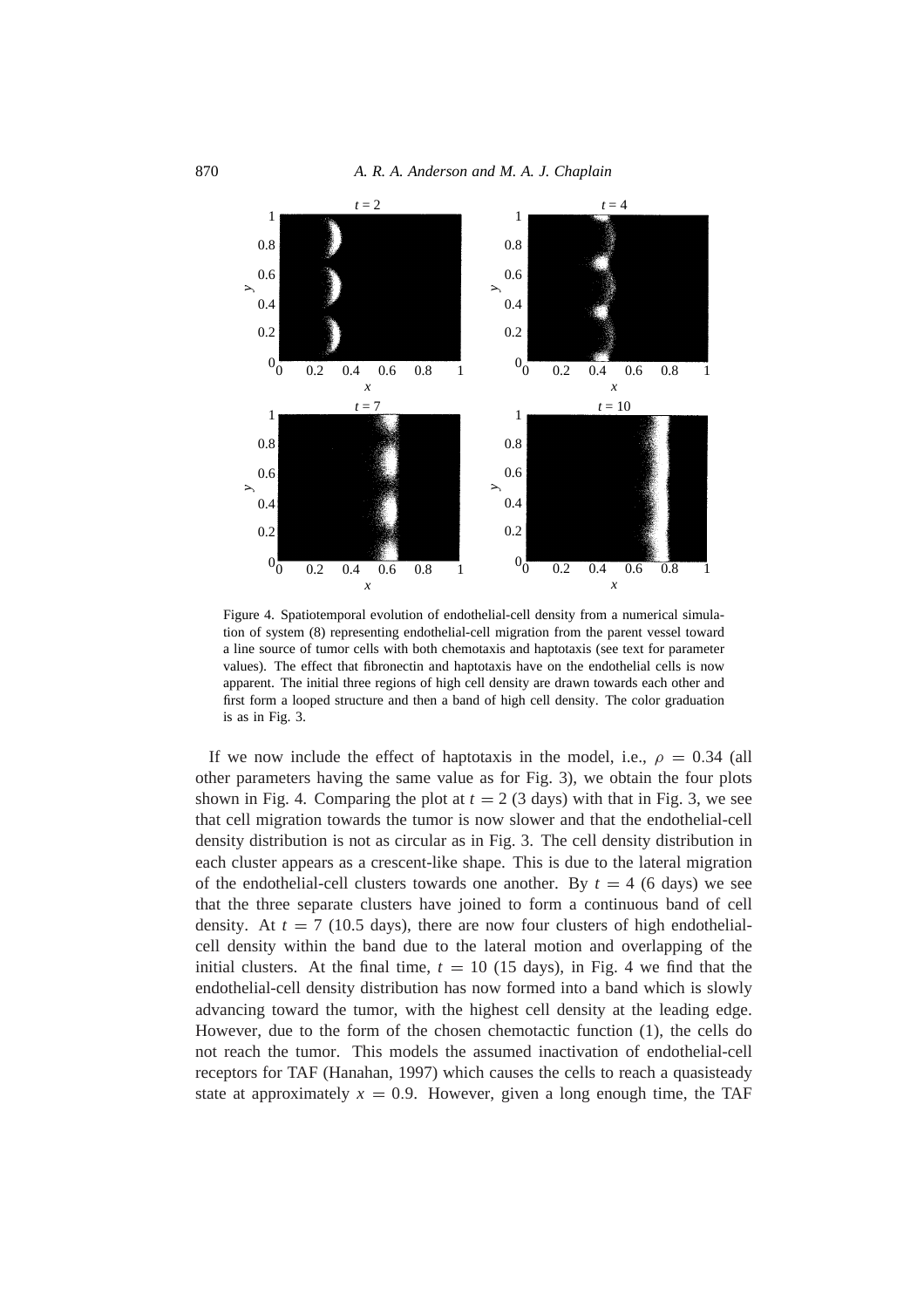

Figure 4. Spatiotemporal evolution of endothelial-cell density from a numerical simulation of system (8) representing endothelial-cell migration from the parent vessel toward a line source of tumor cells with both chemotaxis and haptotaxis (see text for parameter values). The effect that fibronectin and haptotaxis have on the endothelial cells is now apparent. The initial three regions of high cell density are drawn towards each other and first form a looped structure and then a band of high cell density. The color graduation is as in Fig. 3.

If we now include the effect of haptotaxis in the model, i.e.,  $\rho = 0.34$  (all other parameters having the same value as for Fig. 3), we obtain the four plots shown in Fig. 4. Comparing the plot at  $t = 2$  (3 days) with that in Fig. 3, we see that cell migration towards the tumor is now slower and that the endothelial-cell density distribution is not as circular as in Fig. 3. The cell density distribution in each cluster appears as a crescent-like shape. This is due to the lateral migration of the endothelial-cell clusters towards one another. By  $t = 4$  (6 days) we see that the three separate clusters have joined to form a continuous band of cell density. At  $t = 7$  (10.5 days), there are now four clusters of high endothelialcell density within the band due to the lateral motion and overlapping of the initial clusters. At the final time,  $t = 10$  (15 days), in Fig. 4 we find that the endothelial-cell density distribution has now formed into a band which is slowly advancing toward the tumor, with the highest cell density at the leading edge. However, due to the form of the chosen chemotactic function (1), the cells do not reach the tumor. This models the assumed inactivation of endothelial-cell receptors for TAF [\(Hanahan, 1997\)](#page-38-0) which causes the cells to reach a quasisteady state at approximately  $x = 0.9$ . However, given a long enough time, the TAF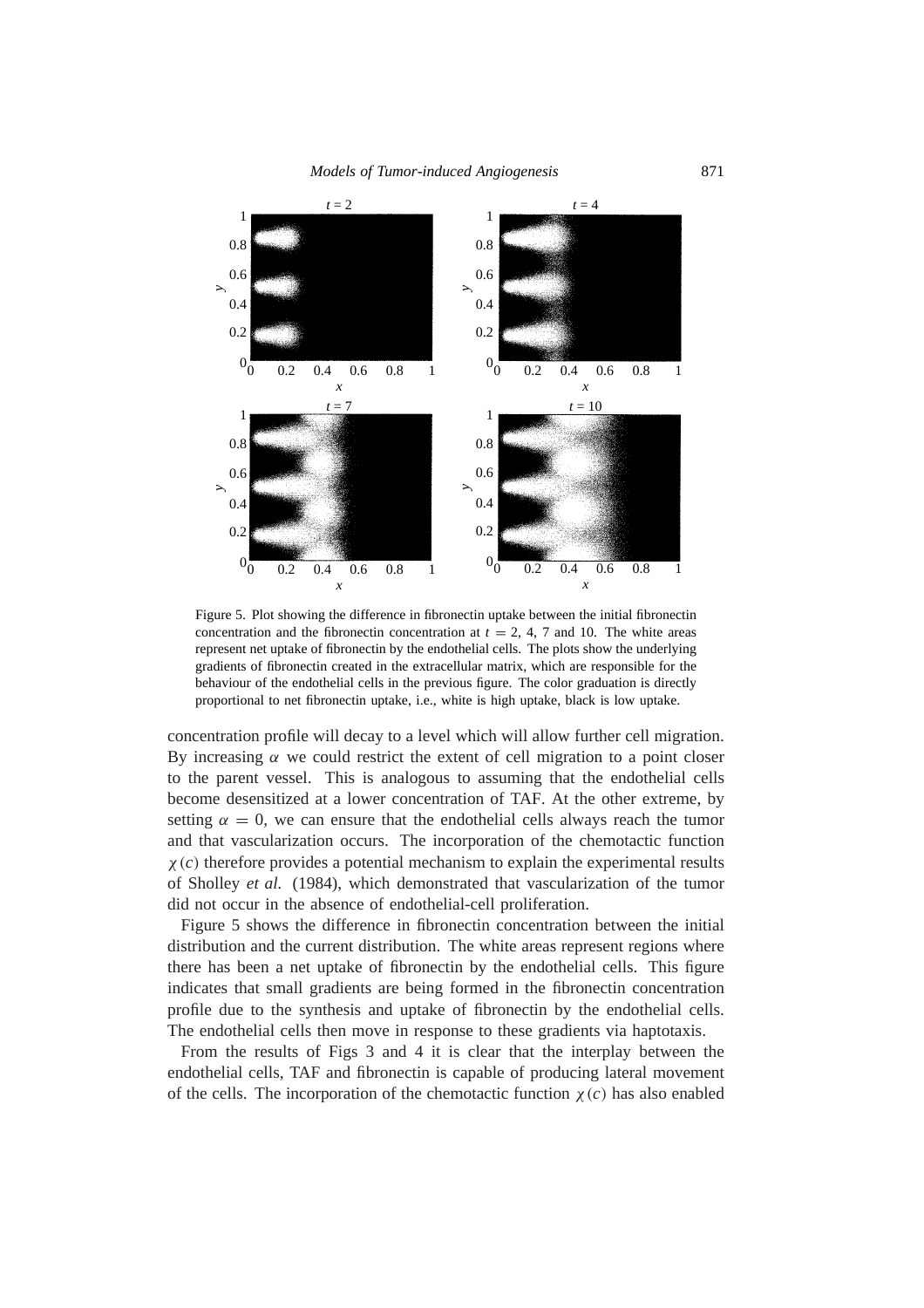

Figure 5. Plot showing the difference in fibronectin uptake between the initial fibronectin concentration and the fibronectin concentration at  $t = 2, 4, 7$  and 10. The white areas represent net uptake of fibronectin by the endothelial cells. The plots show the underlying gradients of fibronectin created in the extracellular matrix, which are responsible for the behaviour of the endothelial cells in the previous figure. The color graduation is directly proportional to net fibronectin uptake, i.e., white is high uptake, black is low uptake.

concentration profile will decay to a level which will allow further cell migration. By increasing  $\alpha$  we could restrict the extent of cell migration to a point closer to the parent vessel. This is analogous to assuming that the endothelial cells become desensitized at a lower concentration of TAF. At the other extreme, by setting  $\alpha = 0$ , we can ensure that the endothelial cells always reach the tumor and that vascularization occurs. The incorporation of the chemotactic function  $\chi(c)$  therefore provides a potential mechanism to explain the experimental results of [Sholley](#page-41-0) *et al.* (1984), which demonstrated that vascularization of the tumor did not occur in the absence of endothelial-cell proliferation.

Figure 5 shows the difference in fibronectin concentration between the initial distribution and the current distribution. The white areas represent regions where there has been a net uptake of fibronectin by the endothelial cells. This figure indicates that small gradients are being formed in the fibronectin concentration profile due to the synthesis and uptake of fibronectin by the endothelial cells. The endothelial cells then move in response to these gradients via haptotaxis.

From the results of Figs 3 and 4 it is clear that the interplay between the endothelial cells, TAF and fibronectin is capable of producing lateral movement of the cells. The incorporation of the chemotactic function  $\chi(c)$  has also enabled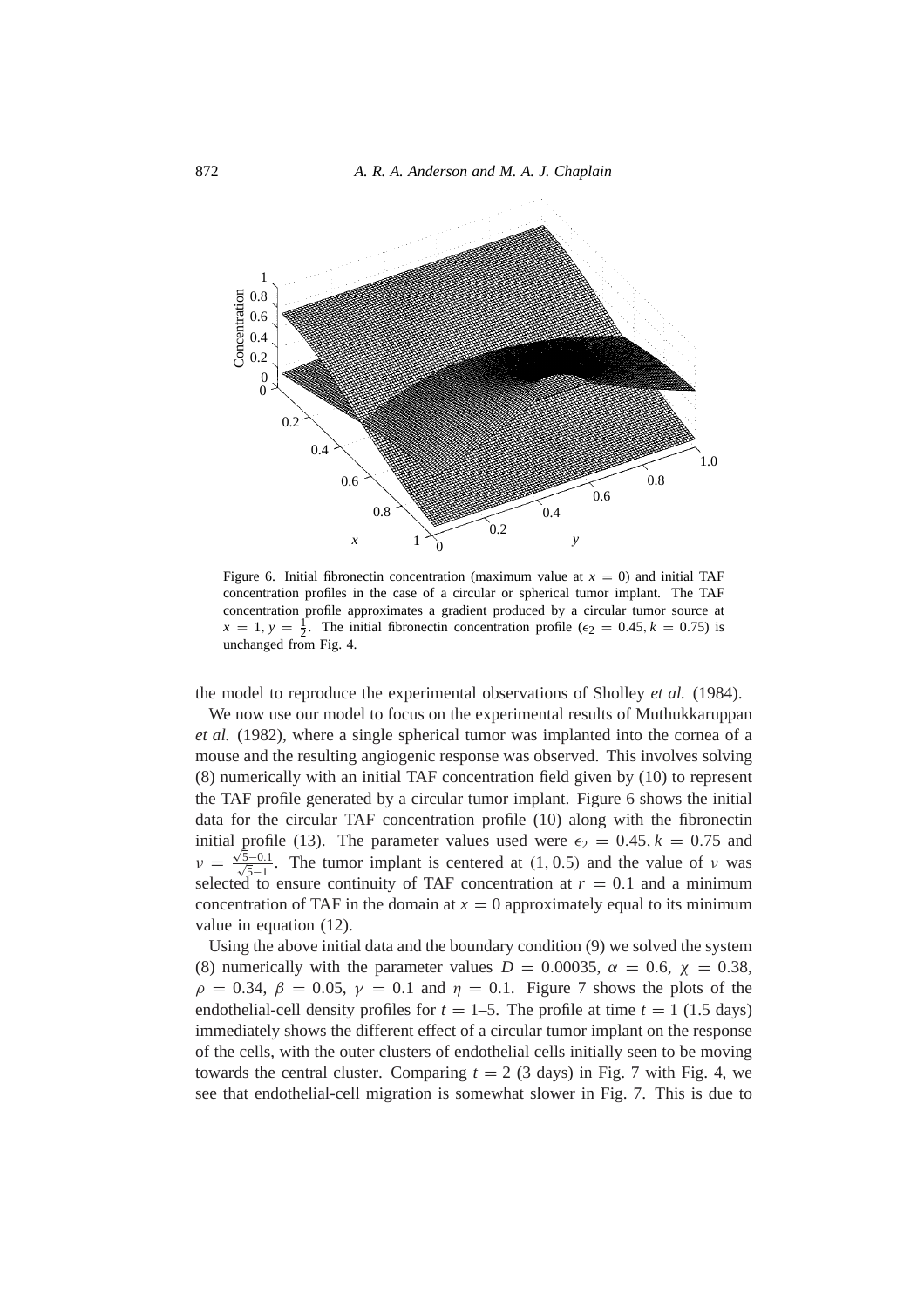![](_page_15_Figure_1.jpeg)

Figure 6. Initial fibronectin concentration (maximum value at  $x = 0$ ) and initial TAF concentration profiles in the case of a circular or spherical tumor implant. The TAF concentration profile approximates a gradient produced by a circular tumor source at  $x = 1$ ,  $y = \frac{1}{2}$ . The initial fibronectin concentration profile ( $\epsilon_2 = 0.45$ ,  $k = 0.75$ ) is unchanged from Fig. 4.

the model to reproduce the experimental observations of [Sholley](#page-41-0) *et al.* (1984).

We now use our model to focus on the experimental results of [Muthukkaruppan](#page-40-0) *et al.* [\(1982\),](#page-40-0) where a single spherical tumor was implanted into the cornea of a mouse and the resulting angiogenic response was observed. This involves solving (8) numerically with an initial TAF concentration field given by (10) to represent the TAF profile generated by a circular tumor implant. Figure 6 shows the initial data for the circular TAF concentration profile (10) along with the fibronectin initial profile (13). The parameter values used were  $\epsilon_2 = 0.45$ ,  $k = 0.75$  and  $v = \frac{\sqrt{5}-0.1}{\sqrt{5}-1}$ . The tumor implant is centered at (1, 0.5) and the value of *ν* was selected to ensure continuity of TAF concentration at  $r = 0.1$  and a minimum concentration of TAF in the domain at  $x = 0$  approximately equal to its minimum value in equation (12).

Using the above initial data and the boundary condition (9) we solved the system (8) numerically with the parameter values  $D = 0.00035$ ,  $\alpha = 0.6$ ,  $\chi = 0.38$ ,  $\rho = 0.34$ ,  $\beta = 0.05$ ,  $\gamma = 0.1$  and  $\eta = 0.1$ . Figure 7 shows the plots of the endothelial-cell density profiles for  $t = 1-5$ . The profile at time  $t = 1$  (1.5 days) immediately shows the different effect of a circular tumor implant on the response of the cells, with the outer clusters of endothelial cells initially seen to be moving towards the central cluster. Comparing  $t = 2$  (3 days) in Fig. 7 with Fig. 4, we see that endothelial-cell migration is somewhat slower in Fig. 7. This is due to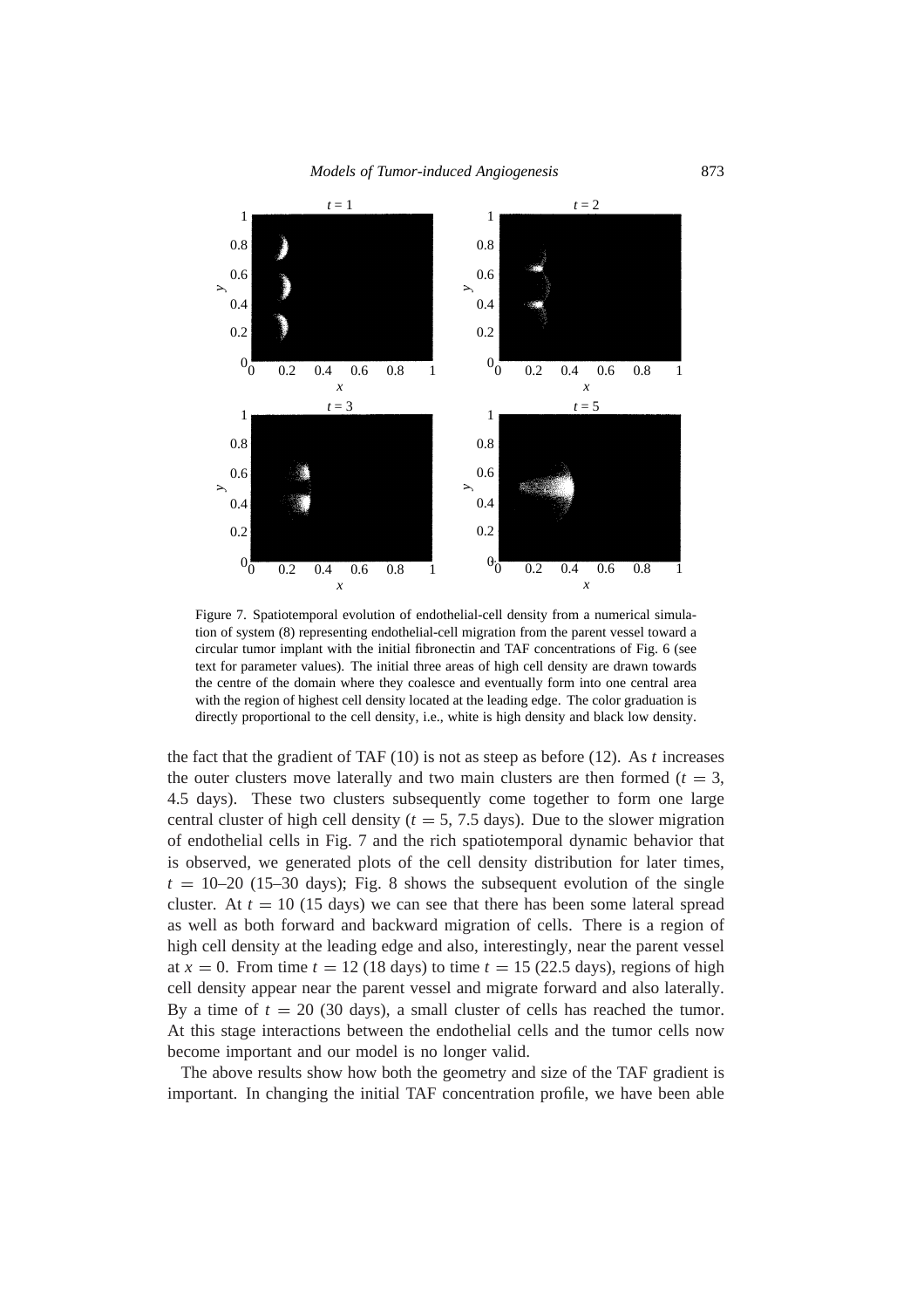![](_page_16_Figure_1.jpeg)

Figure 7. Spatiotemporal evolution of endothelial-cell density from a numerical simulation of system (8) representing endothelial-cell migration from the parent vessel toward a circular tumor implant with the initial fibronectin and TAF concentrations of Fig. 6 (see text for parameter values). The initial three areas of high cell density are drawn towards the centre of the domain where they coalesce and eventually form into one central area with the region of highest cell density located at the leading edge. The color graduation is directly proportional to the cell density, i.e., white is high density and black low density.

the fact that the gradient of TAF  $(10)$  is not as steep as before  $(12)$ . As *t* increases the outer clusters move laterally and two main clusters are then formed  $(t = 3,$ 4.5 days). These two clusters subsequently come together to form one large central cluster of high cell density ( $t = 5, 7.5$  days). Due to the slower migration of endothelial cells in Fig. 7 and the rich spatiotemporal dynamic behavior that is observed, we generated plots of the cell density distribution for later times,  $t = 10-20$  (15–30 days); Fig. 8 shows the subsequent evolution of the single cluster. At  $t = 10$  (15 days) we can see that there has been some lateral spread as well as both forward and backward migration of cells. There is a region of high cell density at the leading edge and also, interestingly, near the parent vessel at  $x = 0$ . From time  $t = 12$  (18 days) to time  $t = 15$  (22.5 days), regions of high cell density appear near the parent vessel and migrate forward and also laterally. By a time of  $t = 20$  (30 days), a small cluster of cells has reached the tumor. At this stage interactions between the endothelial cells and the tumor cells now become important and our model is no longer valid.

The above results show how both the geometry and size of the TAF gradient is important. In changing the initial TAF concentration profile, we have been able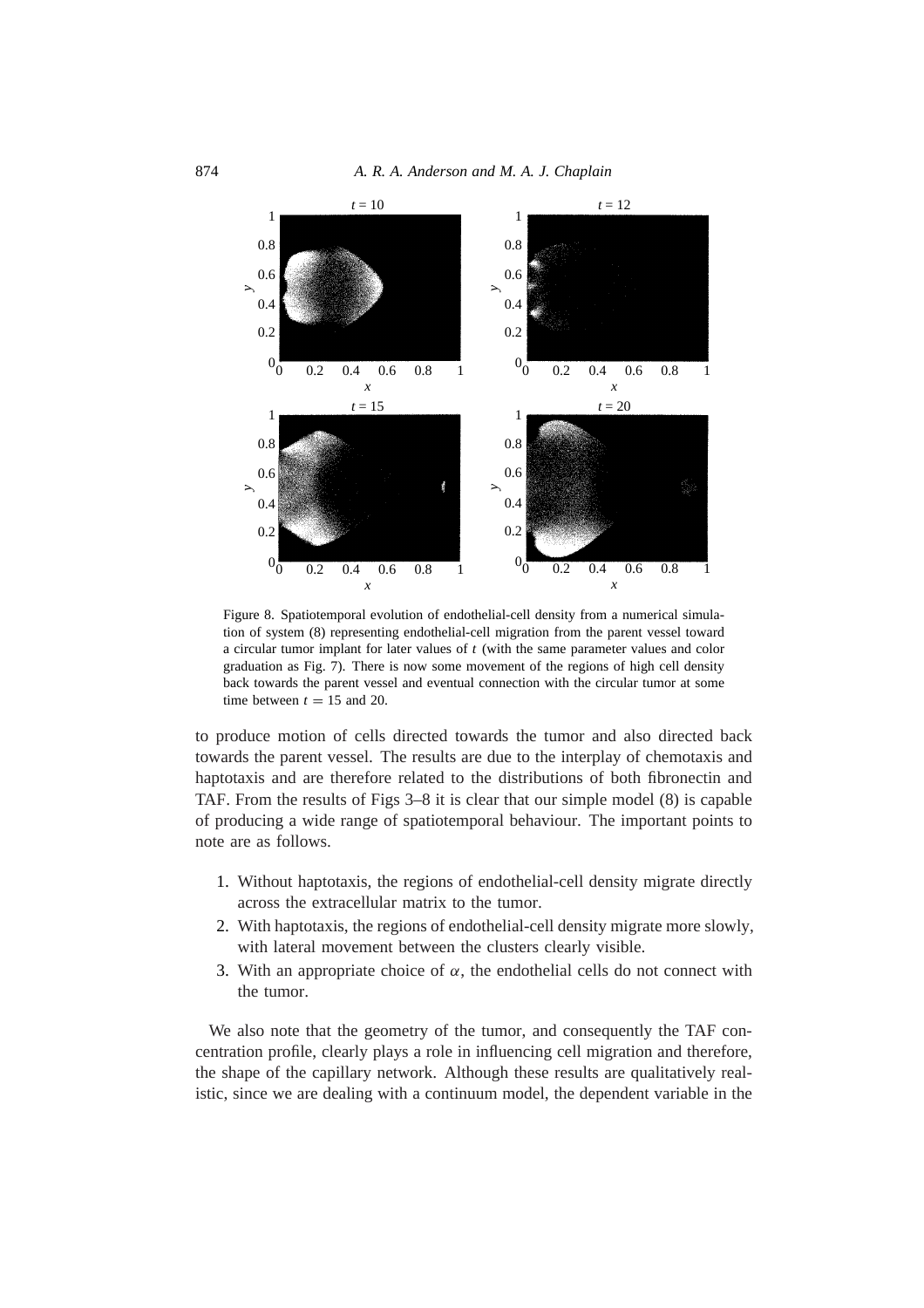![](_page_17_Figure_1.jpeg)

Figure 8. Spatiotemporal evolution of endothelial-cell density from a numerical simulation of system (8) representing endothelial-cell migration from the parent vessel toward a circular tumor implant for later values of *t* (with the same parameter values and color graduation as Fig. 7). There is now some movement of the regions of high cell density back towards the parent vessel and eventual connection with the circular tumor at some time between  $t = 15$  and 20.

to produce motion of cells directed towards the tumor and also directed back towards the parent vessel. The results are due to the interplay of chemotaxis and haptotaxis and are therefore related to the distributions of both fibronectin and TAF. From the results of Figs 3–8 it is clear that our simple model (8) is capable of producing a wide range of spatiotemporal behaviour. The important points to note are as follows.

- 1. Without haptotaxis, the regions of endothelial-cell density migrate directly across the extracellular matrix to the tumor.
- 2. With haptotaxis, the regions of endothelial-cell density migrate more slowly, with lateral movement between the clusters clearly visible.
- 3. With an appropriate choice of  $\alpha$ , the endothelial cells do not connect with the tumor.

We also note that the geometry of the tumor, and consequently the TAF concentration profile, clearly plays a role in influencing cell migration and therefore, the shape of the capillary network. Although these results are qualitatively realistic, since we are dealing with a continuum model, the dependent variable in the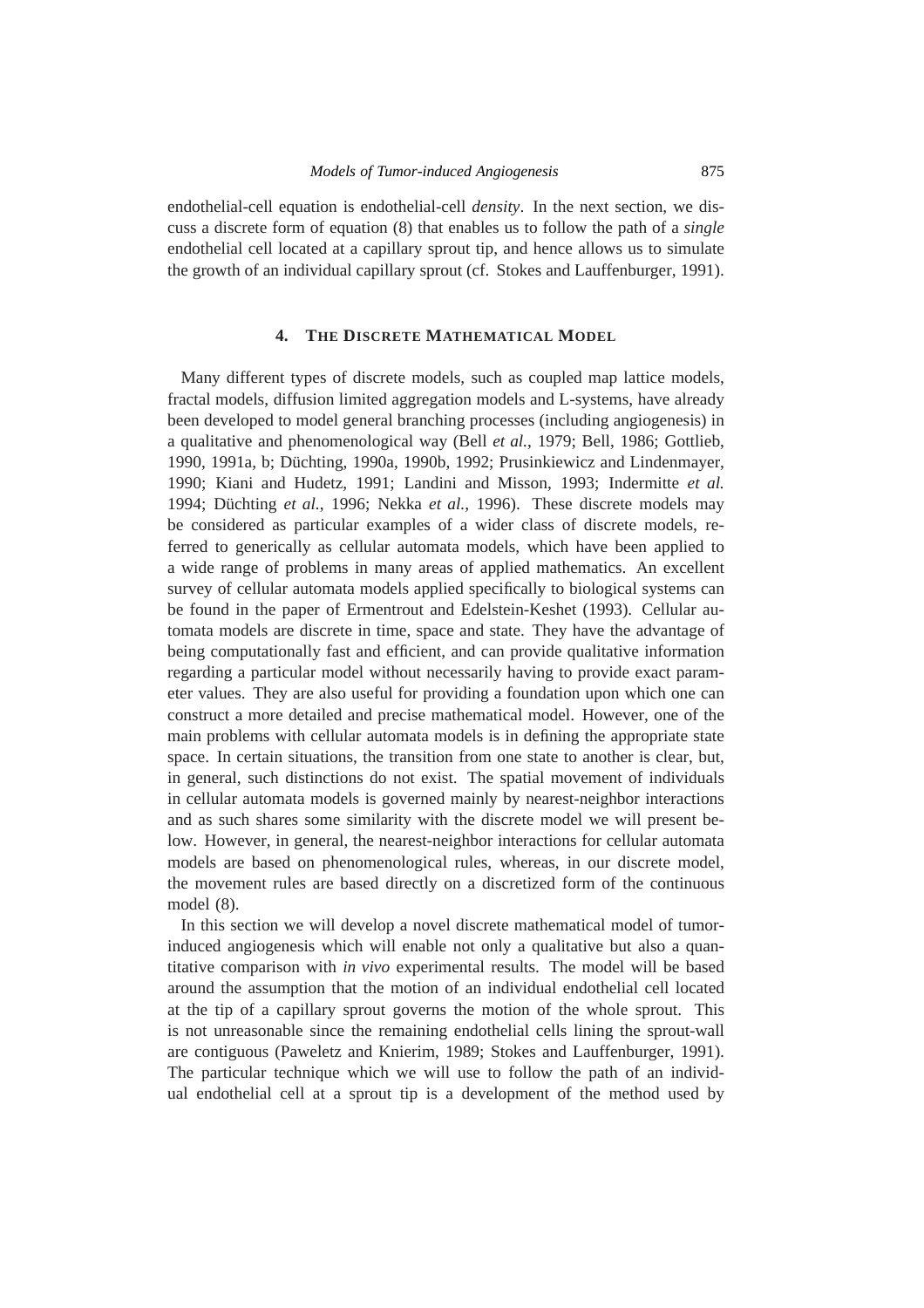endothelial-cell equation is endothelial-cell *density*. In the next section, we discuss a discrete form of equation (8) that enables us to follow the path of a *single* endothelial cell located at a capillary sprout tip, and hence allows us to simulate the growth of an individual capillary sprout (cf. [Stokes and Lauffenburger, 1991](#page-42-0)).

# **4. THE DISCRETE MATHEMATICAL MODEL**

Many different types of discrete models, such as coupled map lattice models, fractal models, diffusion limited aggregation models and L-systems, have already been developed to model general branching processes (including angiogenesis) in a qualitative and phenomenological way (Bell *et al.*[, 1979; Bell, 1986;](#page-36-0) [Gottlieb,](#page-38-0) [1990, 1991a, b;](#page-38-0) [Duchting, 1990a, 1990b, 1992;](#page-37-0) [Prusinkiewicz and Lindenmayer,](#page-41-0) ¨ [1990;](#page-41-0) [Kiani and Hudetz, 1991; Landini and Misson, 1993](#page-39-0); [Indermitte](#page-39-0) *et al.* [1994;](#page-39-0) Düchting *et al.*, 1996; [Nekka](#page-40-0) *et al.*, 1996). These discrete models may be considered as particular examples of a wider class of discrete models, referred to generically as cellular automata models, which have been applied to a wide range of problems in many areas of applied mathematics. An excellent survey of cellular automata models applied specifically to biological systems can be found in the paper of [Ermentrout and Edelstein-Keshet \(1993\).](#page-37-0) Cellular automata models are discrete in time, space and state. They have the advantage of being computationally fast and efficient, and can provide qualitative information regarding a particular model without necessarily having to provide exact parameter values. They are also useful for providing a foundation upon which one can construct a more detailed and precise mathematical model. However, one of the main problems with cellular automata models is in defining the appropriate state space. In certain situations, the transition from one state to another is clear, but, in general, such distinctions do not exist. The spatial movement of individuals in cellular automata models is governed mainly by nearest-neighbor interactions and as such shares some similarity with the discrete model we will present below. However, in general, the nearest-neighbor interactions for cellular automata models are based on phenomenological rules, whereas, in our discrete model, the movement rules are based directly on a discretized form of the continuous model (8).

In this section we will develop a novel discrete mathematical model of tumorinduced angiogenesis which will enable not only a qualitative but also a quantitative comparison with *in vivo* experimental results. The model will be based around the assumption that the motion of an individual endothelial cell located at the tip of a capillary sprout governs the motion of the whole sprout. This is not unreasonable since the remaining endothelial cells lining the sprout-wall are contiguous [\(Paweletz and Knierim, 1989;](#page-41-0) [Stokes and Lauffenburger, 1991\)](#page-42-0). The particular technique which we will use to follow the path of an individual endothelial cell at a sprout tip is a development of the method used by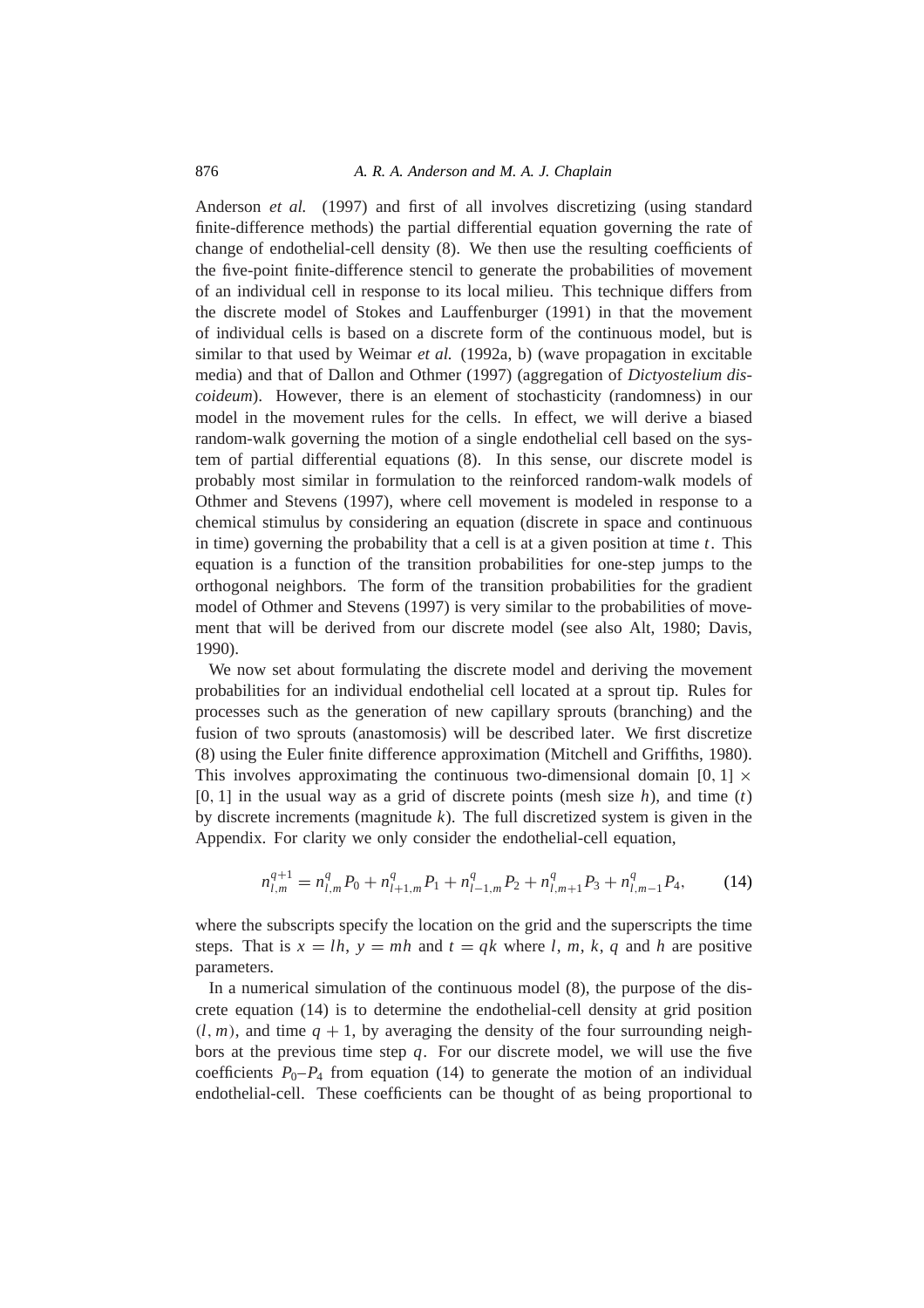[Anderson](#page-36-0) *et al.* (1997) and first of all involves discretizing (using standard finite-difference methods) the partial differential equation governing the rate of change of endothelial-cell density (8). We then use the resulting coefficients of the five-point finite-difference stencil to generate the probabilities of movement of an individual cell in response to its local milieu. This technique differs from the discrete model of [Stokes and Lauffenburger \(1991\)](#page-42-0) in that the movement of individual cells is based on a discrete form of the continuous model, but is similar to that used by Weimar *et al.* [\(1992a, b\)](#page-42-0) (wave propagation in excitable media) and that of [Dallon and Othmer \(1997\)](#page-37-0) (aggregation of *Dictyostelium discoideum*). However, there is an element of stochasticity (randomness) in our model in the movement rules for the cells. In effect, we will derive a biased random-walk governing the motion of a single endothelial cell based on the system of partial differential equations (8). In this sense, our discrete model is probably most similar in formulation to the reinforced random-walk models of [Othmer and Stevens \(1997\),](#page-40-0) where cell movement is modeled in response to a chemical stimulus by considering an equation (discrete in space and continuous in time) governing the probability that a cell is at a given position at time *t*. This equation is a function of the transition probabilities for one-step jumps to the orthogonal neighbors. The form of the transition probabilities for the gradient model of [Othmer and Stevens \(1997\)](#page-40-0) is very similar to the probabilities of movement that will be derived from our discrete model (see also [Alt, 1980;](#page-36-0) [Davis,](#page-37-0) [1990\)](#page-37-0).

We now set about formulating the discrete model and deriving the movement probabilities for an individual endothelial cell located at a sprout tip. Rules for processes such as the generation of new capillary sprouts (branching) and the fusion of two sprouts (anastomosis) will be described later. We first discretize (8) using the Euler finite difference approximation ([Mitchell and Griffiths, 1980\)](#page-40-0). This involves approximating the continuous two-dimensional domain  $[0, 1] \times$ [0, 1] in the usual way as a grid of discrete points (mesh size *h*), and time (*t*) by discrete increments (magnitude *k*). The full discretized system is given in the Appendix. For clarity we only consider the endothelial-cell equation,

$$
n_{l,m}^{q+1} = n_{l,m}^q P_0 + n_{l+1,m}^q P_1 + n_{l-1,m}^q P_2 + n_{l,m+1}^q P_3 + n_{l,m-1}^q P_4,\tag{14}
$$

where the subscripts specify the location on the grid and the superscripts the time steps. That is  $x = lh$ ,  $y = mh$  and  $t = qk$  where *l*, *m*, *k*, *q* and *h* are positive parameters.

In a numerical simulation of the continuous model (8), the purpose of the discrete equation (14) is to determine the endothelial-cell density at grid position  $(l, m)$ , and time  $q + 1$ , by averaging the density of the four surrounding neighbors at the previous time step *q*. For our discrete model, we will use the five coefficients  $P_0-P_4$  from equation (14) to generate the motion of an individual endothelial-cell. These coefficients can be thought of as being proportional to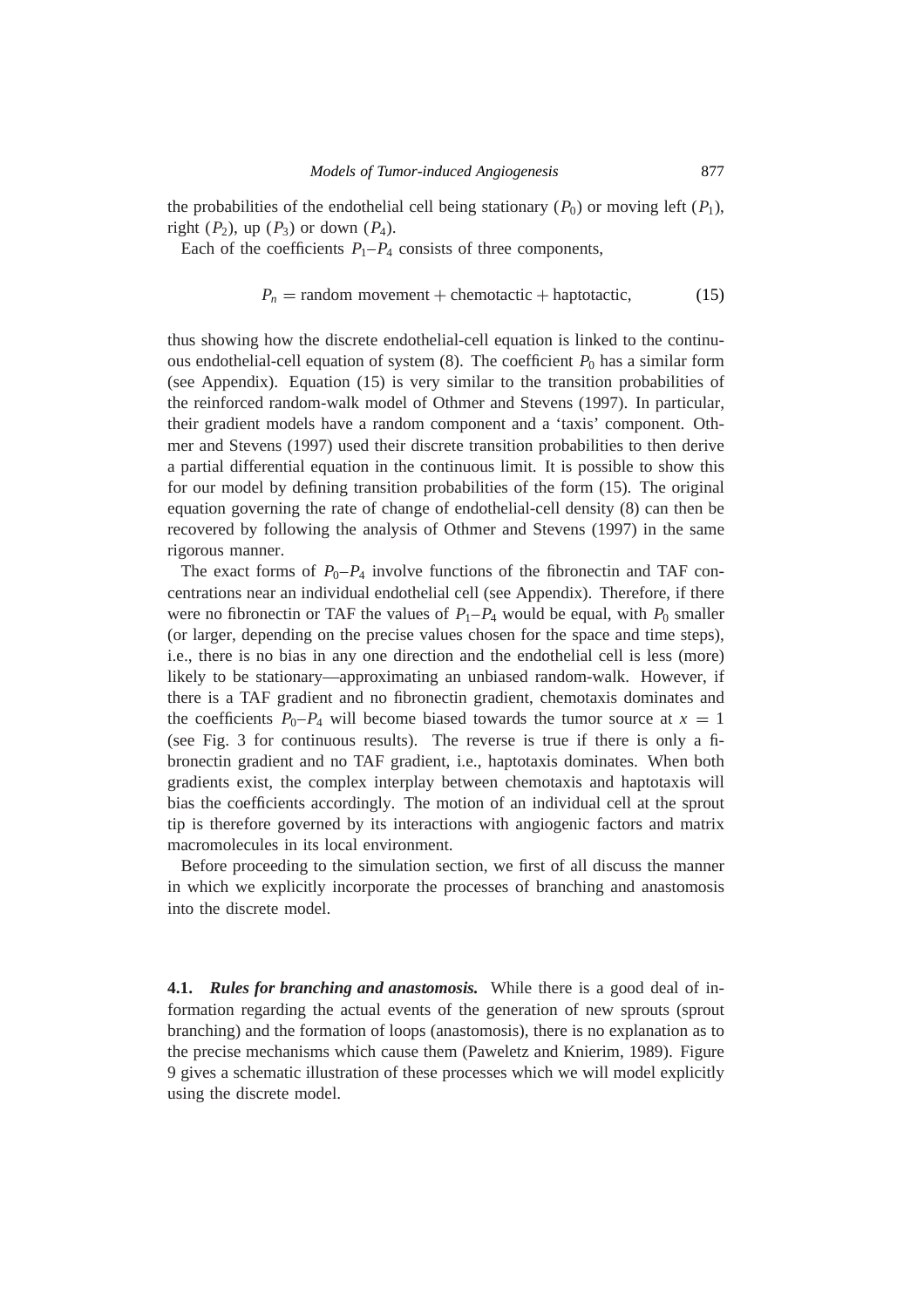the probabilities of the endothelial cell being stationary  $(P_0)$  or moving left  $(P_1)$ , right  $(P_2)$ , up  $(P_3)$  or down  $(P_4)$ .

Each of the coefficients  $P_1-P_4$  consists of three components,

$$
P_n = \text{random movement} + \text{chematic} + \text{haptotactic},\tag{15}
$$

thus showing how the discrete endothelial-cell equation is linked to the continuous endothelial-cell equation of system  $(8)$ . The coefficient  $P_0$  has a similar form (see Appendix). Equation (15) is very similar to the transition probabilities of the reinforced random-walk model of [Othmer and Stevens \(1997\).](#page-40-0) In particular, their gradient models have a random component and a 'taxis' component. [Oth](#page-40-0)mer and Stevens (1997) used their discrete transition probabilities to then derive a partial differential equation in the continuous limit. It is possible to show this for our model by defining transition probabilities of the form (15). The original equation governing the rate of change of endothelial-cell density (8) can then be recovered by following the analysis of [Othmer and Stevens \(1997\)](#page-40-0) in the same rigorous manner.

The exact forms of  $P_0-P_4$  involve functions of the fibronectin and TAF concentrations near an individual endothelial cell (see Appendix). Therefore, if there were no fibronectin or TAF the values of  $P_1-P_4$  would be equal, with  $P_0$  smaller (or larger, depending on the precise values chosen for the space and time steps), i.e., there is no bias in any one direction and the endothelial cell is less (more) likely to be stationary—approximating an unbiased random-walk. However, if there is a TAF gradient and no fibronectin gradient, chemotaxis dominates and the coefficients  $P_0-P_4$  will become biased towards the tumor source at  $x=1$ (see Fig. 3 for continuous results). The reverse is true if there is only a fibronectin gradient and no TAF gradient, i.e., haptotaxis dominates. When both gradients exist, the complex interplay between chemotaxis and haptotaxis will bias the coefficients accordingly. The motion of an individual cell at the sprout tip is therefore governed by its interactions with angiogenic factors and matrix macromolecules in its local environment.

Before proceeding to the simulation section, we first of all discuss the manner in which we explicitly incorporate the processes of branching and anastomosis into the discrete model.

**4.1.** *Rules for branching and anastomosis.* While there is a good deal of information regarding the actual events of the generation of new sprouts (sprout branching) and the formation of loops (anastomosis), there is no explanation as to the precise mechanisms which cause them [\(Paweletz and Knierim, 1989\).](#page-41-0) Figure 9 gives a schematic illustration of these processes which we will model explicitly using the discrete model.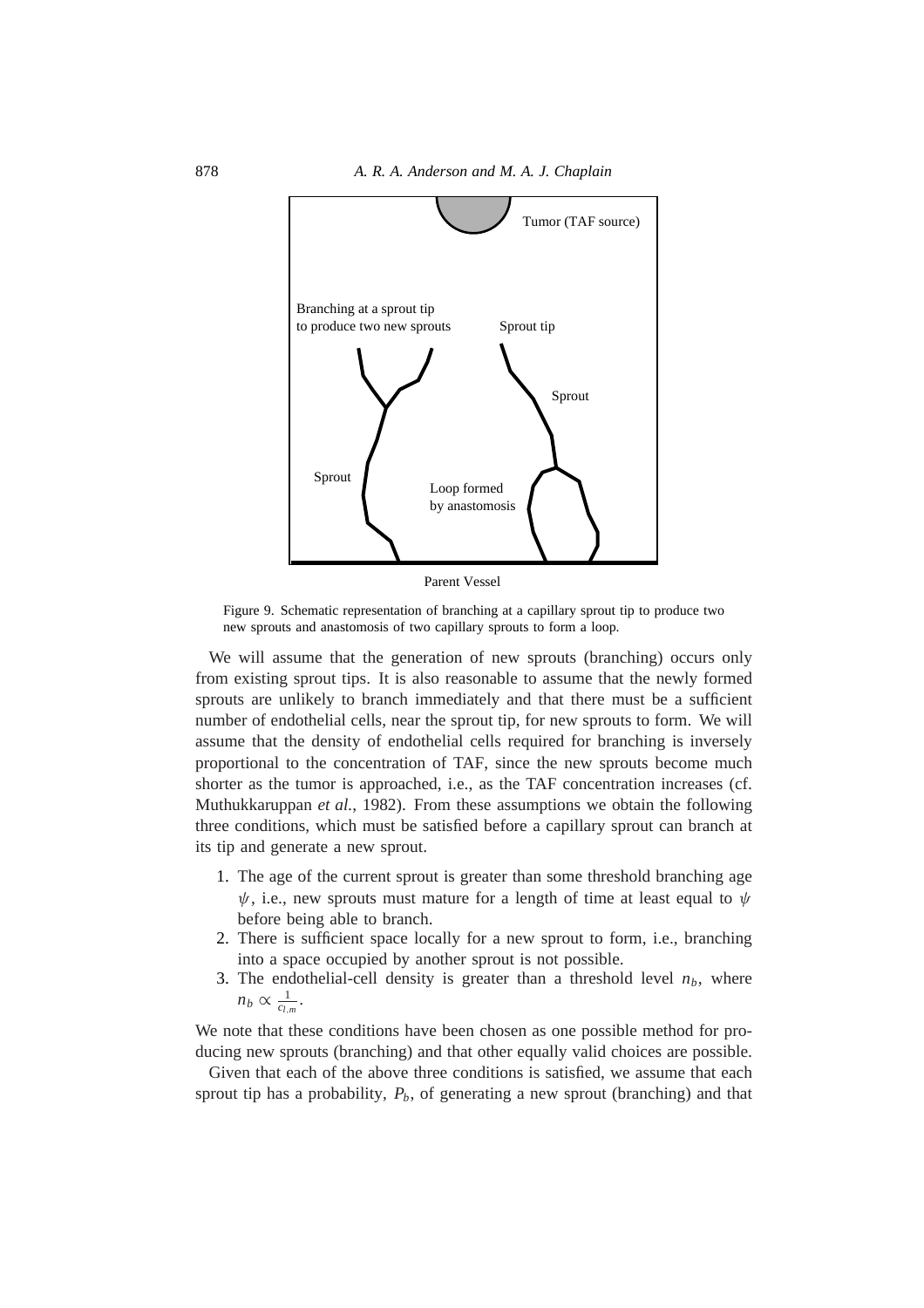878 *A. R. A. Anderson and M. A. J. Chaplain*

![](_page_21_Figure_1.jpeg)

Figure 9. Schematic representation of branching at a capillary sprout tip to produce two new sprouts and anastomosis of two capillary sprouts to form a loop.

We will assume that the generation of new sprouts (branching) occurs only from existing sprout tips. It is also reasonable to assume that the newly formed sprouts are unlikely to branch immediately and that there must be a sufficient number of endothelial cells, near the sprout tip, for new sprouts to form. We will assume that the density of endothelial cells required for branching is inversely proportional to the concentration of TAF, since the new sprouts become much shorter as the tumor is approached, i.e., as the TAF concentration increases (cf. [Muthukkaruppan](#page-40-0) *et al.*, 1982). From these assumptions we obtain the following three conditions, which must be satisfied before a capillary sprout can branch at its tip and generate a new sprout.

- 1. The age of the current sprout is greater than some threshold branching age  $\psi$ , i.e., new sprouts must mature for a length of time at least equal to  $\psi$ before being able to branch.
- 2. There is sufficient space locally for a new sprout to form, i.e., branching into a space occupied by another sprout is not possible.
- 3. The endothelial-cell density is greater than a threshold level  $n_b$ , where  $n_b \propto \frac{1}{c_{l,m}}$ .

We note that these conditions have been chosen as one possible method for producing new sprouts (branching) and that other equally valid choices are possible.

Given that each of the above three conditions is satisfied, we assume that each sprout tip has a probability, *Pb*, of generating a new sprout (branching) and that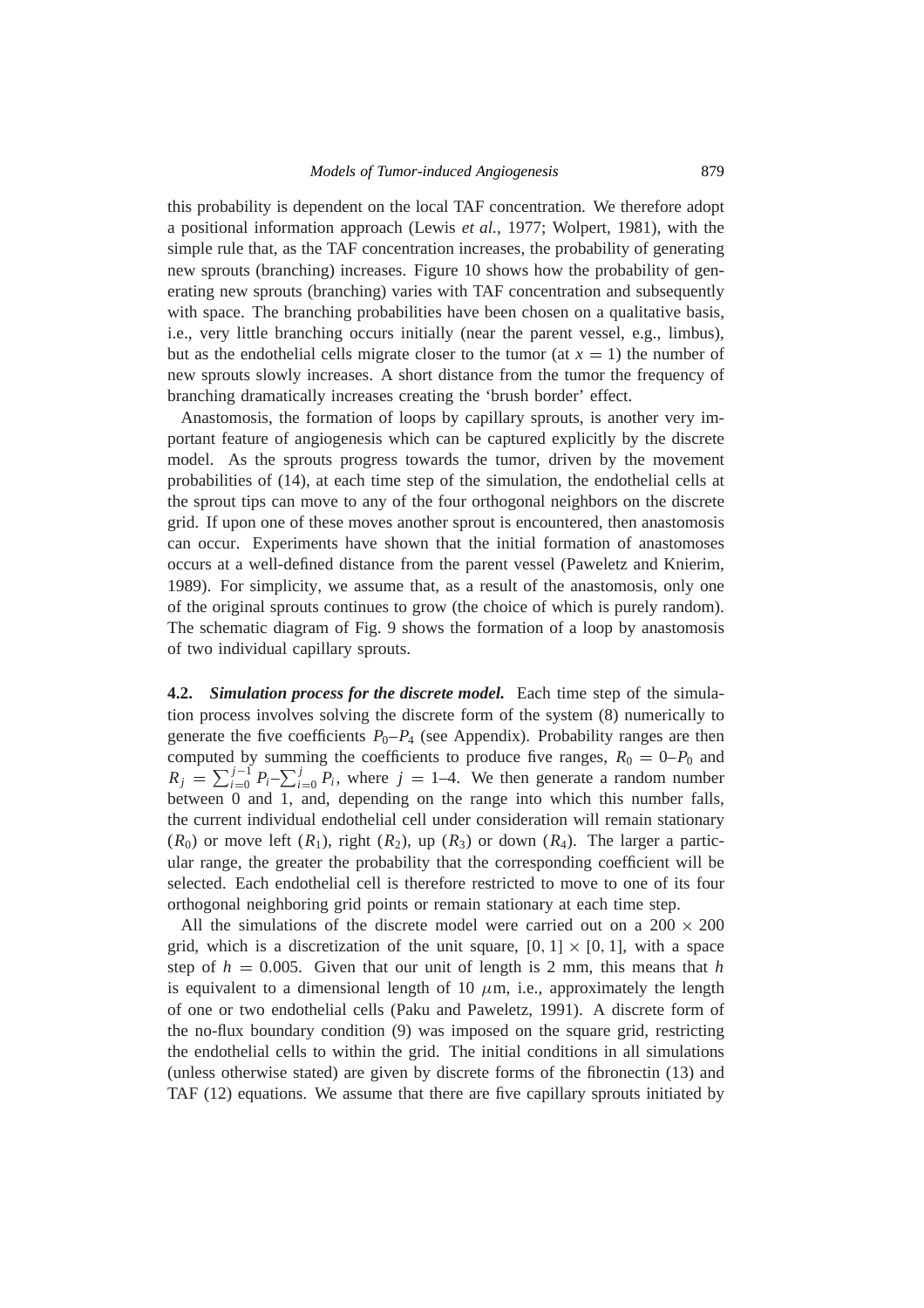this probability is dependent on the local TAF concentration. We therefore adopt a positional information approach (Lewis *et al.*[, 1977](#page-39-0)[; Wolpert, 1981](#page-42-0)), with the simple rule that, as the TAF concentration increases, the probability of generating new sprouts (branching) increases. Figure 10 shows how the probability of generating new sprouts (branching) varies with TAF concentration and subsequently with space. The branching probabilities have been chosen on a qualitative basis, i.e., very little branching occurs initially (near the parent vessel, e.g., limbus), but as the endothelial cells migrate closer to the tumor (at  $x = 1$ ) the number of new sprouts slowly increases. A short distance from the tumor the frequency of branching dramatically increases creating the 'brush border' effect.

Anastomosis, the formation of loops by capillary sprouts, is another very important feature of angiogenesis which can be captured explicitly by the discrete model. As the sprouts progress towards the tumor, driven by the movement probabilities of (14), at each time step of the simulation, the endothelial cells at the sprout tips can move to any of the four orthogonal neighbors on the discrete grid. If upon one of these moves another sprout is encountered, then anastomosis can occur. Experiments have shown that the initial formation of anastomoses occurs at a well-defined distance from the parent vessel [\(Paweletz and Knierim,](#page-41-0) [1989\)](#page-41-0). For simplicity, we assume that, as a result of the anastomosis, only one of the original sprouts continues to grow (the choice of which is purely random). The schematic diagram of Fig. 9 shows the formation of a loop by anastomosis of two individual capillary sprouts.

**4.2.** *Simulation process for the discrete model.* Each time step of the simulation process involves solving the discrete form of the system (8) numerically to generate the five coefficients  $P_0-P_4$  (see Appendix). Probability ranges are then computed by summing the coefficients to produce five ranges,  $R_0 = 0-P_0$  and  $R_j = \sum_{i=0}^{j-1} P_i - \sum_{i=0}^{j} P_i$ , where  $j = 1-4$ . We then generate a random number between 0 and 1, and, depending on the range into which this number falls, the current individual endothelial cell under consideration will remain stationary  $(R_0)$  or move left  $(R_1)$ , right  $(R_2)$ , up  $(R_3)$  or down  $(R_4)$ . The larger a particular range, the greater the probability that the corresponding coefficient will be selected. Each endothelial cell is therefore restricted to move to one of its four orthogonal neighboring grid points or remain stationary at each time step.

All the simulations of the discrete model were carried out on a  $200 \times 200$ grid, which is a discretization of the unit square,  $[0, 1] \times [0, 1]$ , with a space step of  $h = 0.005$ . Given that our unit of length is 2 mm, this means that *h* is equivalent to a dimensional length of 10  $\mu$ m, i.e., approximately the length of one or two endothelial cells [\(Paku and Paweletz, 1991\)](#page-40-0). A discrete form of the no-flux boundary condition (9) was imposed on the square grid, restricting the endothelial cells to within the grid. The initial conditions in all simulations (unless otherwise stated) are given by discrete forms of the fibronectin (13) and TAF (12) equations. We assume that there are five capillary sprouts initiated by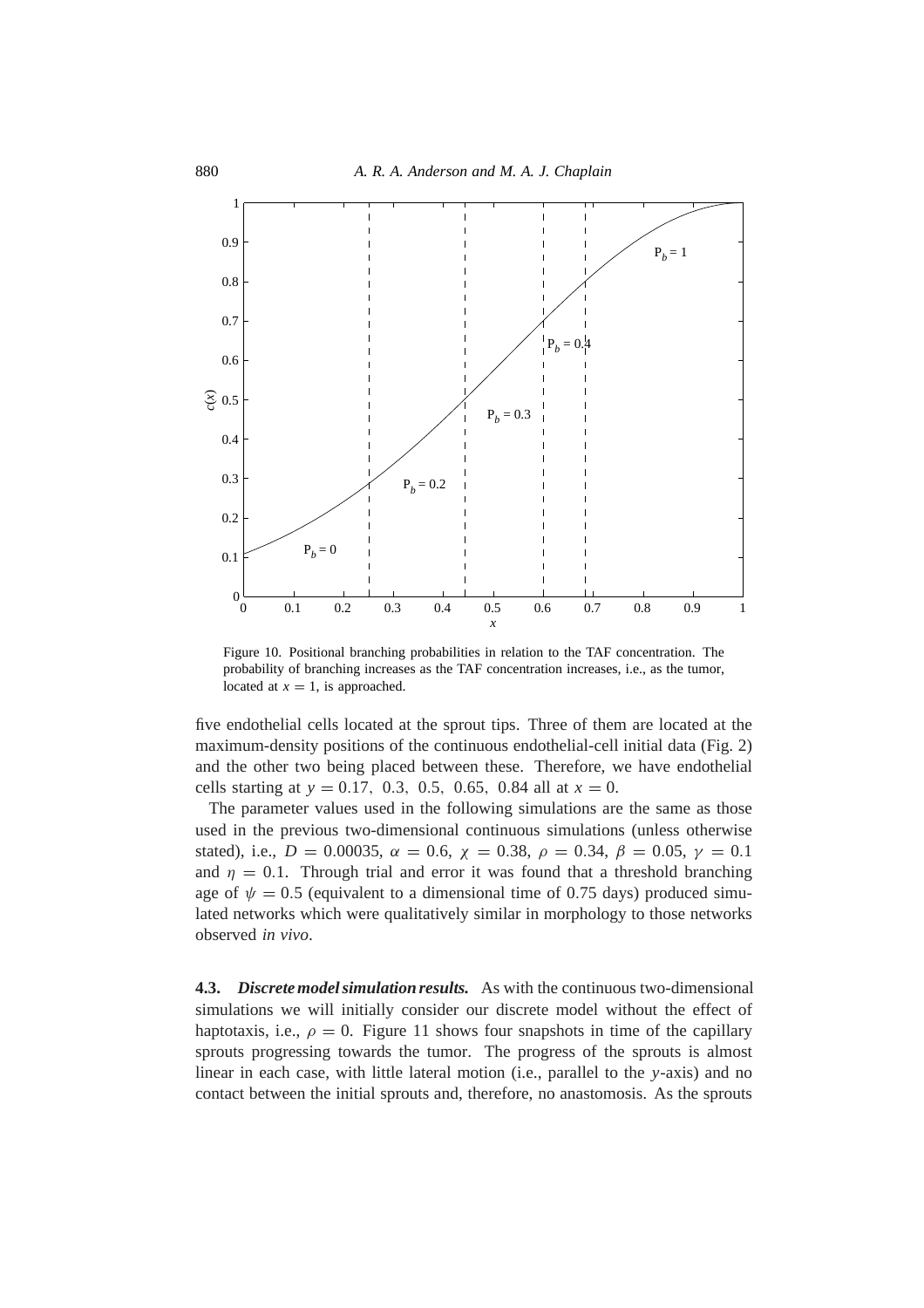![](_page_23_Figure_1.jpeg)

Figure 10. Positional branching probabilities in relation to the TAF concentration. The probability of branching increases as the TAF concentration increases, i.e., as the tumor, located at  $x = 1$ , is approached.

five endothelial cells located at the sprout tips. Three of them are located at the maximum-density positions of the continuous endothelial-cell initial data (Fig. 2) and the other two being placed between these. Therefore, we have endothelial cells starting at  $y = 0.17, 0.3, 0.5, 0.65, 0.84$  all at  $x = 0$ .

The parameter values used in the following simulations are the same as those used in the previous two-dimensional continuous simulations (unless otherwise stated), i.e.,  $D = 0.00035$ ,  $\alpha = 0.6$ ,  $\chi = 0.38$ ,  $\rho = 0.34$ ,  $\beta = 0.05$ ,  $\gamma = 0.1$ and  $\eta = 0.1$ . Through trial and error it was found that a threshold branching age of  $\psi = 0.5$  (equivalent to a dimensional time of 0.75 days) produced simulated networks which were qualitatively similar in morphology to those networks observed *in vivo*.

**4.3.** *Discrete model simulation results.* As with the continuous two-dimensional simulations we will initially consider our discrete model without the effect of haptotaxis, i.e.,  $\rho = 0$ . Figure 11 shows four snapshots in time of the capillary sprouts progressing towards the tumor. The progress of the sprouts is almost linear in each case, with little lateral motion (i.e., parallel to the *y*-axis) and no contact between the initial sprouts and, therefore, no anastomosis. As the sprouts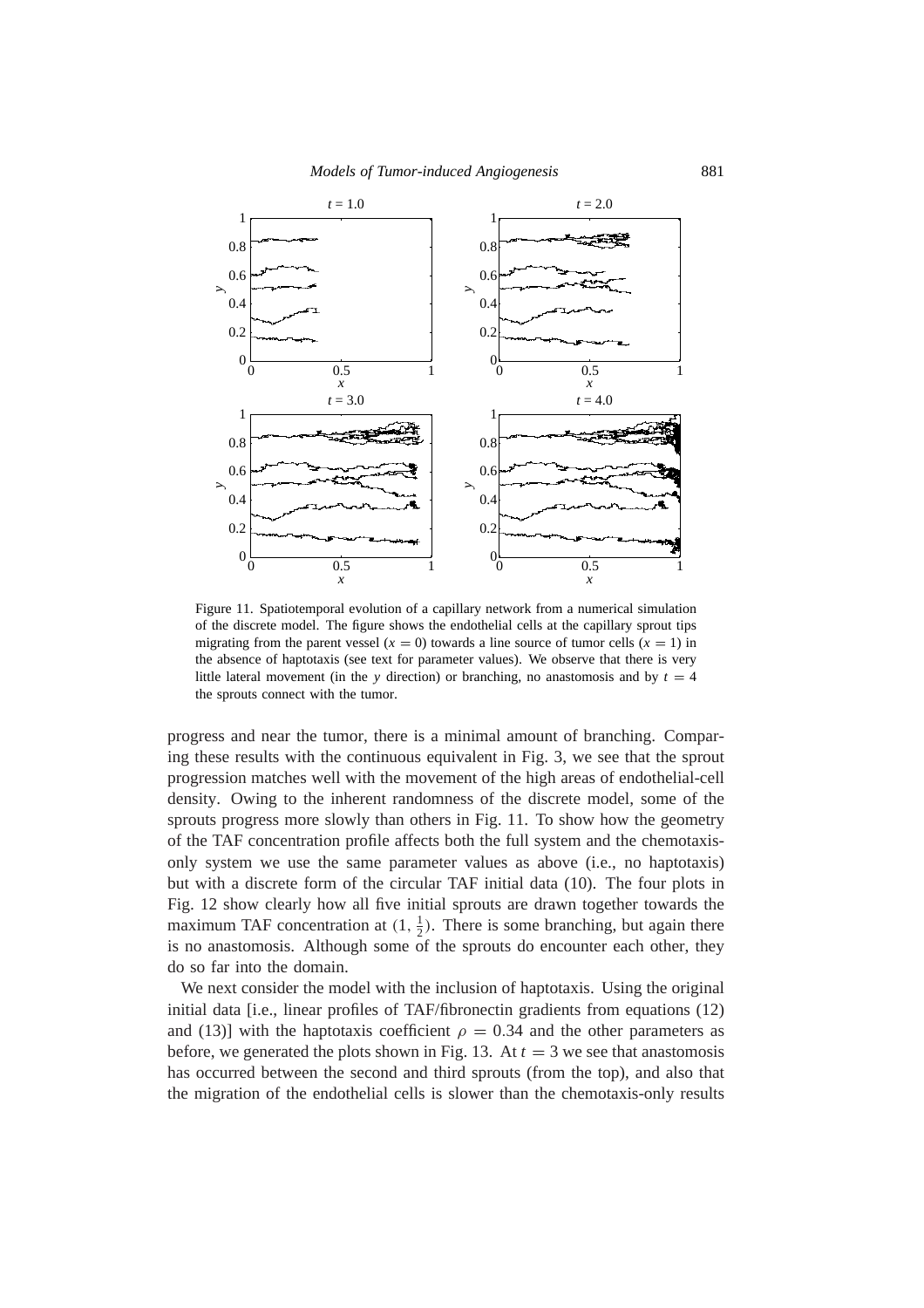![](_page_24_Figure_1.jpeg)

Figure 11. Spatiotemporal evolution of a capillary network from a numerical simulation of the discrete model. The figure shows the endothelial cells at the capillary sprout tips migrating from the parent vessel  $(x = 0)$  towards a line source of tumor cells  $(x = 1)$  in the absence of haptotaxis (see text for parameter values). We observe that there is very little lateral movement (in the *y* direction) or branching, no anastomosis and by  $t = 4$ the sprouts connect with the tumor.

progress and near the tumor, there is a minimal amount of branching. Comparing these results with the continuous equivalent in Fig. 3, we see that the sprout progression matches well with the movement of the high areas of endothelial-cell density. Owing to the inherent randomness of the discrete model, some of the sprouts progress more slowly than others in Fig. 11. To show how the geometry of the TAF concentration profile affects both the full system and the chemotaxisonly system we use the same parameter values as above (i.e., no haptotaxis) but with a discrete form of the circular TAF initial data (10). The four plots in Fig. 12 show clearly how all five initial sprouts are drawn together towards the maximum TAF concentration at  $(1, \frac{1}{2})$ . There is some branching, but again there is no anastomosis. Although some of the sprouts do encounter each other, they do so far into the domain.

We next consider the model with the inclusion of haptotaxis. Using the original initial data [i.e., linear profiles of TAF/fibronectin gradients from equations (12) and (13)] with the haptotaxis coefficient  $\rho = 0.34$  and the other parameters as before, we generated the plots shown in Fig. 13. At  $t = 3$  we see that anastomosis has occurred between the second and third sprouts (from the top), and also that the migration of the endothelial cells is slower than the chemotaxis-only results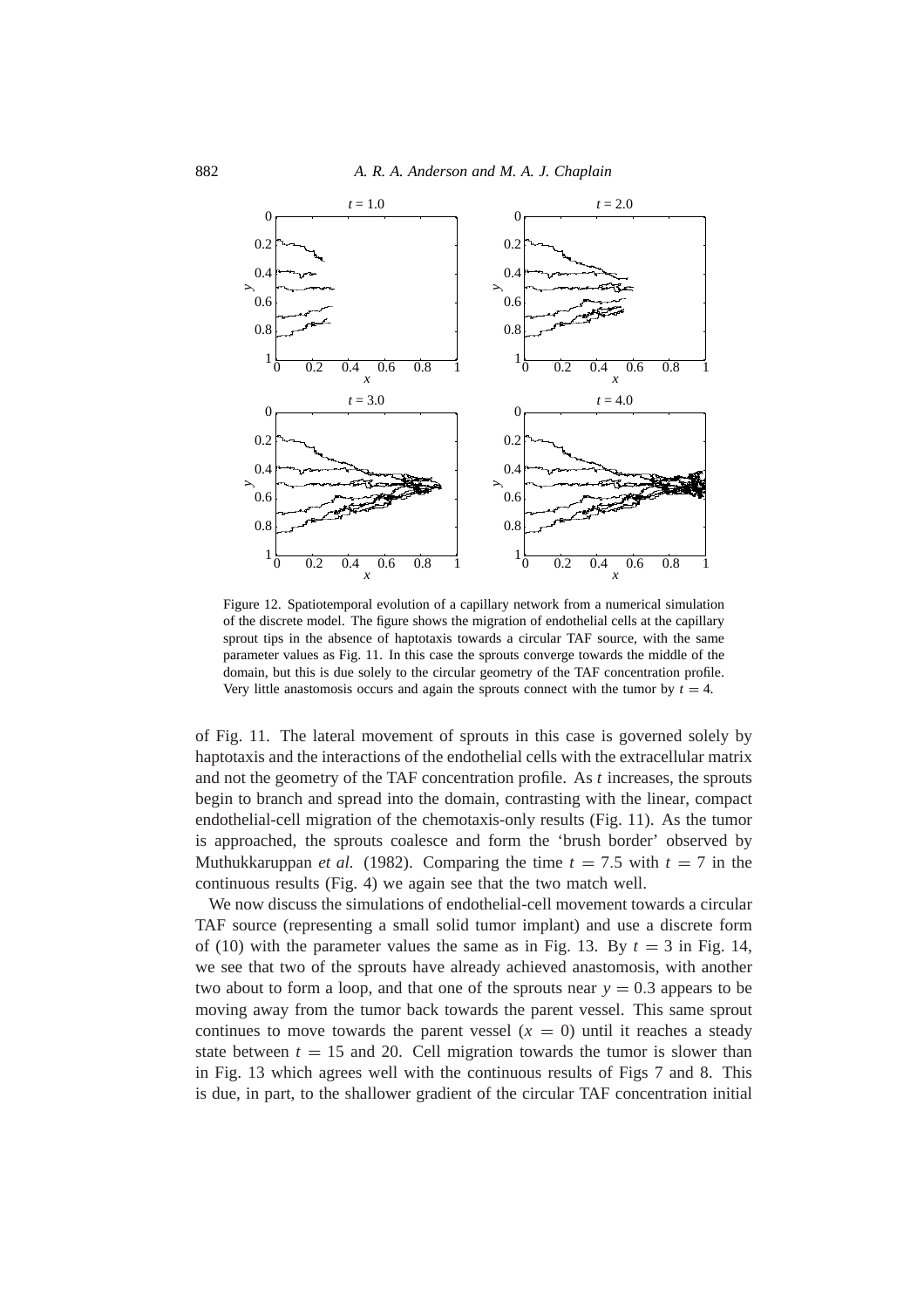![](_page_25_Figure_1.jpeg)

Figure 12. Spatiotemporal evolution of a capillary network from a numerical simulation of the discrete model. The figure shows the migration of endothelial cells at the capillary sprout tips in the absence of haptotaxis towards a circular TAF source, with the same parameter values as Fig. 11. In this case the sprouts converge towards the middle of the domain, but this is due solely to the circular geometry of the TAF concentration profile. Very little anastomosis occurs and again the sprouts connect with the tumor by  $t = 4$ .

of Fig. 11. The lateral movement of sprouts in this case is governed solely by haptotaxis and the interactions of the endothelial cells with the extracellular matrix and not the geometry of the TAF concentration profile. As *t* increases, the sprouts begin to branch and spread into the domain, contrasting with the linear, compact endothelial-cell migration of the chemotaxis-only results (Fig. 11). As the tumor is approached, the sprouts coalesce and form the 'brush border' observed by [Muthukkaruppan](#page-40-0) *et al.* (1982). Comparing the time  $t = 7.5$  with  $t = 7$  in the continuous results (Fig. 4) we again see that the two match well.

We now discuss the simulations of endothelial-cell movement towards a circular TAF source (representing a small solid tumor implant) and use a discrete form of (10) with the parameter values the same as in Fig. 13. By  $t = 3$  in Fig. 14, we see that two of the sprouts have already achieved anastomosis, with another two about to form a loop, and that one of the sprouts near  $y = 0.3$  appears to be moving away from the tumor back towards the parent vessel. This same sprout continues to move towards the parent vessel  $(x = 0)$  until it reaches a steady state between  $t = 15$  and 20. Cell migration towards the tumor is slower than in Fig. 13 which agrees well with the continuous results of Figs 7 and 8. This is due, in part, to the shallower gradient of the circular TAF concentration initial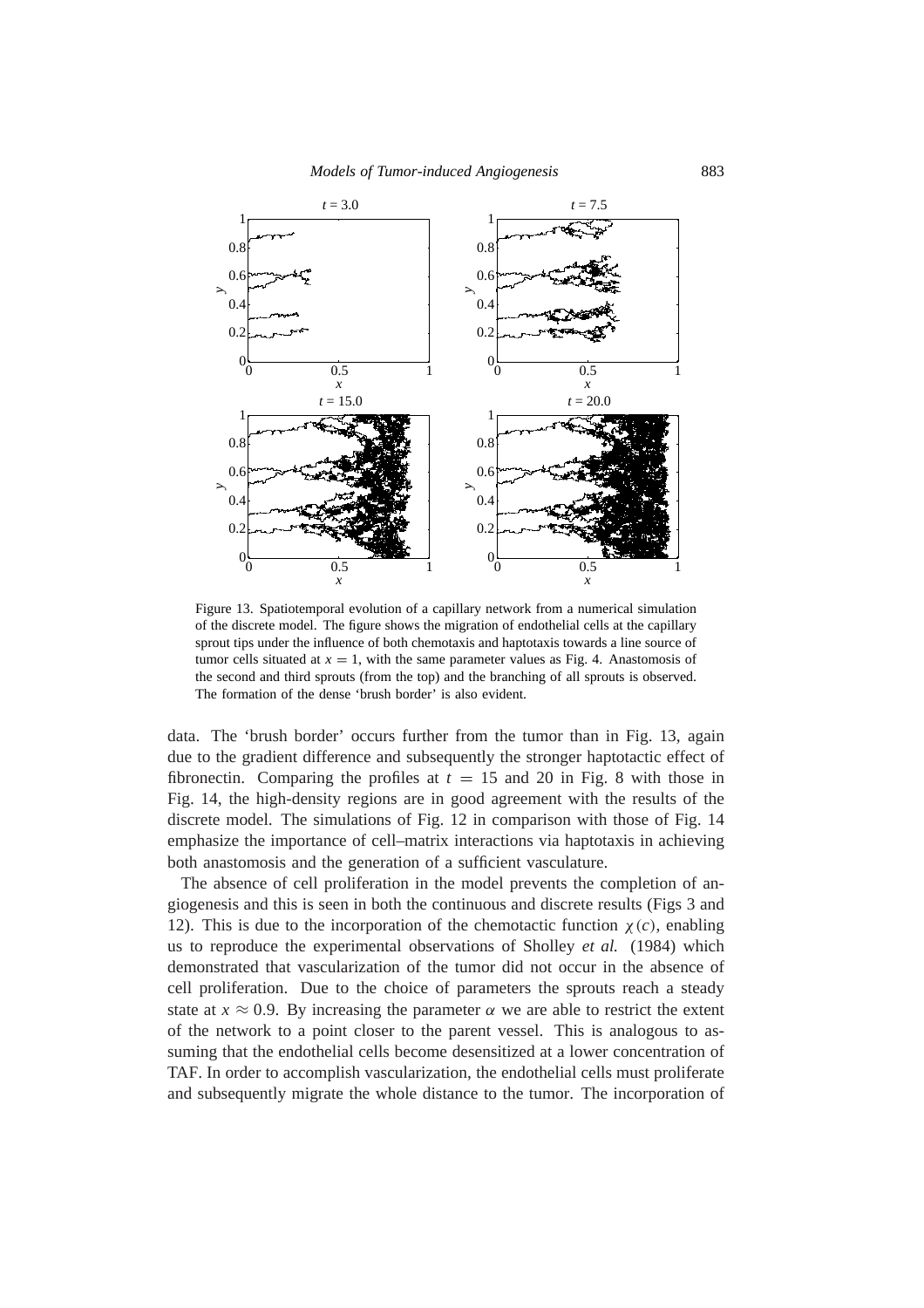![](_page_26_Figure_1.jpeg)

Figure 13. Spatiotemporal evolution of a capillary network from a numerical simulation of the discrete model. The figure shows the migration of endothelial cells at the capillary sprout tips under the influence of both chemotaxis and haptotaxis towards a line source of tumor cells situated at  $x = 1$ , with the same parameter values as Fig. 4. Anastomosis of the second and third sprouts (from the top) and the branching of all sprouts is observed. The formation of the dense 'brush border' is also evident.

data. The 'brush border' occurs further from the tumor than in Fig. 13, again due to the gradient difference and subsequently the stronger haptotactic effect of fibronectin. Comparing the profiles at  $t = 15$  and 20 in Fig. 8 with those in Fig. 14, the high-density regions are in good agreement with the results of the discrete model. The simulations of Fig. 12 in comparison with those of Fig. 14 emphasize the importance of cell–matrix interactions via haptotaxis in achieving both anastomosis and the generation of a sufficient vasculature.

The absence of cell proliferation in the model prevents the completion of angiogenesis and this is seen in both the continuous and discrete results (Figs 3 and 12). This is due to the incorporation of the chemotactic function  $\chi(c)$ , enabling us to reproduce the experimental observations of [Sholley](#page-42-0) *et al.* (1984) which demonstrated that vascularization of the tumor did not occur in the absence of cell proliferation. Due to the choice of parameters the sprouts reach a steady state at  $x \approx 0.9$ . By increasing the parameter  $\alpha$  we are able to restrict the extent of the network to a point closer to the parent vessel. This is analogous to assuming that the endothelial cells become desensitized at a lower concentration of TAF. In order to accomplish vascularization, the endothelial cells must proliferate and subsequently migrate the whole distance to the tumor. The incorporation of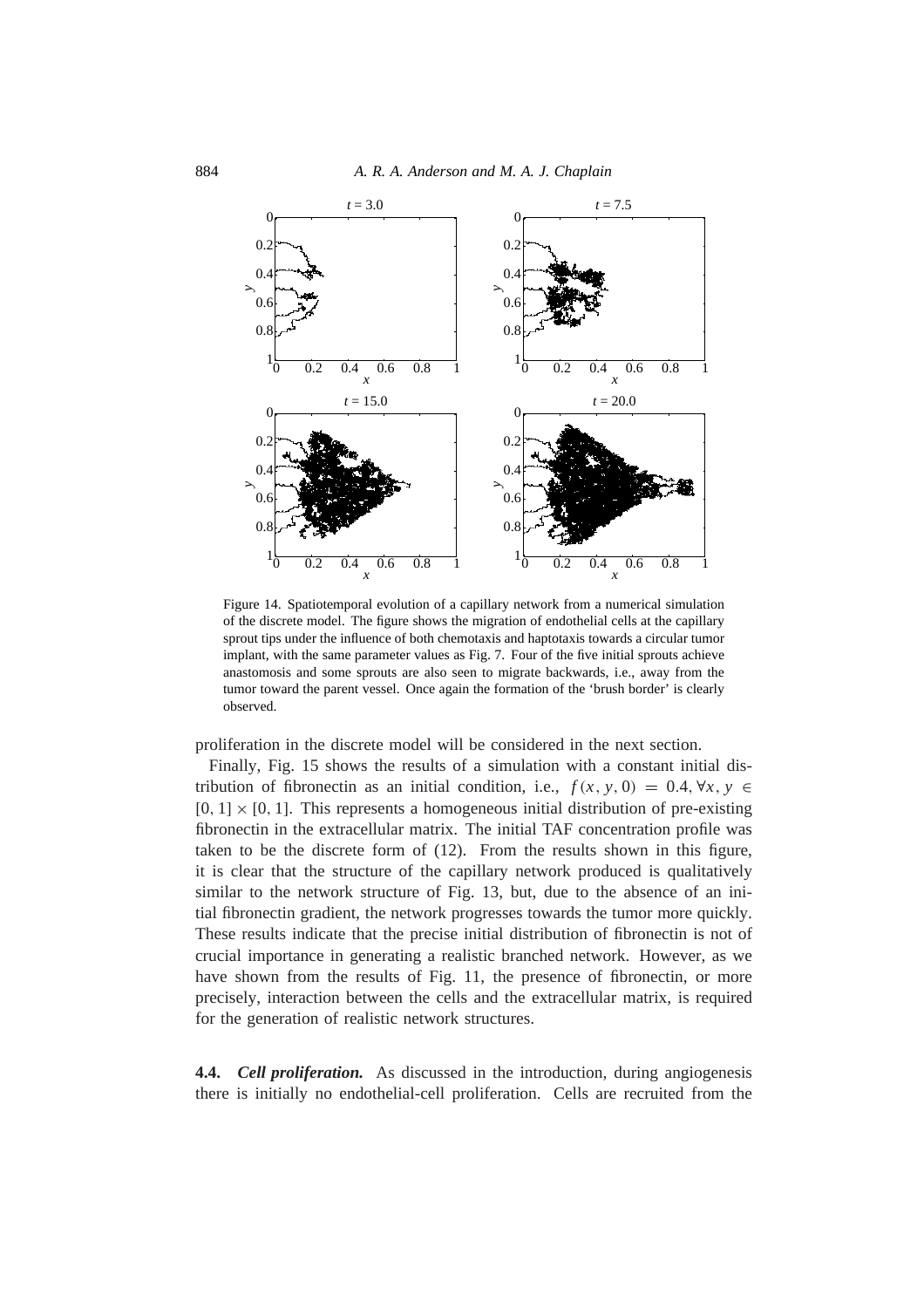![](_page_27_Figure_1.jpeg)

Figure 14. Spatiotemporal evolution of a capillary network from a numerical simulation of the discrete model. The figure shows the migration of endothelial cells at the capillary sprout tips under the influence of both chemotaxis and haptotaxis towards a circular tumor implant, with the same parameter values as Fig. 7. Four of the five initial sprouts achieve anastomosis and some sprouts are also seen to migrate backwards, i.e., away from the tumor toward the parent vessel. Once again the formation of the 'brush border' is clearly observed.

proliferation in the discrete model will be considered in the next section.

Finally, Fig. 15 shows the results of a simulation with a constant initial distribution of fibronectin as an initial condition, i.e.,  $f(x, y, 0) = 0.4$ ,  $\forall x, y \in$  $[0, 1] \times [0, 1]$ . This represents a homogeneous initial distribution of pre-existing fibronectin in the extracellular matrix. The initial TAF concentration profile was taken to be the discrete form of (12). From the results shown in this figure, it is clear that the structure of the capillary network produced is qualitatively similar to the network structure of Fig. 13, but, due to the absence of an initial fibronectin gradient, the network progresses towards the tumor more quickly. These results indicate that the precise initial distribution of fibronectin is not of crucial importance in generating a realistic branched network. However, as we have shown from the results of Fig. 11, the presence of fibronectin, or more precisely, interaction between the cells and the extracellular matrix, is required for the generation of realistic network structures.

**4.4.** *Cell proliferation.* As discussed in the introduction, during angiogenesis there is initially no endothelial-cell proliferation. Cells are recruited from the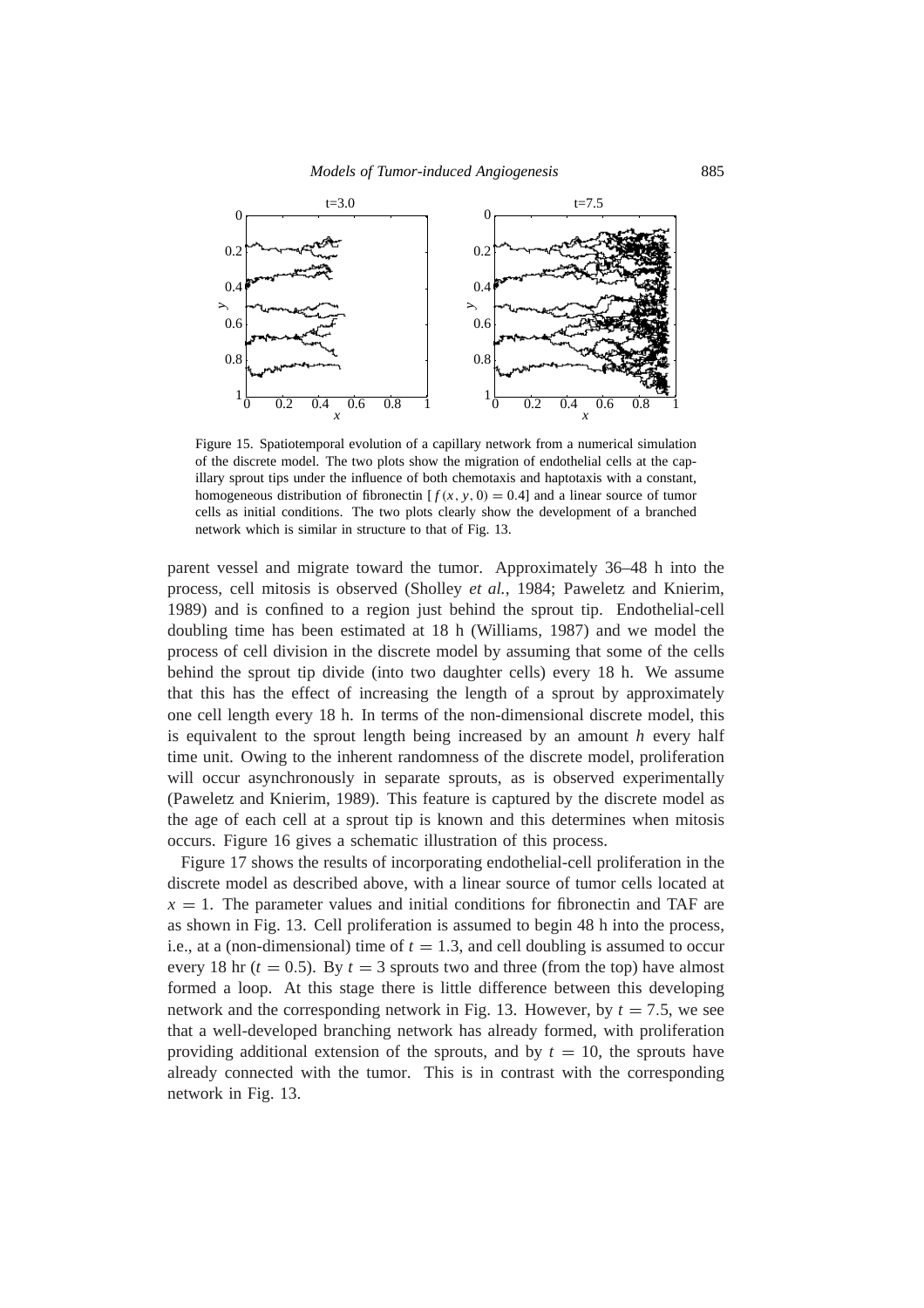![](_page_28_Figure_1.jpeg)

Figure 15. Spatiotemporal evolution of a capillary network from a numerical simulation of the discrete model. The two plots show the migration of endothelial cells at the capillary sprout tips under the influence of both chemotaxis and haptotaxis with a constant, homogeneous distribution of fibronectin  $[f(x, y, 0) = 0.4]$  and a linear source of tumor cells as initial conditions. The two plots clearly show the development of a branched network which is similar in structure to that of Fig. 13.

parent vessel and migrate toward the tumor. Approximately 36–48 h into the process, cell mitosis is observed ([Sholley](#page-41-0) *et al.*, 1984; [Paweletz and Knierim](#page-41-0), [1989\)](#page-41-0) and is confined to a region just behind the sprout tip. Endothelial-cell doubling time has been estimated at 18 h [\(Williams, 1987\)](#page-42-0) and we model the process of cell division in the discrete model by assuming that some of the cells behind the sprout tip divide (into two daughter cells) every 18 h. We assume that this has the effect of increasing the length of a sprout by approximately one cell length every 18 h. In terms of the non-dimensional discrete model, this is equivalent to the sprout length being increased by an amount *h* every half time unit. Owing to the inherent randomness of the discrete model, proliferation will occur asynchronously in separate sprouts, as is observed experimentally [\(Paweletz and Knierim, 1989\).](#page-41-0) This feature is captured by the discrete model as the age of each cell at a sprout tip is known and this determines when mitosis occurs. Figure 16 gives a schematic illustration of this process.

Figure 17 shows the results of incorporating endothelial-cell proliferation in the discrete model as described above, with a linear source of tumor cells located at  $x = 1$ . The parameter values and initial conditions for fibronectin and TAF are as shown in Fig. 13. Cell proliferation is assumed to begin 48 h into the process, i.e., at a (non-dimensional) time of  $t = 1.3$ , and cell doubling is assumed to occur every 18 hr  $(t = 0.5)$ . By  $t = 3$  sprouts two and three (from the top) have almost formed a loop. At this stage there is little difference between this developing network and the corresponding network in Fig. 13. However, by  $t = 7.5$ , we see that a well-developed branching network has already formed, with proliferation providing additional extension of the sprouts, and by  $t = 10$ , the sprouts have already connected with the tumor. This is in contrast with the corresponding network in Fig. 13.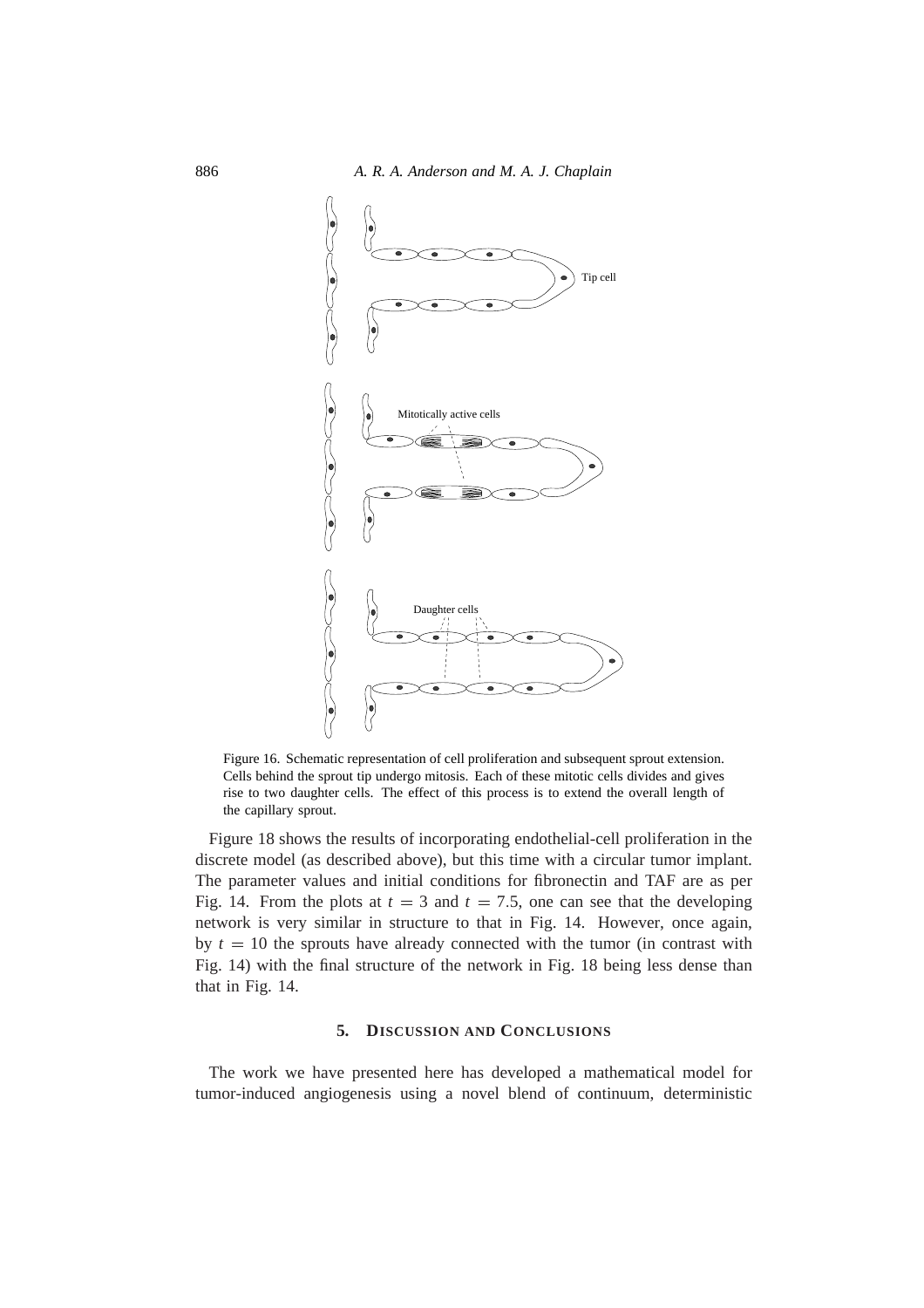![](_page_29_Figure_1.jpeg)

Figure 16. Schematic representation of cell proliferation and subsequent sprout extension. Cells behind the sprout tip undergo mitosis. Each of these mitotic cells divides and gives rise to two daughter cells. The effect of this process is to extend the overall length of the capillary sprout.

Figure 18 shows the results of incorporating endothelial-cell proliferation in the discrete model (as described above), but this time with a circular tumor implant. The parameter values and initial conditions for fibronectin and TAF are as per Fig. 14. From the plots at  $t = 3$  and  $t = 7.5$ , one can see that the developing network is very similar in structure to that in Fig. 14. However, once again, by  $t = 10$  the sprouts have already connected with the tumor (in contrast with Fig. 14) with the final structure of the network in Fig. 18 being less dense than that in Fig. 14.

# **5. DISCUSSION AND CONCLUSIONS**

The work we have presented here has developed a mathematical model for tumor-induced angiogenesis using a novel blend of continuum, deterministic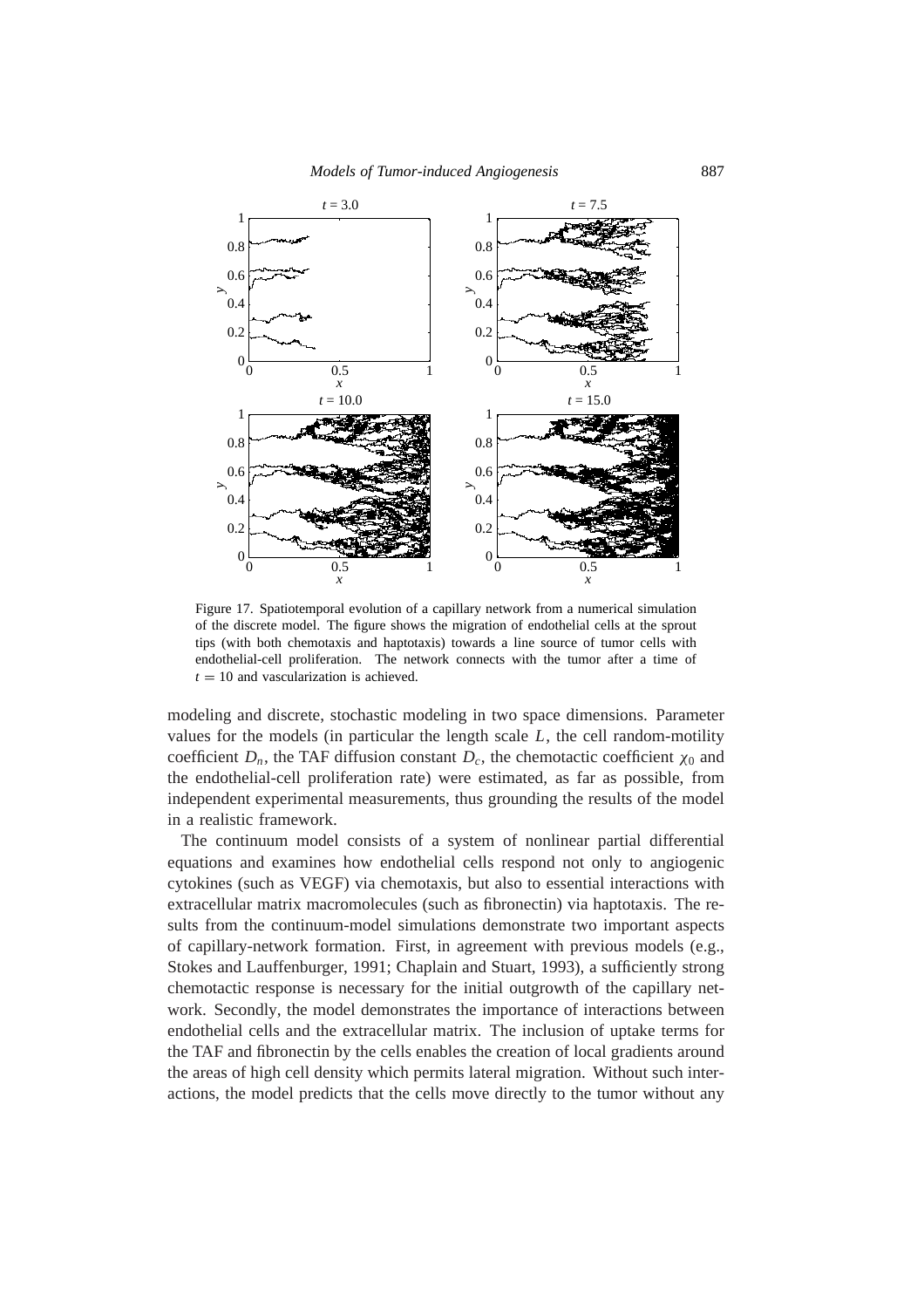![](_page_30_Figure_1.jpeg)

Figure 17. Spatiotemporal evolution of a capillary network from a numerical simulation of the discrete model. The figure shows the migration of endothelial cells at the sprout tips (with both chemotaxis and haptotaxis) towards a line source of tumor cells with endothelial-cell proliferation. The network connects with the tumor after a time of  $t = 10$  and vascularization is achieved.

modeling and discrete, stochastic modeling in two space dimensions. Parameter values for the models (in particular the length scale *L*, the cell random-motility coefficient  $D_n$ , the TAF diffusion constant  $D_c$ , the chemotactic coefficient  $\chi_0$  and the endothelial-cell proliferation rate) were estimated, as far as possible, from independent experimental measurements, thus grounding the results of the model in a realistic framework.

The continuum model consists of a system of nonlinear partial differential equations and examines how endothelial cells respond not only to angiogenic cytokines (such as VEGF) via chemotaxis, but also to essential interactions with extracellular matrix macromolecules (such as fibronectin) via haptotaxis. The results from the continuum-model simulations demonstrate two important aspects of capillary-network formation. First, in agreement with previous models (e.g., [Stokes and Lauffenburger, 1991;](#page-42-0) [Chaplain and Stuart, 1993](#page-37-0)), a sufficiently strong chemotactic response is necessary for the initial outgrowth of the capillary network. Secondly, the model demonstrates the importance of interactions between endothelial cells and the extracellular matrix. The inclusion of uptake terms for the TAF and fibronectin by the cells enables the creation of local gradients around the areas of high cell density which permits lateral migration. Without such interactions, the model predicts that the cells move directly to the tumor without any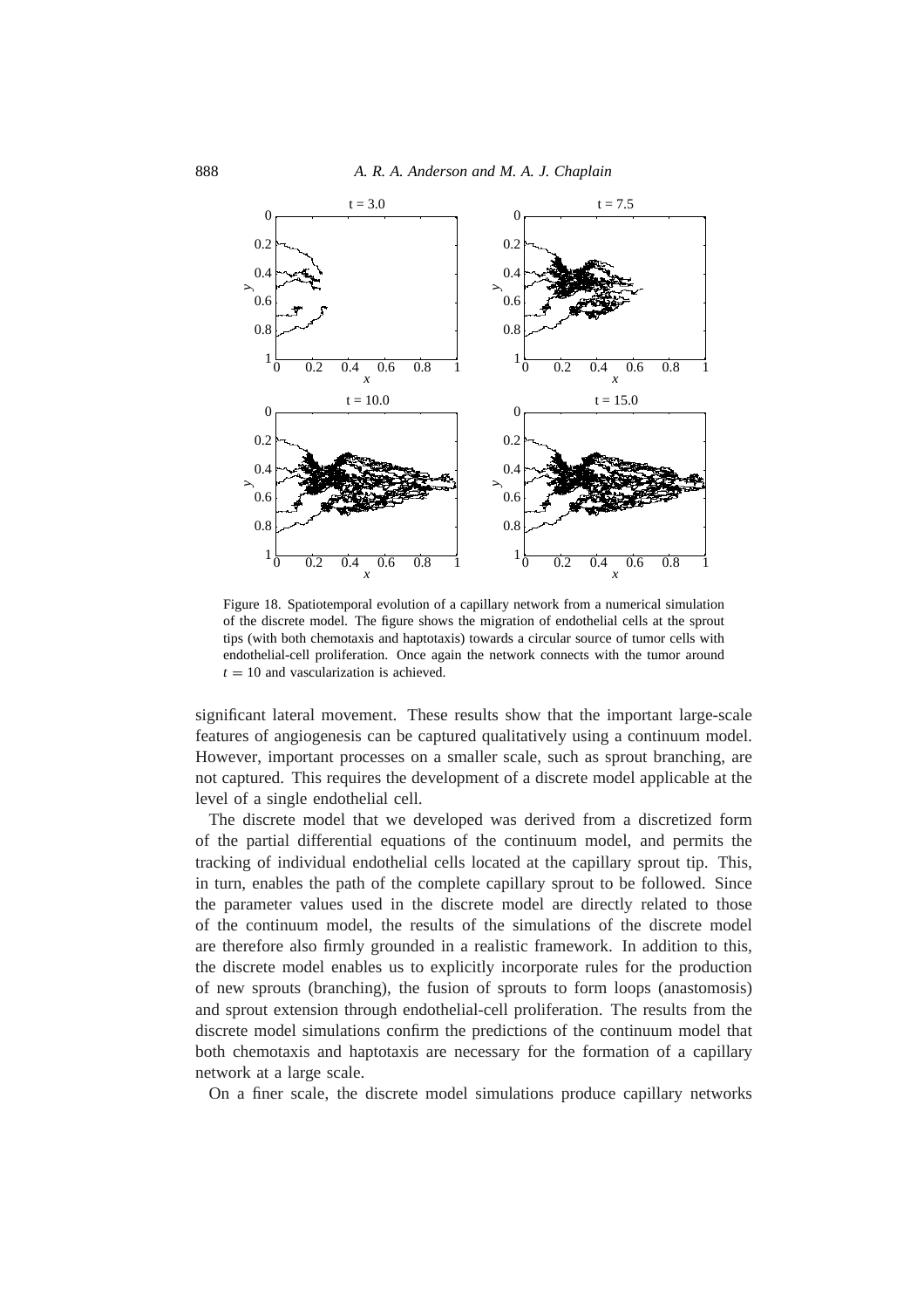![](_page_31_Figure_1.jpeg)

Figure 18. Spatiotemporal evolution of a capillary network from a numerical simulation of the discrete model. The figure shows the migration of endothelial cells at the sprout tips (with both chemotaxis and haptotaxis) towards a circular source of tumor cells with endothelial-cell proliferation. Once again the network connects with the tumor around  $t = 10$  and vascularization is achieved.

significant lateral movement. These results show that the important large-scale features of angiogenesis can be captured qualitatively using a continuum model. However, important processes on a smaller scale, such as sprout branching, are not captured. This requires the development of a discrete model applicable at the level of a single endothelial cell.

The discrete model that we developed was derived from a discretized form of the partial differential equations of the continuum model, and permits the tracking of individual endothelial cells located at the capillary sprout tip. This, in turn, enables the path of the complete capillary sprout to be followed. Since the parameter values used in the discrete model are directly related to those of the continuum model, the results of the simulations of the discrete model are therefore also firmly grounded in a realistic framework. In addition to this, the discrete model enables us to explicitly incorporate rules for the production of new sprouts (branching), the fusion of sprouts to form loops (anastomosis) and sprout extension through endothelial-cell proliferation. The results from the discrete model simulations confirm the predictions of the continuum model that both chemotaxis and haptotaxis are necessary for the formation of a capillary network at a large scale.

On a finer scale, the discrete model simulations produce capillary networks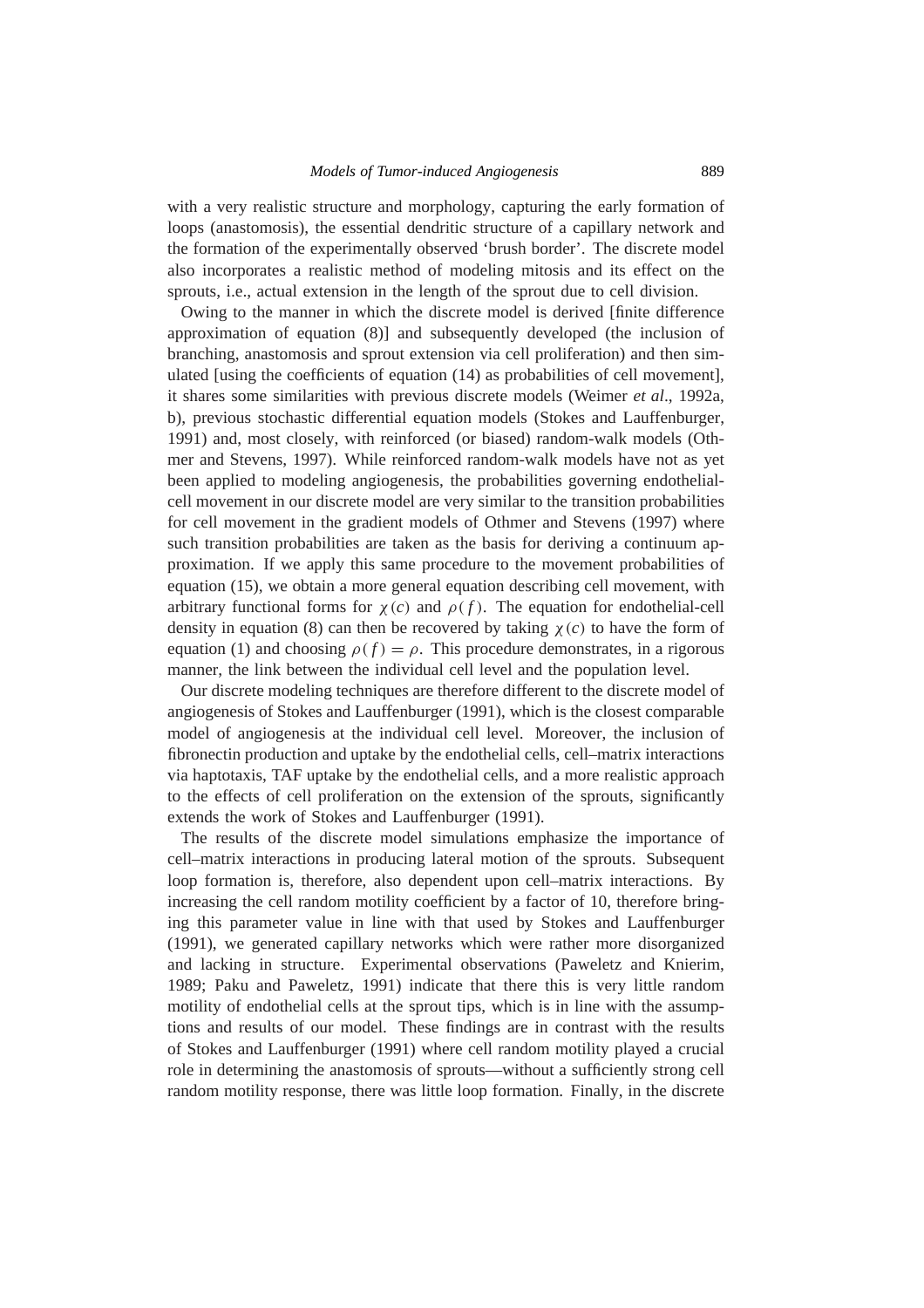with a very realistic structure and morphology, capturing the early formation of loops (anastomosis), the essential dendritic structure of a capillary network and the formation of the experimentally observed 'brush border'. The discrete model also incorporates a realistic method of modeling mitosis and its effect on the sprouts, i.e., actual extension in the length of the sprout due to cell division.

Owing to the manner in which the discrete model is derived [finite difference approximation of equation (8)] and subsequently developed (the inclusion of branching, anastomosis and sprout extension via cell proliferation) and then simulated [using the coefficients of equation  $(14)$  as probabilities of cell movement], it shares some similarities with previous discrete models (Weimer *et al*[., 1992a,](#page-42-0) [b\),](#page-42-0) previous stochastic differential equation models [\(Stokes and Lauffenburger,](#page-42-0) [1991\)](#page-42-0) and, most closely, with reinforced (or biased) random-walk models [\(Oth](#page-40-0)[mer and Stevens, 1997\)](#page-40-0). While reinforced random-walk models have not as yet been applied to modeling angiogenesis, the probabilities governing endothelialcell movement in our discrete model are very similar to the transition probabilities for cell movement in the gradient models of [Othmer and Stevens \(1997\)](#page-40-0) where such transition probabilities are taken as the basis for deriving a continuum approximation. If we apply this same procedure to the movement probabilities of equation (15), we obtain a more general equation describing cell movement, with arbitrary functional forms for  $\chi(c)$  and  $\rho(f)$ . The equation for endothelial-cell density in equation (8) can then be recovered by taking  $\chi(c)$  to have the form of equation (1) and choosing  $\rho(f) = \rho$ . This procedure demonstrates, in a rigorous manner, the link between the individual cell level and the population level.

Our discrete modeling techniques are therefore different to the discrete model of angiogenesis of [Stokes and Lauffenburger \(1991\),](#page-42-0) which is the closest comparable model of angiogenesis at the individual cell level. Moreover, the inclusion of fibronectin production and uptake by the endothelial cells, cell–matrix interactions via haptotaxis, TAF uptake by the endothelial cells, and a more realistic approach to the effects of cell proliferation on the extension of the sprouts, significantly extends the work of [Stokes and Lauffenburger \(1991\).](#page-42-0)

The results of the discrete model simulations emphasize the importance of cell–matrix interactions in producing lateral motion of the sprouts. Subsequent loop formation is, therefore, also dependent upon cell–matrix interactions. By increasing the cell random motility coefficient by a factor of 10, therefore bringing this parameter value in line with that used by [Stokes and Lauffenburger](#page-42-0) [\(1991\)](#page-42-0), we generated capillary networks which were rather more disorganized and lacking in structure. Experimental observations [\(Paweletz and Knierim,](#page-41-0) [1989;](#page-41-0) [Paku and Paweletz, 1991\)](#page-40-0) indicate that there this is very little random motility of endothelial cells at the sprout tips, which is in line with the assumptions and results of our model. These findings are in contrast with the results of [Stokes and Lauffenburger \(1991\)](#page-42-0) where cell random motility played a crucial role in determining the anastomosis of sprouts—without a sufficiently strong cell random motility response, there was little loop formation. Finally, in the discrete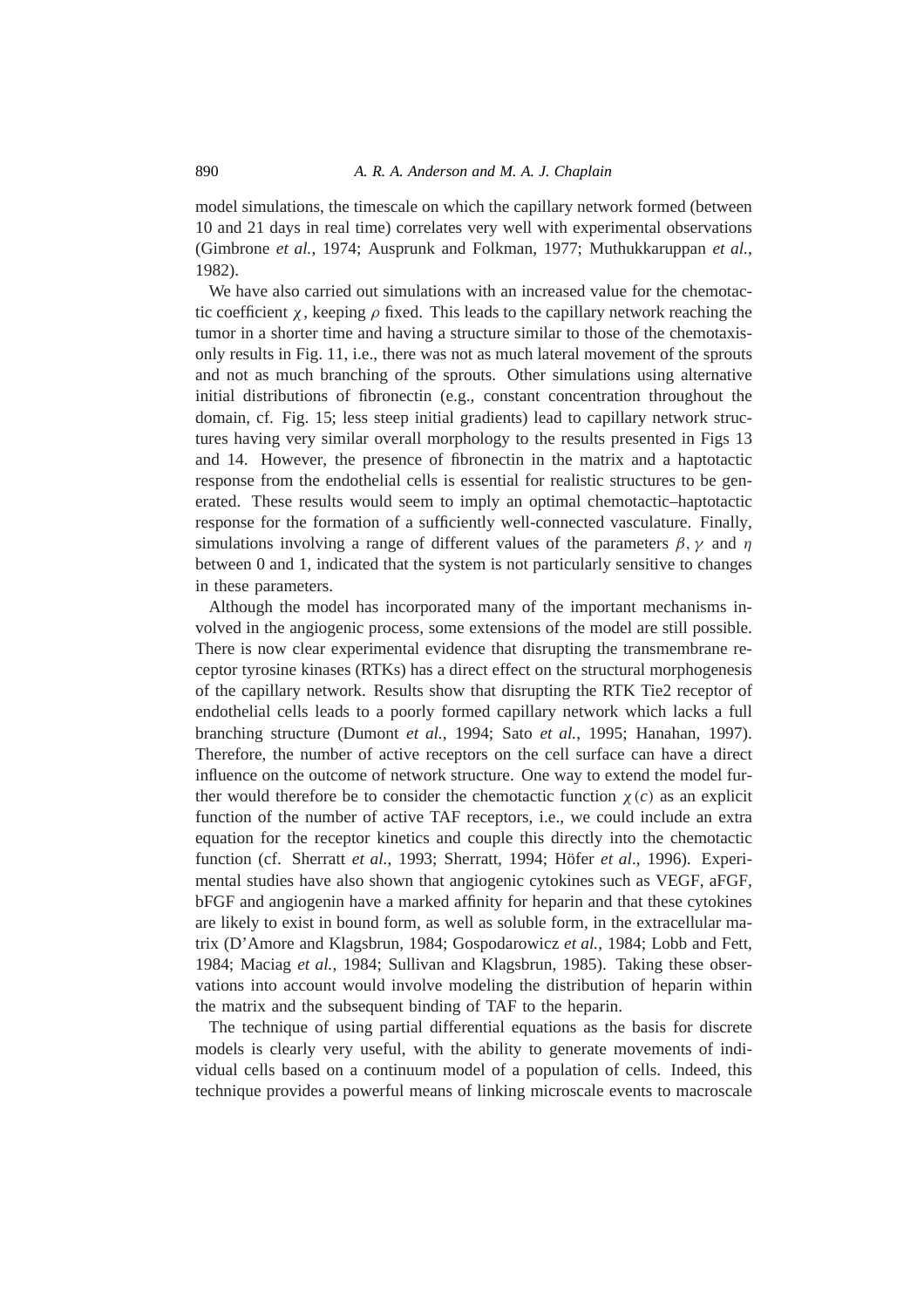# 890 *A. R. A. Anderson and M. A. J. Chaplain*

model simulations, the timescale on which the capillary network formed (between 10 and 21 days in real time) correlates very well with experimental observations ([Gimbrone](#page-38-0) *et al.*, 1974; [Ausprunk and Folkman, 1977;](#page-36-0) [Muthukkaruppan](#page-40-0) *et al.*, [1982\)](#page-40-0).

We have also carried out simulations with an increased value for the chemotactic coefficient  $\chi$ , keeping  $\rho$  fixed. This leads to the capillary network reaching the tumor in a shorter time and having a structure similar to those of the chemotaxisonly results in Fig. 11, i.e., there was not as much lateral movement of the sprouts and not as much branching of the sprouts. Other simulations using alternative initial distributions of fibronectin (e.g., constant concentration throughout the domain, cf. Fig. 15; less steep initial gradients) lead to capillary network structures having very similar overall morphology to the results presented in Figs 13 and 14. However, the presence of fibronectin in the matrix and a haptotactic response from the endothelial cells is essential for realistic structures to be generated. These results would seem to imply an optimal chemotactic–haptotactic response for the formation of a sufficiently well-connected vasculature. Finally, simulations involving a range of different values of the parameters  $\beta$ ,  $\gamma$  and  $\eta$ between 0 and 1, indicated that the system is not particularly sensitive to changes in these parameters.

Although the model has incorporated many of the important mechanisms involved in the angiogenic process, some extensions of the model are still possible. There is now clear experimental evidence that disrupting the transmembrane receptor tyrosine kinases (RTKs) has a direct effect on the structural morphogenesis of the capillary network. Results show that disrupting the RTK Tie2 receptor of endothelial cells leads to a poorly formed capillary network which lacks a full branching structure [\(Dumont](#page-37-0) *et al.*, 1994; Sato *et al.*[, 1995;](#page-41-0) [Hanahan, 1997\)](#page-38-0). Therefore, the number of active receptors on the cell surface can have a direct influence on the outcome of network structure. One way to extend the model further would therefore be to consider the chemotactic function  $\chi(c)$  as an explicit function of the number of active TAF receptors, i.e., we could include an extra equation for the receptor kinetics and couple this directly into the chemotactic function (cf. Sherratt *et al.*[, 1993; Sherratt, 1994;](#page-41-0) Höfer *et al.*, 1996). Experimental studies have also shown that angiogenic cytokines such as VEGF, aFGF, bFGF and angiogenin have a marked affinity for heparin and that these cytokines are likely to exist in bound form, as well as soluble form, in the extracellular matrix ([D'Amore and Klagsbrun, 1984;](#page-37-0) [Gospodarowicz](#page-38-0) *et al.*, 1984; [Lobb and Fett,](#page-39-0) [1984;](#page-39-0) Maciag *et al.*[, 1984;](#page-40-0) [Sullivan and Klagsbrun, 1985\)](#page-42-0). Taking these observations into account would involve modeling the distribution of heparin within the matrix and the subsequent binding of TAF to the heparin.

The technique of using partial differential equations as the basis for discrete models is clearly very useful, with the ability to generate movements of individual cells based on a continuum model of a population of cells. Indeed, this technique provides a powerful means of linking microscale events to macroscale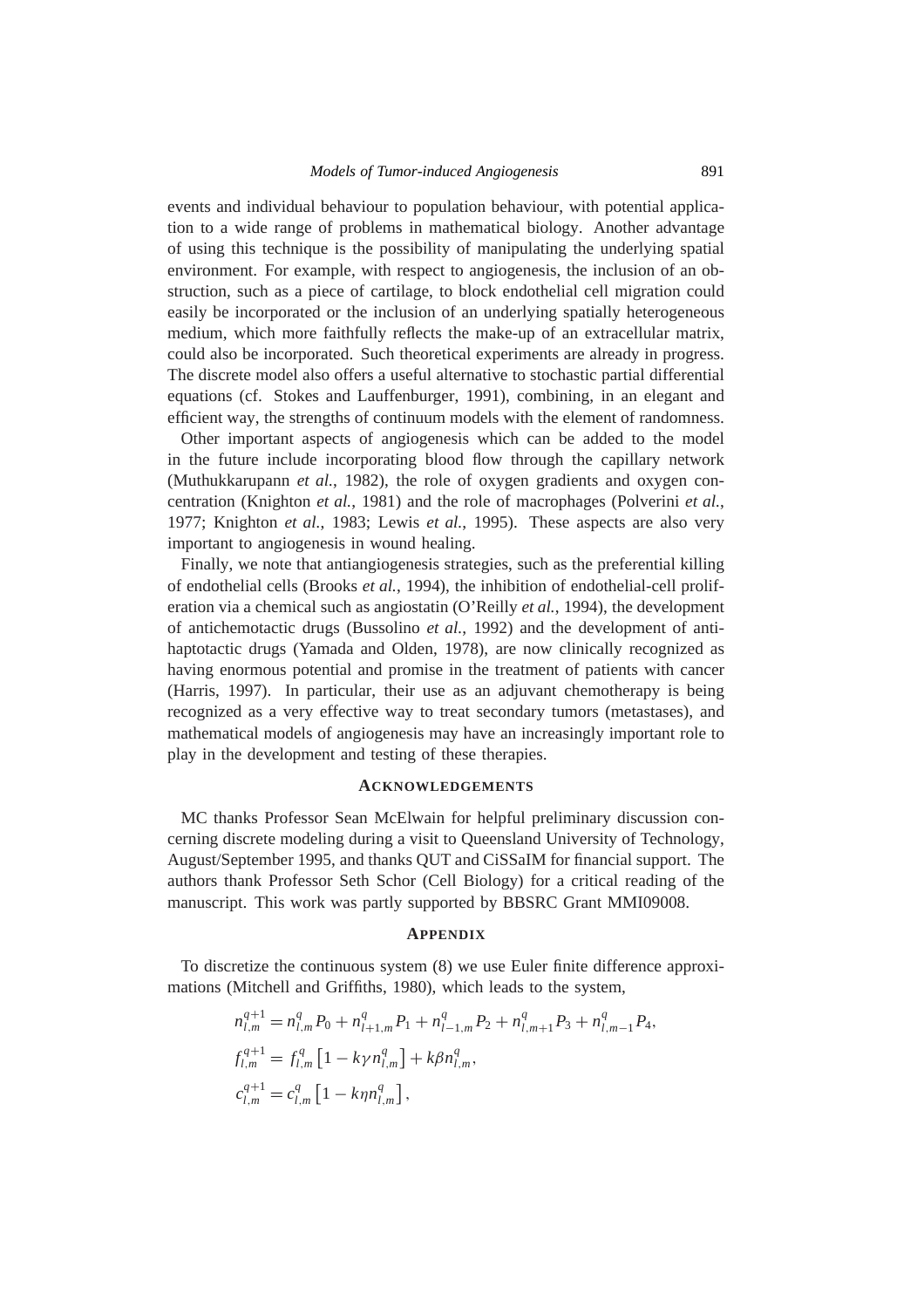events and individual behaviour to population behaviour, with potential application to a wide range of problems in mathematical biology. Another advantage of using this technique is the possibility of manipulating the underlying spatial environment. For example, with respect to angiogenesis, the inclusion of an obstruction, such as a piece of cartilage, to block endothelial cell migration could easily be incorporated or the inclusion of an underlying spatially heterogeneous medium, which more faithfully reflects the make-up of an extracellular matrix, could also be incorporated. Such theoretical experiments are already in progress. The discrete model also offers a useful alternative to stochastic partial differential equations (cf. [Stokes and Lauffenburger, 1991\)](#page-42-0), combining, in an elegant and efficient way, the strengths of continuum models with the element of randomness.

Other important aspects of angiogenesis which can be added to the model in the future include incorporating blood flow through the capillary network [\(Muthukkarupann](#page-40-0) *et al.*, 1982), the role of oxygen gradients and oxygen concentration [\(Knighton](#page-39-0) *et al.*, 1981) and the role of macrophages [\(Polverini](#page-41-0) *et al.*, [1977;](#page-41-0) [Knighton](#page-39-0) *et al.*, 1983; Lewis *et al.*[, 1995\)](#page-39-0). These aspects are also very important to angiogenesis in wound healing.

Finally, we note that antiangiogenesis strategies, such as the preferential killing of endothelial cells [\(Brooks](#page-36-0) *et al.*, 1994), the inhibition of endothelial-cell proliferation via a chemical such as angiostatin [\(O'Reilly](#page-40-0) *et al.*, 1994), the development of antichemotactic drugs ([Bussolino](#page-36-0) *et al.*, 1992) and the development of antihaptotactic drugs ([Yamada and Olden, 1978\),](#page-42-0) are now clinically recognized as having enormous potential and promise in the treatment of patients with cancer [\(Harris, 1997\).](#page-38-0) In particular, their use as an adjuvant chemotherapy is being recognized as a very effective way to treat secondary tumors (metastases), and mathematical models of angiogenesis may have an increasingly important role to play in the development and testing of these therapies.

# **ACKNOWLEDGEMENTS**

MC thanks Professor Sean McElwain for helpful preliminary discussion concerning discrete modeling during a visit to Queensland University of Technology, August/September 1995, and thanks QUT and CiSSaIM for financial support. The authors thank Professor Seth Schor (Cell Biology) for a critical reading of the manuscript. This work was partly supported by BBSRC Grant MMI09008.

# **APPENDIX**

To discretize the continuous system (8) we use Euler finite difference approximations [\(Mitchell and Griffiths, 1980\),](#page-40-0) which leads to the system,

$$
n_{l,m}^{q+1} = n_{l,m}^q P_0 + n_{l+1,m}^q P_1 + n_{l-1,m}^q P_2 + n_{l,m+1}^q P_3 + n_{l,m-1}^q P_4,
$$
  
\n
$$
f_{l,m}^{q+1} = f_{l,m}^q \left[ 1 - k \gamma n_{l,m}^q \right] + k \beta n_{l,m}^q,
$$
  
\n
$$
c_{l,m}^{q+1} = c_{l,m}^q \left[ 1 - k \eta n_{l,m}^q \right],
$$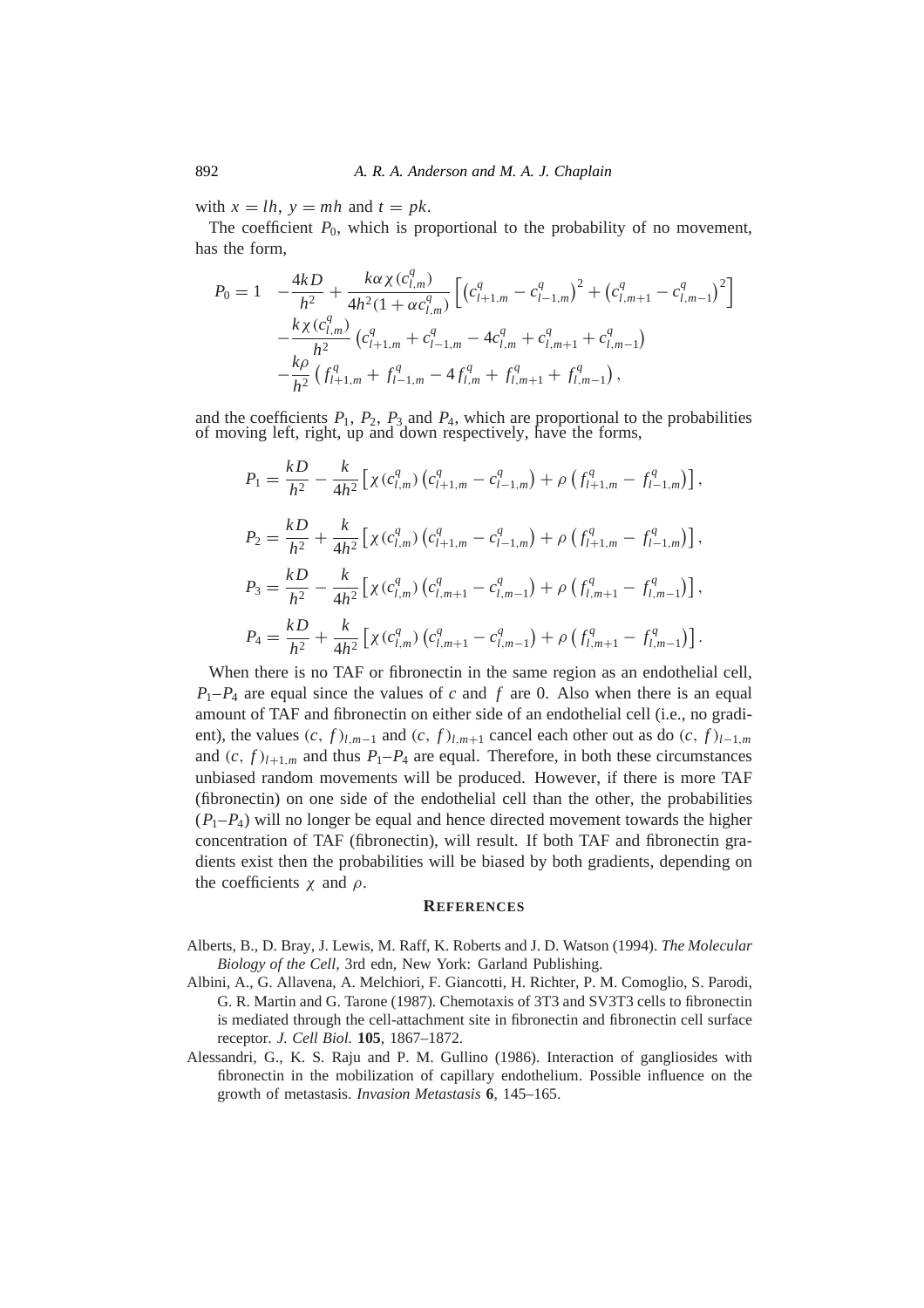with  $x = lh$ ,  $y = mh$  and  $t = pk$ .

The coefficient  $P_0$ , which is proportional to the probability of no movement, has the form,

$$
P_0 = 1 \quad -\frac{4kD}{h^2} + \frac{k\alpha \chi(c_{l,m}^q)}{4h^2(1 + \alpha c_{l,m}^q)} \left[ \left( c_{l+1,m}^q - c_{l-1,m}^q \right)^2 + \left( c_{l,m+1}^q - c_{l,m-1}^q \right)^2 \right] - \frac{k\chi(c_{l,m}^q)}{h^2} \left( c_{l+1,m}^q + c_{l-1,m}^q - 4c_{l,m}^q + c_{l,m+1}^q + c_{l,m-1}^q \right) - \frac{k\rho}{h^2} \left( f_{l+1,m}^q + f_{l-1,m}^q - 4f_{l,m}^q + f_{l,m+1}^q + f_{l,m-1}^q \right),
$$

and the coefficients  $P_1$ ,  $P_2$ ,  $P_3$  and  $P_4$ , which are proportional to the probabilities of moving left, right, up and down respectively, have the forms,

$$
P_{1} = \frac{kD}{h^{2}} - \frac{k}{4h^{2}} \left[ \chi(c_{l,m}^{q}) \left( c_{l+1,m}^{q} - c_{l-1,m}^{q} \right) + \rho \left( f_{l+1,m}^{q} - f_{l-1,m}^{q} \right) \right],
$$
  
\n
$$
P_{2} = \frac{kD}{h^{2}} + \frac{k}{4h^{2}} \left[ \chi(c_{l,m}^{q}) \left( c_{l+1,m}^{q} - c_{l-1,m}^{q} \right) + \rho \left( f_{l+1,m}^{q} - f_{l-1,m}^{q} \right) \right],
$$
  
\n
$$
P_{3} = \frac{kD}{h^{2}} - \frac{k}{4h^{2}} \left[ \chi(c_{l,m}^{q}) \left( c_{l,m+1}^{q} - c_{l,m-1}^{q} \right) + \rho \left( f_{l,m+1}^{q} - f_{l,m-1}^{q} \right) \right],
$$
  
\n
$$
P_{4} = \frac{kD}{h^{2}} + \frac{k}{4h^{2}} \left[ \chi(c_{l,m}^{q}) \left( c_{l,m+1}^{q} - c_{l,m-1}^{q} \right) + \rho \left( f_{l,m+1}^{q} - f_{l,m-1}^{q} \right) \right].
$$

When there is no TAF or fibronectin in the same region as an endothelial cell,  $P_1-P_4$  are equal since the values of *c* and *f* are 0. Also when there is an equal amount of TAF and fibronectin on either side of an endothelial cell (i.e., no gradient), the values  $(c, f)_{l,m-1}$  and  $(c, f)_{l,m+1}$  cancel each other out as do  $(c, f)_{l-1,m}$ and  $(c, f)_{l+1,m}$  and thus  $P_1-P_4$  are equal. Therefore, in both these circumstances unbiased random movements will be produced. However, if there is more TAF (fibronectin) on one side of the endothelial cell than the other, the probabilities  $(P_1-P_4)$  will no longer be equal and hence directed movement towards the higher concentration of TAF (fibronectin), will result. If both TAF and fibronectin gradients exist then the probabilities will be biased by both gradients, depending on the coefficients  $\chi$  and  $\rho$ .

## **REFERENCES**

- —Alberts, B., D. Bray, J. Lewis, M. Raff, K. Roberts and J. D. Watson (1994). *The Molecular Biology of the Cell*, 3rd edn, New York: Garland Publishing.
- —Albini, A., G. Allavena, A. Melchiori, F. Giancotti, H. Richter, P. M. Comoglio, S. Parodi, G. R. Martin and G. Tarone (1987). Chemotaxis of 3T3 and SV3T3 cells to fibronectin is mediated through the cell-attachment site in fibronectin and fibronectin cell surface receptor. *J. Cell Biol.* **105**, 1867–1872.
- —Alessandri, G., K. S. Raju and P. M. Gullino (1986). Interaction of gangliosides with fibronectin in the mobilization of capillary endothelium. Possible influence on the growth of metastasis. *Invasion Metastasis* **6**, 145–165.

<span id="page-35-0"></span>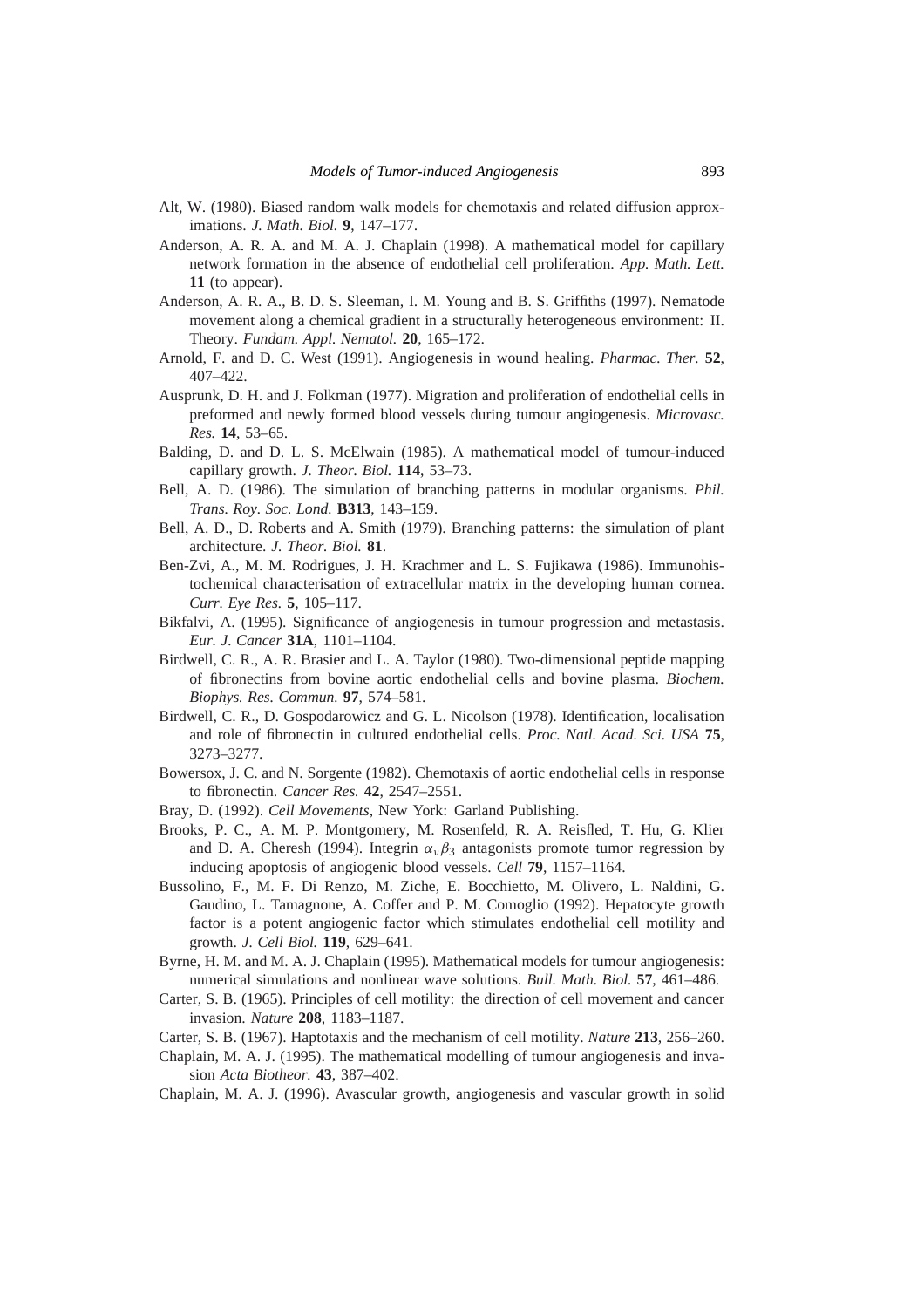- <span id="page-36-0"></span>—Alt, W. (1980). Biased random walk models for chemotaxis and related diffusion approximations. *J. Math. Biol.* **9**, 147–177.
- —Anderson, A. R. A. and M. A. J. Chaplain (1998). A mathematical model for capillary network formation in the absence of endothelial cell proliferation. *App. Math. Lett.* **11** (to appear).
- —Anderson, A. R. A., B. D. S. Sleeman, I. M. Young and B. S. Griffiths (1997). Nematode movement along a chemical gradient in a structurally heterogeneous environment: II. Theory. *Fundam. Appl. Nematol.* **20**, 165–172.
- —Arnold, F. and D. C. West (1991). Angiogenesis in wound healing. *Pharmac. Ther.* **52**, 407–422.
- —Ausprunk, D. H. and J. Folkman (1977). Migration and proliferation of endothelial cells in preformed and newly formed blood vessels during tumour angiogenesis. *Microvasc. Res.* **14**, 53–65.
- —Balding, D. and D. L. S. McElwain (1985). A mathematical model of tumour-induced capillary growth. *J. Theor. Biol.* **114**, 53–73.
- —Bell, A. D. (1986). The simulation of branching patterns in modular organisms. *Phil. Trans. Roy. Soc. Lond.* **B313**, 143–159.
- —Bell, A. D., D. Roberts and A. Smith (1979). Branching patterns: the simulation of plant architecture. *J. Theor. Biol.* **81**.
- —Ben-Zvi, A., M. M. Rodrigues, J. H. Krachmer and L. S. Fujikawa (1986). Immunohistochemical characterisation of extracellular matrix in the developing human cornea. *Curr. Eye Res.* **5**, 105–117.
- —Bikfalvi, A. (1995). Significance of angiogenesis in tumour progression and metastasis. *Eur. J. Cancer* **31A**, 1101–1104.
- —Birdwell, C. R., A. R. Brasier and L. A. Taylor (1980). Two-dimensional peptide mapping of fibronectins from bovine aortic endothelial cells and bovine plasma. *Biochem. Biophys. Res. Commun.* **97**, 574–581.
- —Birdwell, C. R., D. Gospodarowicz and G. L. Nicolson (1978). Identification, localisation and role of fibronectin in cultured endothelial cells. *Proc. Natl. Acad. Sci. USA* **75**, 3273–3277.
- —Bowersox, J. C. and N. Sorgente (1982). Chemotaxis of aortic endothelial cells in response to fibronectin. *Cancer Res.* **42**, 2547–2551.
- —Bray, D. (1992). *Cell Movements*, New York: Garland Publishing.
- —Brooks, P. C., A. M. P. Montgomery, M. Rosenfeld, R. A. Reisfled, T. Hu, G. Klier and D. A. Cheresh (1994). Integrin  $\alpha_{\nu}\beta_3$  antagonists promote tumor regression by inducing apoptosis of angiogenic blood vessels. *Cell* **79**, 1157–1164.
- —Bussolino, F., M. F. Di Renzo, M. Ziche, E. Bocchietto, M. Olivero, L. Naldini, G. Gaudino, L. Tamagnone, A. Coffer and P. M. Comoglio (1992). Hepatocyte growth factor is a potent angiogenic factor which stimulates endothelial cell motility and growth. *J. Cell Biol.* **119**, 629–641.
- —Byrne, H. M. and M. A. J. Chaplain (1995). Mathematical models for tumour angiogenesis: numerical simulations and nonlinear wave solutions. *Bull. Math. Biol.* **57**, 461–486.
- —Carter, S. B. (1965). Principles of cell motility: the direction of cell movement and cancer invasion. *Nature* **208**, 1183–1187.
- —Carter, S. B. (1967). Haptotaxis and the mechanism of cell motility. *Nature* **213**, 256–260.
- —Chaplain, M. A. J. (1995). The mathematical modelling of tumour angiogenesis and invasion *Acta Biotheor.* **43**, 387–402.
- —Chaplain, M. A. J. (1996). Avascular growth, angiogenesis and vascular growth in solid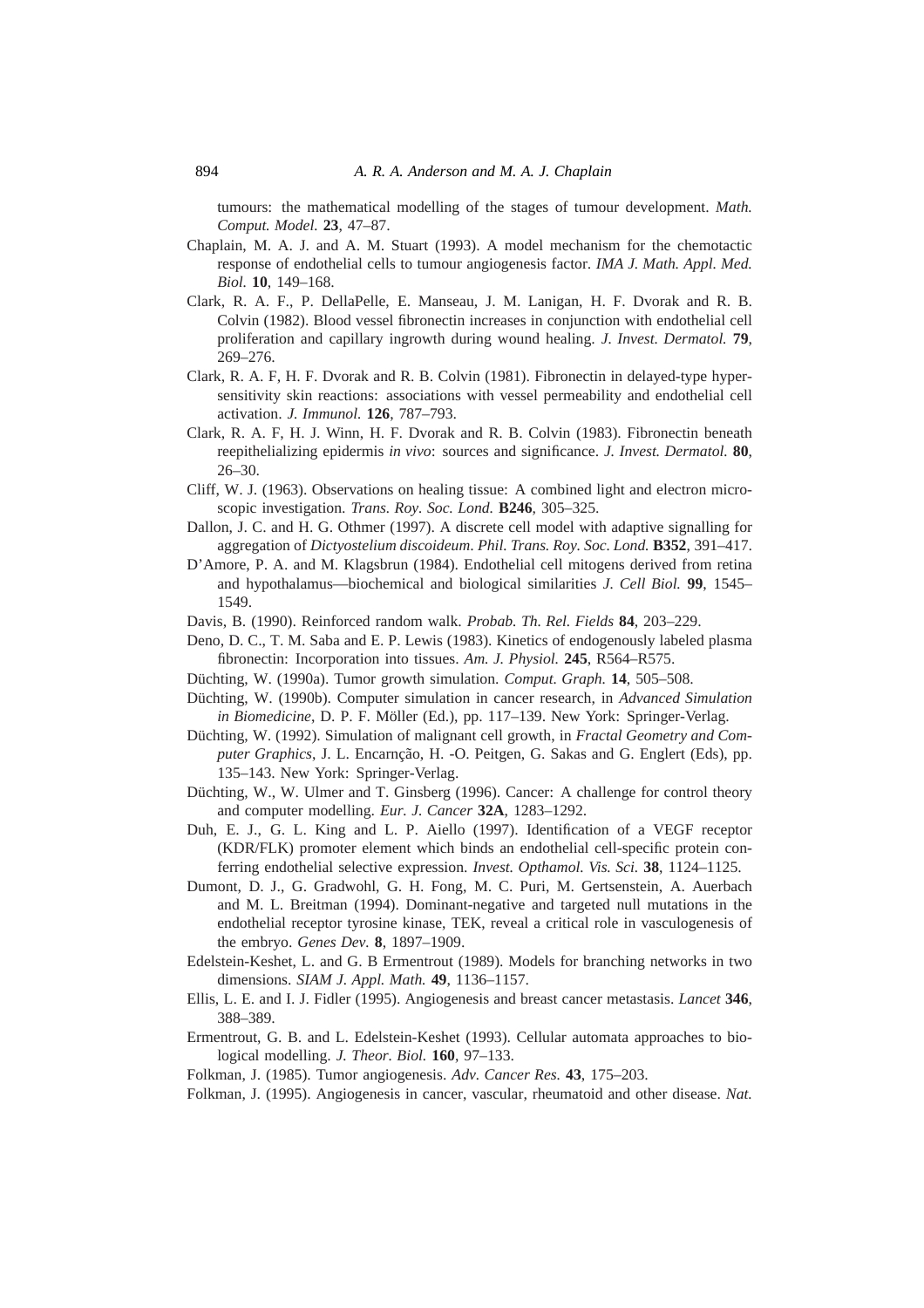<span id="page-37-0"></span>tumours: the mathematical modelling of the stages of tumour development. *Math. Comput. Model.* **23**, 47–87.

- —Chaplain, M. A. J. and A. M. Stuart (1993). A model mechanism for the chemotactic response of endothelial cells to tumour angiogenesis factor. *IMA J. Math. Appl. Med. Biol.* **10**, 149–168.
- —Clark, R. A. F., P. DellaPelle, E. Manseau, J. M. Lanigan, H. F. Dvorak and R. B. Colvin (1982). Blood vessel fibronectin increases in conjunction with endothelial cell proliferation and capillary ingrowth during wound healing. *J. Invest. Dermatol.* **79**, 269–276.
- —Clark, R. A. F, H. F. Dvorak and R. B. Colvin (1981). Fibronectin in delayed-type hypersensitivity skin reactions: associations with vessel permeability and endothelial cell activation. *J. Immunol.* **126**, 787–793.
- —Clark, R. A. F, H. J. Winn, H. F. Dvorak and R. B. Colvin (1983). Fibronectin beneath reepithelializing epidermis *in vivo*: sources and significance. *J. Invest. Dermatol.* **80**, 26–30.
- —Cliff, W. J. (1963). Observations on healing tissue: A combined light and electron microscopic investigation. *Trans. Roy. Soc. Lond.* **B246**, 305–325.
- —Dallon, J. C. and H. G. Othmer (1997). A discrete cell model with adaptive signalling for aggregation of *Dictyostelium discoideum*. *Phil. Trans. Roy. Soc. Lond.* **B352**, 391–417.
- —D'Amore, P. A. and M. Klagsbrun (1984). Endothelial cell mitogens derived from retina and hypothalamus—biochemical and biological similarities *J. Cell Biol.* **99**, 1545– 1549.
- —Davis, B. (1990). Reinforced random walk. *Probab. Th. Rel. Fields* **84**, 203–229.
- —Deno, D. C., T. M. Saba and E. P. Lewis (1983). Kinetics of endogenously labeled plasma fibronectin: Incorporation into tissues. *Am. J. Physiol.* **245**, R564–R575.
- —Duchting, W. (1990a). Tumor growth simulation. ¨ *Comput. Graph.* **14**, 505–508.
- —Duchting, W. (1990b). Computer simulation in cancer research, in ¨ *Advanced Simulation in Biomedicine*, D. P. F. Möller (Ed.), pp. 117-139. New York: Springer-Verlag.
- Düchting, W. (1992). Simulation of malignant cell growth, in *Fractal Geometry and Computer Graphics*, J. L. Encarnção, H. -O. Peitgen, G. Sakas and G. Englert (Eds), pp. 135–143. New York: Springer-Verlag.
- Düchting, W., W. Ulmer and T. Ginsberg (1996). Cancer: A challenge for control theory and computer modelling. *Eur. J. Cancer* **32A**, 1283–1292.
- —Duh, E. J., G. L. King and L. P. Aiello (1997). Identification of a VEGF receptor (KDR/FLK) promoter element which binds an endothelial cell-specific protein conferring endothelial selective expression. *Invest. Opthamol. Vis. Sci.* **38**, 1124–1125.
- —Dumont, D. J., G. Gradwohl, G. H. Fong, M. C. Puri, M. Gertsenstein, A. Auerbach and M. L. Breitman (1994). Dominant-negative and targeted null mutations in the endothelial receptor tyrosine kinase, TEK, reveal a critical role in vasculogenesis of the embryo. *Genes Dev.* **8**, 1897–1909.
- —Edelstein-Keshet, L. and G. B Ermentrout (1989). Models for branching networks in two dimensions. *SIAM J. Appl. Math.* **49**, 1136–1157.
- —Ellis, L. E. and I. J. Fidler (1995). Angiogenesis and breast cancer metastasis. *Lancet* **346**, 388–389.
- —Ermentrout, G. B. and L. Edelstein-Keshet (1993). Cellular automata approaches to biological modelling. *J. Theor. Biol.* **160**, 97–133.
- —Folkman, J. (1985). Tumor angiogenesis. *Adv. Cancer Res.* **43**, 175–203.
- —Folkman, J. (1995). Angiogenesis in cancer, vascular, rheumatoid and other disease. *Nat.*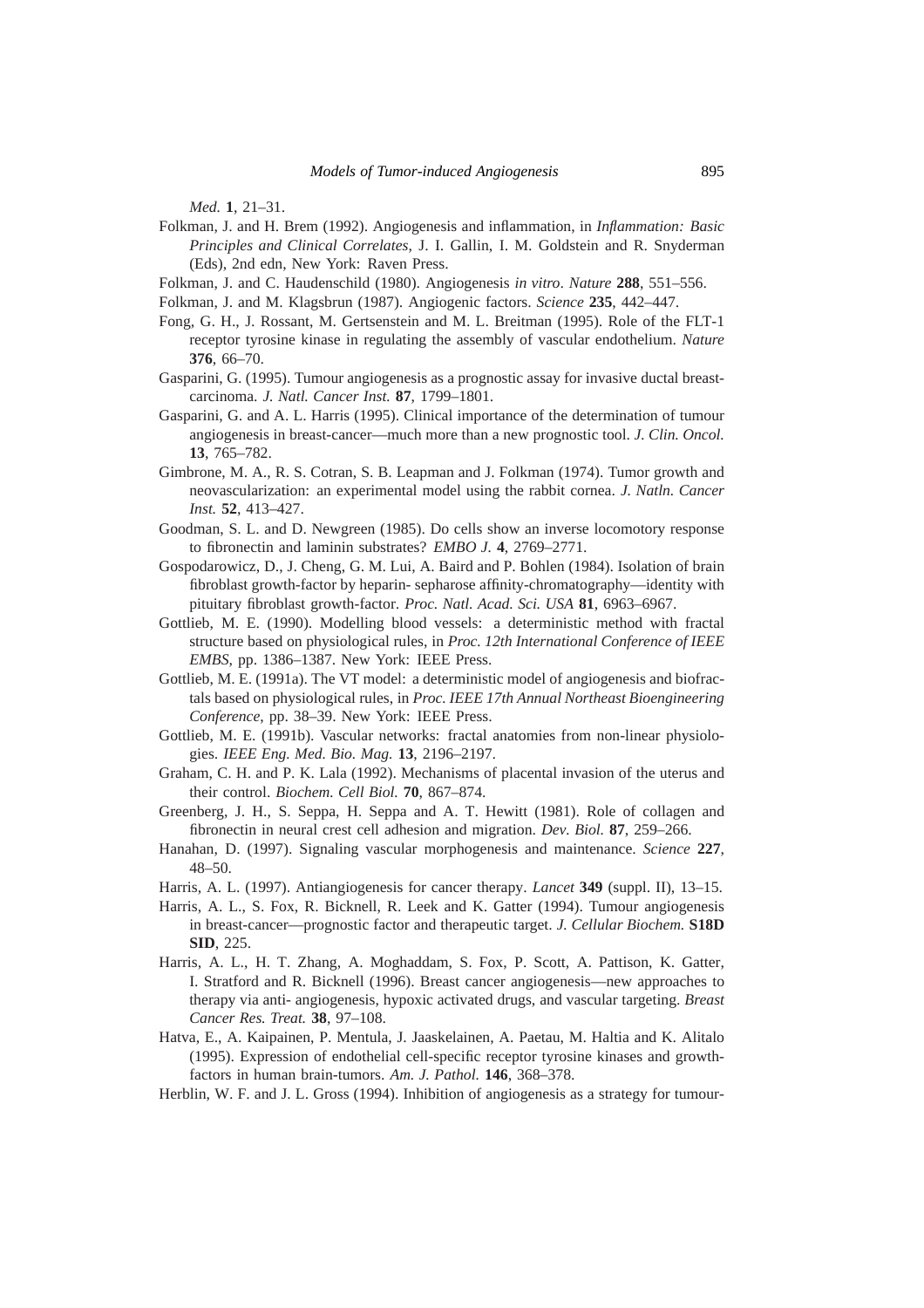*Med.* **1**, 21–31.

<span id="page-38-0"></span>—Folkman, J. and H. Brem (1992). Angiogenesis and inflammation, in *Inflammation: Basic Principles and Clinical Correlates*, J. I. Gallin, I. M. Goldstein and R. Snyderman (Eds), 2nd edn, New York: Raven Press.

—Folkman, J. and C. Haudenschild (1980). Angiogenesis *in vitro*. *Nature* **288**, 551–556.

—Folkman, J. and M. Klagsbrun (1987). Angiogenic factors. *Science* **235**, 442–447.

- —Fong, G. H., J. Rossant, M. Gertsenstein and M. L. Breitman (1995). Role of the FLT-1 receptor tyrosine kinase in regulating the assembly of vascular endothelium. *Nature* **376**, 66–70.
- —Gasparini, G. (1995). Tumour angiogenesis as a prognostic assay for invasive ductal breastcarcinoma. *J. Natl. Cancer Inst.* **87**, 1799–1801.
- —Gasparini, G. and A. L. Harris (1995). Clinical importance of the determination of tumour angiogenesis in breast-cancer—much more than a new prognostic tool. *J. Clin. Oncol.* **13**, 765–782.
- —Gimbrone, M. A., R. S. Cotran, S. B. Leapman and J. Folkman (1974). Tumor growth and neovascularization: an experimental model using the rabbit cornea. *J. Natln. Cancer Inst.* **52**, 413–427.
- —Goodman, S. L. and D. Newgreen (1985). Do cells show an inverse locomotory response to fibronectin and laminin substrates? *EMBO J.* **4**, 2769–2771.
- —Gospodarowicz, D., J. Cheng, G. M. Lui, A. Baird and P. Bohlen (1984). Isolation of brain fibroblast growth-factor by heparin- sepharose affinity-chromatography—identity with pituitary fibroblast growth-factor. *Proc. Natl. Acad. Sci. USA* **81**, 6963–6967.
- —Gottlieb, M. E. (1990). Modelling blood vessels: a deterministic method with fractal structure based on physiological rules, in *Proc. 12th International Conference of IEEE EMBS*, pp. 1386–1387. New York: IEEE Press.
- —Gottlieb, M. E. (1991a). The VT model: a deterministic model of angiogenesis and biofractals based on physiological rules, in *Proc. IEEE 17th Annual Northeast Bioengineering Conference*, pp. 38–39. New York: IEEE Press.
- —Gottlieb, M. E. (1991b). Vascular networks: fractal anatomies from non-linear physiologies. *IEEE Eng. Med. Bio. Mag.* **13**, 2196–2197.
- —Graham, C. H. and P. K. Lala (1992). Mechanisms of placental invasion of the uterus and their control. *Biochem. Cell Biol.* **70**, 867–874.
- —Greenberg, J. H., S. Seppa, H. Seppa and A. T. Hewitt (1981). Role of collagen and fibronectin in neural crest cell adhesion and migration. *Dev. Biol.* **87**, 259–266.
- —Hanahan, D. (1997). Signaling vascular morphogenesis and maintenance. *Science* **227**, 48–50.
- —Harris, A. L. (1997). Antiangiogenesis for cancer therapy. *Lancet* **349** (suppl. II), 13–15.
- —Harris, A. L., S. Fox, R. Bicknell, R. Leek and K. Gatter (1994). Tumour angiogenesis in breast-cancer—prognostic factor and therapeutic target. *J. Cellular Biochem.* **S18D SID**, 225.
- —Harris, A. L., H. T. Zhang, A. Moghaddam, S. Fox, P. Scott, A. Pattison, K. Gatter, I. Stratford and R. Bicknell (1996). Breast cancer angiogenesis—new approaches to therapy via anti- angiogenesis, hypoxic activated drugs, and vascular targeting. *Breast Cancer Res. Treat.* **38**, 97–108.
- —Hatva, E., A. Kaipainen, P. Mentula, J. Jaaskelainen, A. Paetau, M. Haltia and K. Alitalo (1995). Expression of endothelial cell-specific receptor tyrosine kinases and growthfactors in human brain-tumors. *Am. J. Pathol.* **146**, 368–378.
- —Herblin, W. F. and J. L. Gross (1994). Inhibition of angiogenesis as a strategy for tumour-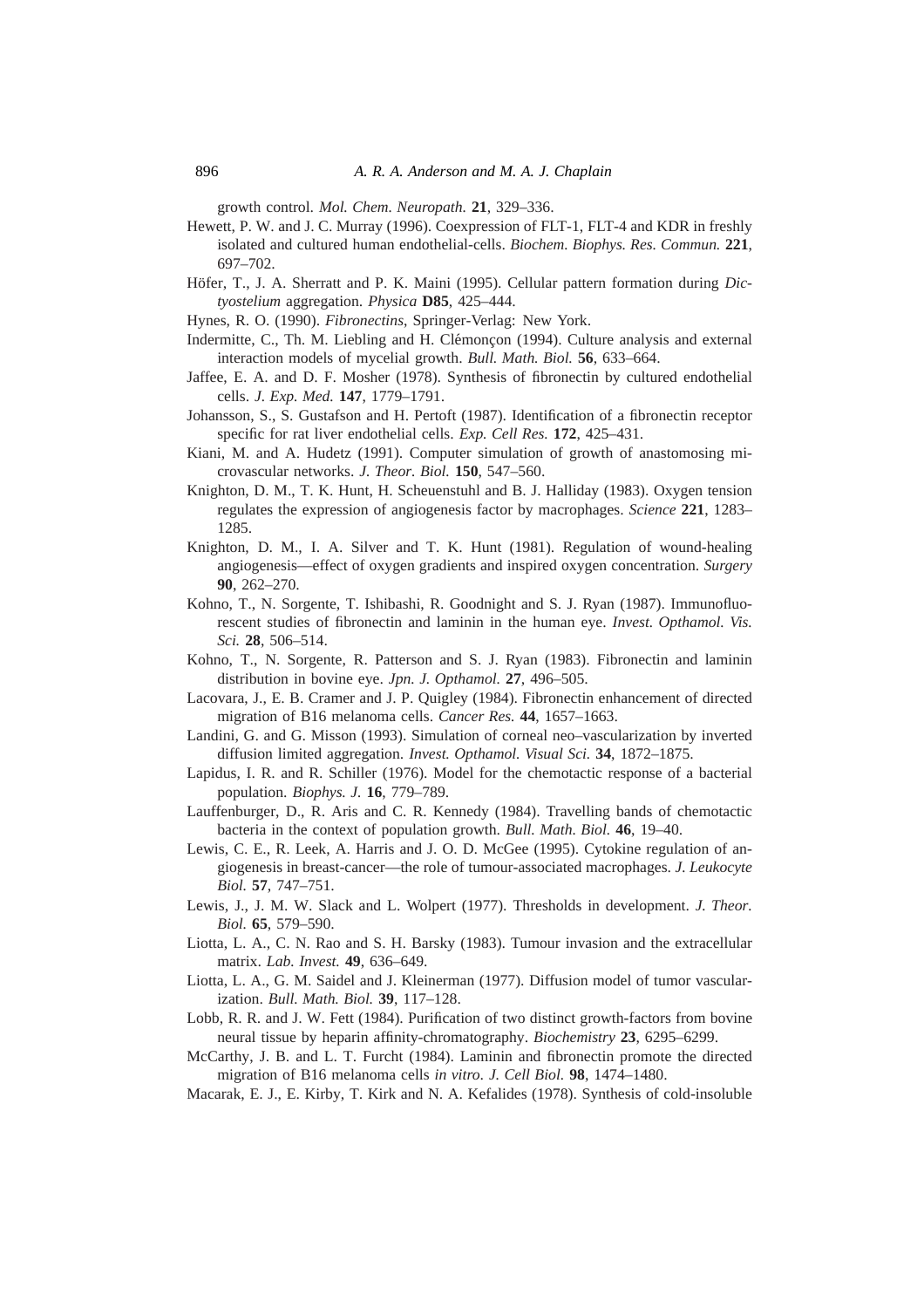growth control. *Mol. Chem. Neuropath.* **21**, 329–336.

- <span id="page-39-0"></span>—Hewett, P. W. and J. C. Murray (1996). Coexpression of FLT-1, FLT-4 and KDR in freshly isolated and cultured human endothelial-cells. *Biochem. Biophys. Res. Commun.* **221**, 697–702.
- Höfer, T., J. A. Sherratt and P. K. Maini (1995). Cellular pattern formation during *Dictyostelium* aggregation. *Physica* **D85**, 425–444.
- —Hynes, R. O. (1990). *Fibronectins*, Springer-Verlag: New York.
- Indermitte, C., Th. M. Liebling and H. Clémoncon (1994). Culture analysis and external interaction models of mycelial growth. *Bull. Math. Biol.* **56**, 633–664.
- —Jaffee, E. A. and D. F. Mosher (1978). Synthesis of fibronectin by cultured endothelial cells. *J. Exp. Med.* **147**, 1779–1791.
- —Johansson, S., S. Gustafson and H. Pertoft (1987). Identification of a fibronectin receptor specific for rat liver endothelial cells. *Exp. Cell Res.* **172**, 425–431.
- —Kiani, M. and A. Hudetz (1991). Computer simulation of growth of anastomosing microvascular networks. *J. Theor. Biol.* **150**, 547–560.
- —Knighton, D. M., T. K. Hunt, H. Scheuenstuhl and B. J. Halliday (1983). Oxygen tension regulates the expression of angiogenesis factor by macrophages. *Science* **221**, 1283– 1285.
- —Knighton, D. M., I. A. Silver and T. K. Hunt (1981). Regulation of wound-healing angiogenesis—effect of oxygen gradients and inspired oxygen concentration. *Surgery* **90**, 262–270.
- —Kohno, T., N. Sorgente, T. Ishibashi, R. Goodnight and S. J. Ryan (1987). Immunofluorescent studies of fibronectin and laminin in the human eye. *Invest. Opthamol. Vis. Sci.* **28**, 506–514.
- —Kohno, T., N. Sorgente, R. Patterson and S. J. Ryan (1983). Fibronectin and laminin distribution in bovine eye. *Jpn. J. Opthamol.* **27**, 496–505.
- —Lacovara, J., E. B. Cramer and J. P. Quigley (1984). Fibronectin enhancement of directed migration of B16 melanoma cells. *Cancer Res.* **44**, 1657–1663.
- —Landini, G. and G. Misson (1993). Simulation of corneal neo–vascularization by inverted diffusion limited aggregation. *Invest. Opthamol. Visual Sci.* **34**, 1872–1875.
- —Lapidus, I. R. and R. Schiller (1976). Model for the chemotactic response of a bacterial population. *Biophys. J.* **16**, 779–789.
- —Lauffenburger, D., R. Aris and C. R. Kennedy (1984). Travelling bands of chemotactic bacteria in the context of population growth. *Bull. Math. Biol.* **46**, 19–40.
- —Lewis, C. E., R. Leek, A. Harris and J. O. D. McGee (1995). Cytokine regulation of angiogenesis in breast-cancer—the role of tumour-associated macrophages. *J. Leukocyte Biol.* **57**, 747–751.
- —Lewis, J., J. M. W. Slack and L. Wolpert (1977). Thresholds in development. *J. Theor. Biol.* **65**, 579–590.
- —Liotta, L. A., C. N. Rao and S. H. Barsky (1983). Tumour invasion and the extracellular matrix. *Lab. Invest.* **49**, 636–649.
- —Liotta, L. A., G. M. Saidel and J. Kleinerman (1977). Diffusion model of tumor vascularization. *Bull. Math. Biol.* **39**, 117–128.
- —Lobb, R. R. and J. W. Fett (1984). Purification of two distinct growth-factors from bovine neural tissue by heparin affinity-chromatography. *Biochemistry* **23**, 6295–6299.
- —McCarthy, J. B. and L. T. Furcht (1984). Laminin and fibronectin promote the directed migration of B16 melanoma cells *in vitro*. *J. Cell Biol.* **98**, 1474–1480.
- —Macarak, E. J., E. Kirby, T. Kirk and N. A. Kefalides (1978). Synthesis of cold-insoluble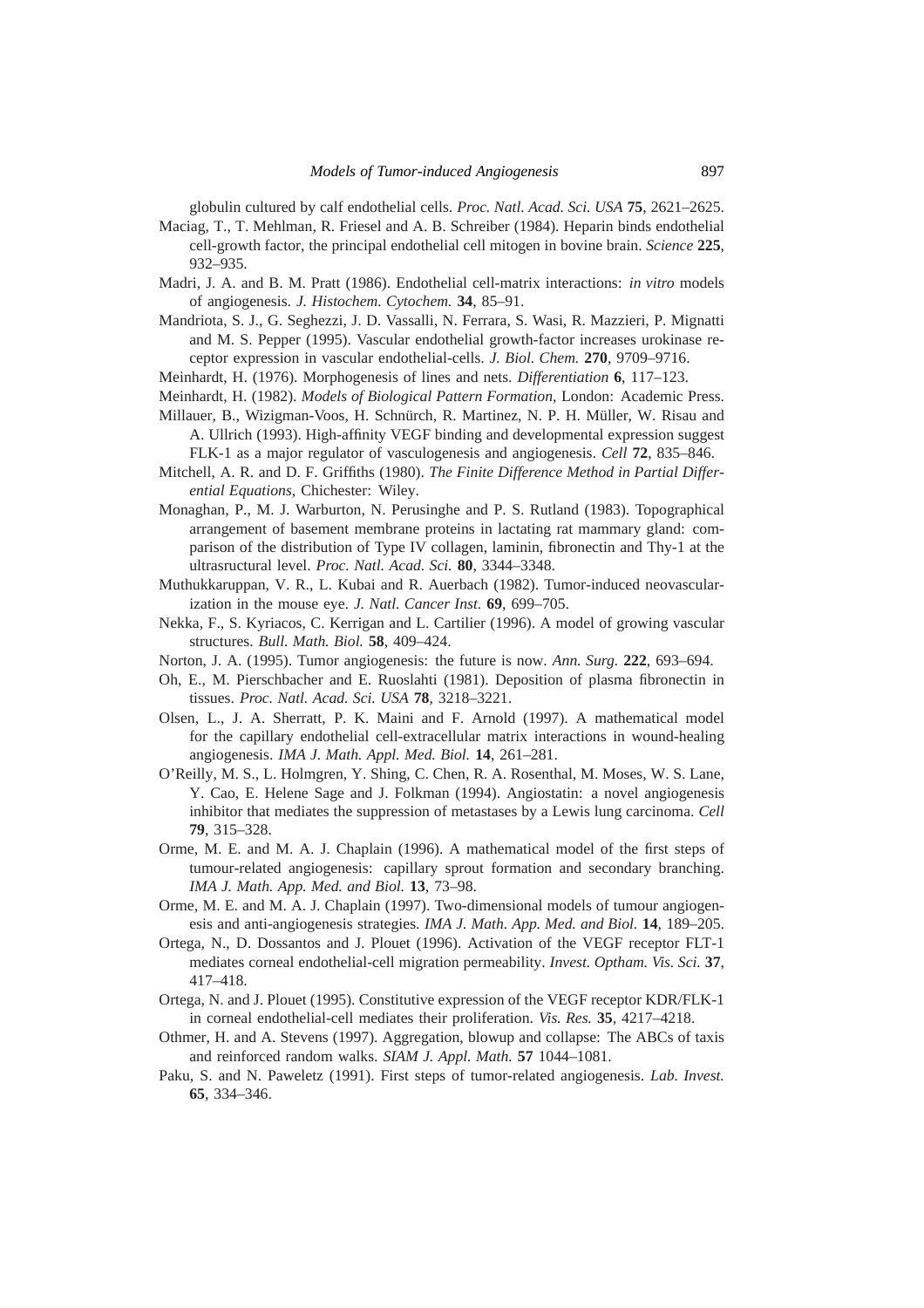globulin cultured by calf endothelial cells. *Proc. Natl. Acad. Sci. USA* **75**, 2621–2625.

- <span id="page-40-0"></span>—Maciag, T., T. Mehlman, R. Friesel and A. B. Schreiber (1984). Heparin binds endothelial cell-growth factor, the principal endothelial cell mitogen in bovine brain. *Science* **225**, 932–935.
- —Madri, J. A. and B. M. Pratt (1986). Endothelial cell-matrix interactions: *in vitro* models of angiogenesis. *J. Histochem. Cytochem.* **34**, 85–91.
- —Mandriota, S. J., G. Seghezzi, J. D. Vassalli, N. Ferrara, S. Wasi, R. Mazzieri, P. Mignatti and M. S. Pepper (1995). Vascular endothelial growth-factor increases urokinase receptor expression in vascular endothelial-cells. *J. Biol. Chem.* **270**, 9709–9716.
- —Meinhardt, H. (1976). Morphogenesis of lines and nets. *Differentiation* **6**, 117–123.
- —Meinhardt, H. (1982). *Models of Biological Pattern Formation*, London: Academic Press.
- Millauer, B., Wizigman-Voos, H. Schnürch, R. Martinez, N. P. H. Müller, W. Risau and A. Ullrich (1993). High-affinity VEGF binding and developmental expression suggest FLK-1 as a major regulator of vasculogenesis and angiogenesis. *Cell* **72**, 835–846.
- —Mitchell, A. R. and D. F. Griffiths (1980). *The Finite Difference Method in Partial Differential Equations*, Chichester: Wiley.
- —Monaghan, P., M. J. Warburton, N. Perusinghe and P. S. Rutland (1983). Topographical arrangement of basement membrane proteins in lactating rat mammary gland: comparison of the distribution of Type IV collagen, laminin, fibronectin and Thy-1 at the ultrasructural level. *Proc. Natl. Acad. Sci.* **80**, 3344–3348.
- —Muthukkaruppan, V. R., L. Kubai and R. Auerbach (1982). Tumor-induced neovascularization in the mouse eye. *J. Natl. Cancer Inst.* **69**, 699–705.
- —Nekka, F., S. Kyriacos, C. Kerrigan and L. Cartilier (1996). A model of growing vascular structures. *Bull. Math. Biol.* **58**, 409–424.
- —Norton, J. A. (1995). Tumor angiogenesis: the future is now. *Ann. Surg.* **222**, 693–694.
- —Oh, E., M. Pierschbacher and E. Ruoslahti (1981). Deposition of plasma fibronectin in tissues. *Proc. Natl. Acad. Sci. USA* **78**, 3218–3221.
- —Olsen, L., J. A. Sherratt, P. K. Maini and F. Arnold (1997). A mathematical model for the capillary endothelial cell-extracellular matrix interactions in wound-healing angiogenesis. *IMA J. Math. Appl. Med. Biol.* **14**, 261–281.
- —O'Reilly, M. S., L. Holmgren, Y. Shing, C. Chen, R. A. Rosenthal, M. Moses, W. S. Lane, Y. Cao, E. Helene Sage and J. Folkman (1994). Angiostatin: a novel angiogenesis inhibitor that mediates the suppression of metastases by a Lewis lung carcinoma. *Cell* **79**, 315–328.
- —Orme, M. E. and M. A. J. Chaplain (1996). A mathematical model of the first steps of tumour-related angiogenesis: capillary sprout formation and secondary branching. *IMA J. Math. App. Med. and Biol.* **13**, 73–98.
- —Orme, M. E. and M. A. J. Chaplain (1997). Two-dimensional models of tumour angiogenesis and anti-angiogenesis strategies. *IMA J. Math. App. Med. and Biol.* **14**, 189–205.
- —Ortega, N., D. Dossantos and J. Plouet (1996). Activation of the VEGF receptor FLT-1 mediates corneal endothelial-cell migration permeability. *Invest. Optham. Vis. Sci.* **37**, 417–418.
- —Ortega, N. and J. Plouet (1995). Constitutive expression of the VEGF receptor KDR/FLK-1 in corneal endothelial-cell mediates their proliferation. *Vis. Res.* **35**, 4217–4218.
- —Othmer, H. and A. Stevens (1997). Aggregation, blowup and collapse: The ABCs of taxis and reinforced random walks. *SIAM J. Appl. Math.* **57** 1044–1081.
- —Paku, S. and N. Paweletz (1991). First steps of tumor-related angiogenesis. *Lab. Invest.* **65**, 334–346.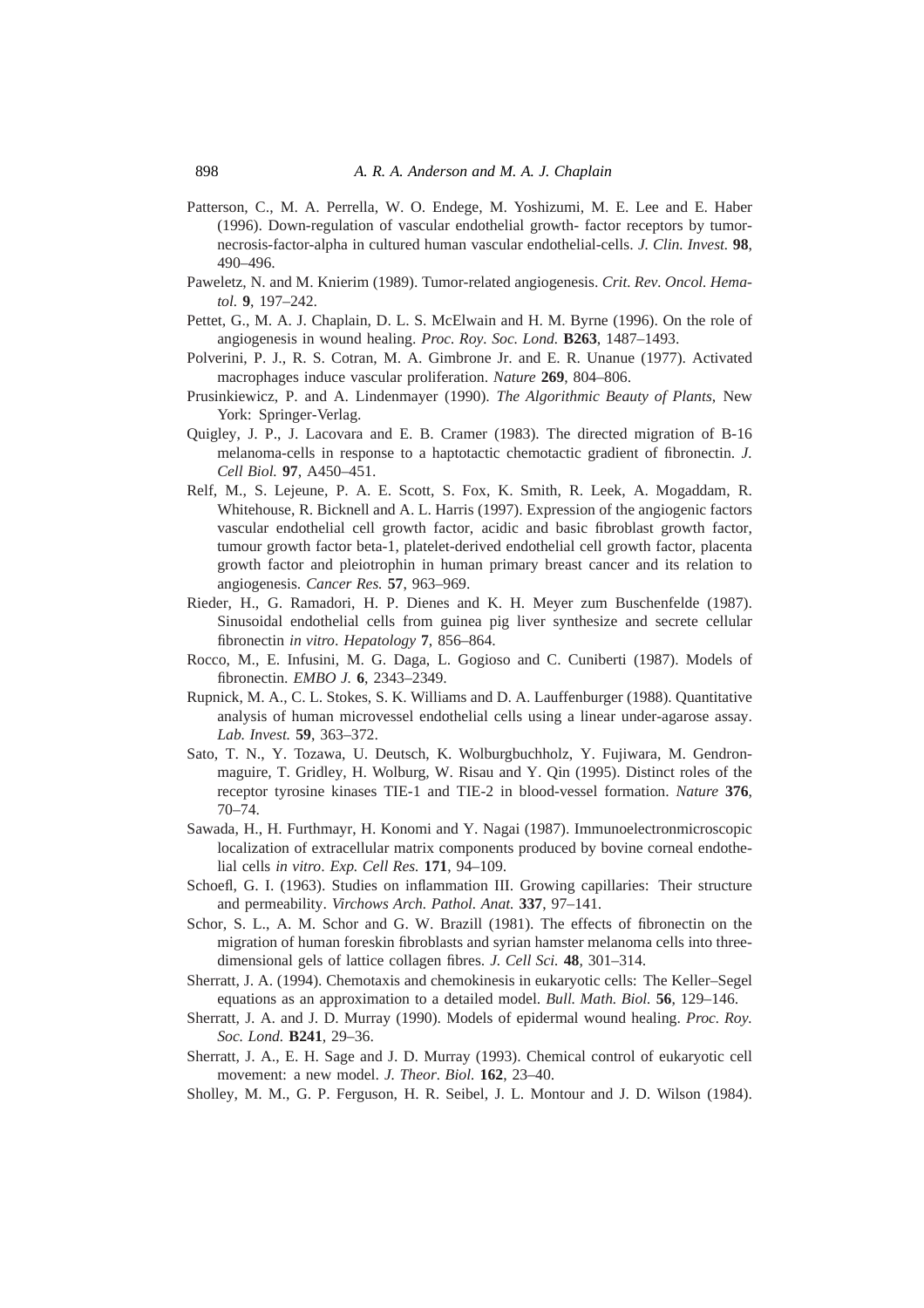- <span id="page-41-0"></span>—Patterson, C., M. A. Perrella, W. O. Endege, M. Yoshizumi, M. E. Lee and E. Haber (1996). Down-regulation of vascular endothelial growth- factor receptors by tumornecrosis-factor-alpha in cultured human vascular endothelial-cells. *J. Clin. Invest.* **98**, 490–496.
- —Paweletz, N. and M. Knierim (1989). Tumor-related angiogenesis. *Crit. Rev. Oncol. Hematol.* **9**, 197–242.
- —Pettet, G., M. A. J. Chaplain, D. L. S. McElwain and H. M. Byrne (1996). On the role of angiogenesis in wound healing. *Proc. Roy. Soc. Lond.* **B263**, 1487–1493.
- —Polverini, P. J., R. S. Cotran, M. A. Gimbrone Jr. and E. R. Unanue (1977). Activated macrophages induce vascular proliferation. *Nature* **269**, 804–806.
- —Prusinkiewicz, P. and A. Lindenmayer (1990). *The Algorithmic Beauty of Plants*, New York: Springer-Verlag.
- —Quigley, J. P., J. Lacovara and E. B. Cramer (1983). The directed migration of B-16 melanoma-cells in response to a haptotactic chemotactic gradient of fibronectin. *J. Cell Biol.* **97**, A450–451.
- —Relf, M., S. Lejeune, P. A. E. Scott, S. Fox, K. Smith, R. Leek, A. Mogaddam, R. Whitehouse, R. Bicknell and A. L. Harris (1997). Expression of the angiogenic factors vascular endothelial cell growth factor, acidic and basic fibroblast growth factor, tumour growth factor beta-1, platelet-derived endothelial cell growth factor, placenta growth factor and pleiotrophin in human primary breast cancer and its relation to angiogenesis. *Cancer Res.* **57**, 963–969.
- —Rieder, H., G. Ramadori, H. P. Dienes and K. H. Meyer zum Buschenfelde (1987). Sinusoidal endothelial cells from guinea pig liver synthesize and secrete cellular fibronectin *in vitro*. *Hepatology* **7**, 856–864.
- —Rocco, M., E. Infusini, M. G. Daga, L. Gogioso and C. Cuniberti (1987). Models of fibronectin. *EMBO J.* **6**, 2343–2349.
- —Rupnick, M. A., C. L. Stokes, S. K. Williams and D. A. Lauffenburger (1988). Quantitative analysis of human microvessel endothelial cells using a linear under-agarose assay. *Lab. Invest.* **59**, 363–372.
- —Sato, T. N., Y. Tozawa, U. Deutsch, K. Wolburgbuchholz, Y. Fujiwara, M. Gendronmaguire, T. Gridley, H. Wolburg, W. Risau and Y. Qin (1995). Distinct roles of the receptor tyrosine kinases TIE-1 and TIE-2 in blood-vessel formation. *Nature* **376**, 70–74.
- —Sawada, H., H. Furthmayr, H. Konomi and Y. Nagai (1987). Immunoelectronmicroscopic localization of extracellular matrix components produced by bovine corneal endothelial cells *in vitro*. *Exp. Cell Res.* **171**, 94–109.
- —Schoefl, G. I. (1963). Studies on inflammation III. Growing capillaries: Their structure and permeability. *Virchows Arch. Pathol. Anat.* **337**, 97–141.
- —Schor, S. L., A. M. Schor and G. W. Brazill (1981). The effects of fibronectin on the migration of human foreskin fibroblasts and syrian hamster melanoma cells into threedimensional gels of lattice collagen fibres. *J. Cell Sci.* **48**, 301–314.
- —Sherratt, J. A. (1994). Chemotaxis and chemokinesis in eukaryotic cells: The Keller–Segel equations as an approximation to a detailed model. *Bull. Math. Biol.* **56**, 129–146.
- —Sherratt, J. A. and J. D. Murray (1990). Models of epidermal wound healing. *Proc. Roy. Soc. Lond.* **B241**, 29–36.
- —Sherratt, J. A., E. H. Sage and J. D. Murray (1993). Chemical control of eukaryotic cell movement: a new model. *J. Theor. Biol.* **162**, 23–40.
- —Sholley, M. M., G. P. Ferguson, H. R. Seibel, J. L. Montour and J. D. Wilson (1984).